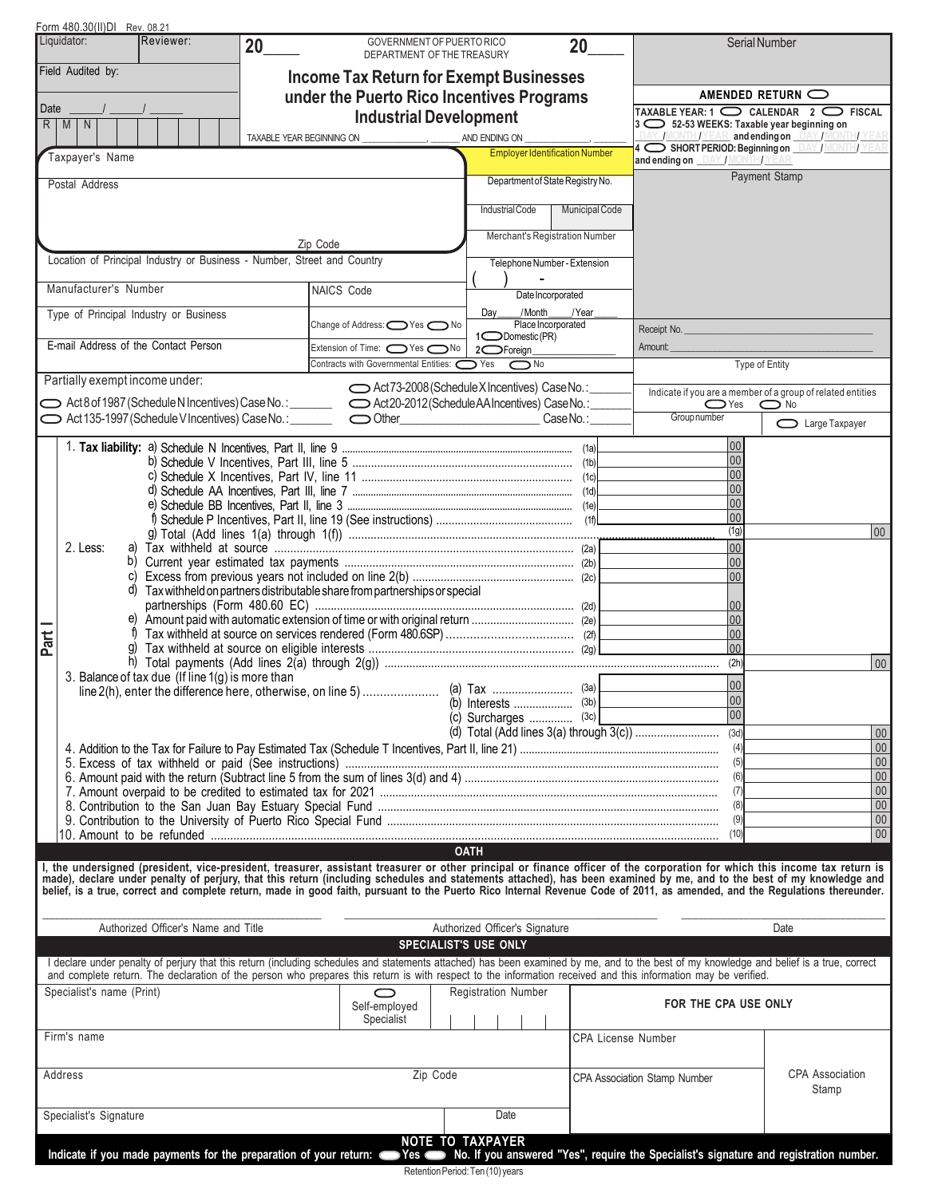|      | Form 480.30(II)DI Rev. 08.21                                                                                                                                                                                                                                                                                                                                                                                   |                                                                            |                                                                                                                   |                                                                                                                     |                                                                                                  |
|------|----------------------------------------------------------------------------------------------------------------------------------------------------------------------------------------------------------------------------------------------------------------------------------------------------------------------------------------------------------------------------------------------------------------|----------------------------------------------------------------------------|-------------------------------------------------------------------------------------------------------------------|---------------------------------------------------------------------------------------------------------------------|--------------------------------------------------------------------------------------------------|
|      | Liquidator:<br>Reviewer:<br>20                                                                                                                                                                                                                                                                                                                                                                                 | GOVERNMENT OF PUERTO RICO<br>DEPARTMENT OF THE TREASURY                    | 20                                                                                                                |                                                                                                                     | Serial Number                                                                                    |
|      | Field Audited by:                                                                                                                                                                                                                                                                                                                                                                                              | <b>Income Tax Return for Exempt Businesses</b>                             |                                                                                                                   |                                                                                                                     |                                                                                                  |
|      |                                                                                                                                                                                                                                                                                                                                                                                                                | under the Puerto Rico Incentives Programs                                  |                                                                                                                   |                                                                                                                     | AMENDED RETURN $\bigcirc$                                                                        |
| Date | $R$ $M$ $N$                                                                                                                                                                                                                                                                                                                                                                                                    | <b>Industrial Development</b>                                              |                                                                                                                   | TAXABLE YEAR: $1$ $\bigcirc$ CALENDAR $2$ $\bigcirc$ FISCAL<br>$ 3 \bigcirc 52-53$ WEEKS: Taxable year beginning on |                                                                                                  |
|      |                                                                                                                                                                                                                                                                                                                                                                                                                | TAXABLE YEAR BEGINNING ON ______________________ ________ AND ENDING ON __ |                                                                                                                   |                                                                                                                     | 4 SHORT PERIOD: Beginning on DAY / MONT / YEAR<br>4 SHORT PERIOD: Beginning on DAY / MONT / YEAR |
|      | Taxpayer's Name                                                                                                                                                                                                                                                                                                                                                                                                |                                                                            | <b>Employer Identification Number</b>                                                                             | and ending on DAY / MONTH/YEAR                                                                                      |                                                                                                  |
|      | Postal Address                                                                                                                                                                                                                                                                                                                                                                                                 |                                                                            | Department of State Registry No.                                                                                  |                                                                                                                     | Payment Stamp                                                                                    |
|      |                                                                                                                                                                                                                                                                                                                                                                                                                |                                                                            | <b>Municipal Code</b><br>Industrial Code                                                                          |                                                                                                                     |                                                                                                  |
|      |                                                                                                                                                                                                                                                                                                                                                                                                                |                                                                            | Merchant's Registration Number                                                                                    |                                                                                                                     |                                                                                                  |
|      | Location of Principal Industry or Business - Number, Street and Country                                                                                                                                                                                                                                                                                                                                        | Zip Code                                                                   |                                                                                                                   |                                                                                                                     |                                                                                                  |
|      |                                                                                                                                                                                                                                                                                                                                                                                                                |                                                                            | Telephone Number - Extension                                                                                      |                                                                                                                     |                                                                                                  |
|      | Manufacturer's Number                                                                                                                                                                                                                                                                                                                                                                                          | NAICS Code                                                                 | Date Incorporated                                                                                                 |                                                                                                                     |                                                                                                  |
|      | Type of Principal Industry or Business                                                                                                                                                                                                                                                                                                                                                                         | Change of Address: ONes ONo                                                | /Month<br>/Year<br>Day<br>Place Incorporated                                                                      |                                                                                                                     |                                                                                                  |
|      | E-mail Address of the Contact Person                                                                                                                                                                                                                                                                                                                                                                           | Extension of Time: $\bigcirc$ Yes $\bigcirc$ No                            | 1 <sup>O</sup> Domestic (PR)<br>2 <sup>C</sup> Foreign                                                            | Receipt No.<br>Amount:                                                                                              |                                                                                                  |
|      |                                                                                                                                                                                                                                                                                                                                                                                                                | Contracts with Governmental Entities: <a></a>                              | $\bigcirc$ No                                                                                                     |                                                                                                                     | Type of Entity                                                                                   |
|      | Partially exempt income under:                                                                                                                                                                                                                                                                                                                                                                                 |                                                                            | Act73-2008 (Schedule X Incentives) Case No.:                                                                      |                                                                                                                     | Indicate if you are a member of a group of related entities                                      |
|      | Act 135-1997 (Schedule V Incentives) Case No.: <u>Community Contentineers</u>                                                                                                                                                                                                                                                                                                                                  |                                                                            | CaseNo.:                                                                                                          | $\bigcirc$ Yes<br>Group number                                                                                      | $\bigcirc$ No                                                                                    |
|      |                                                                                                                                                                                                                                                                                                                                                                                                                |                                                                            |                                                                                                                   |                                                                                                                     | <b>Comparie Taxpayer</b>                                                                         |
|      |                                                                                                                                                                                                                                                                                                                                                                                                                |                                                                            |                                                                                                                   | 00<br>00                                                                                                            |                                                                                                  |
|      |                                                                                                                                                                                                                                                                                                                                                                                                                |                                                                            |                                                                                                                   | 00                                                                                                                  |                                                                                                  |
|      |                                                                                                                                                                                                                                                                                                                                                                                                                |                                                                            |                                                                                                                   | 00<br>00                                                                                                            |                                                                                                  |
|      |                                                                                                                                                                                                                                                                                                                                                                                                                |                                                                            |                                                                                                                   | 00                                                                                                                  |                                                                                                  |
|      | 2. Less:                                                                                                                                                                                                                                                                                                                                                                                                       |                                                                            |                                                                                                                   | (1g)<br> 00                                                                                                         | 00                                                                                               |
|      |                                                                                                                                                                                                                                                                                                                                                                                                                |                                                                            |                                                                                                                   | 00                                                                                                                  |                                                                                                  |
|      | d) Tax withheld on partners distributable share from partnerships or special                                                                                                                                                                                                                                                                                                                                   |                                                                            |                                                                                                                   | 00                                                                                                                  |                                                                                                  |
|      |                                                                                                                                                                                                                                                                                                                                                                                                                |                                                                            |                                                                                                                   | 00                                                                                                                  |                                                                                                  |
|      |                                                                                                                                                                                                                                                                                                                                                                                                                |                                                                            | 00<br>00                                                                                                          |                                                                                                                     |                                                                                                  |
| Part |                                                                                                                                                                                                                                                                                                                                                                                                                |                                                                            |                                                                                                                   | 00 <br>(2h)                                                                                                         |                                                                                                  |
|      | 3. Balance of tax due (If line 1(g) is more than                                                                                                                                                                                                                                                                                                                                                               |                                                                            |                                                                                                                   | 00                                                                                                                  | $ 00\rangle$                                                                                     |
|      |                                                                                                                                                                                                                                                                                                                                                                                                                |                                                                            | $(3a)$ L                                                                                                          | 00                                                                                                                  |                                                                                                  |
|      |                                                                                                                                                                                                                                                                                                                                                                                                                |                                                                            | (c) Surcharges $(3c)$                                                                                             | $\overline{)}$ 00                                                                                                   |                                                                                                  |
|      |                                                                                                                                                                                                                                                                                                                                                                                                                |                                                                            |                                                                                                                   | (3d)<br>(4)                                                                                                         | 00<br>00                                                                                         |
|      |                                                                                                                                                                                                                                                                                                                                                                                                                |                                                                            |                                                                                                                   | (5)                                                                                                                 | $00\,$                                                                                           |
|      |                                                                                                                                                                                                                                                                                                                                                                                                                |                                                                            |                                                                                                                   | (6)<br>(7)                                                                                                          | 00<br>${\bf 00}$                                                                                 |
|      |                                                                                                                                                                                                                                                                                                                                                                                                                |                                                                            |                                                                                                                   | (8)                                                                                                                 | $\overline{00}$<br>$00\,$                                                                        |
|      |                                                                                                                                                                                                                                                                                                                                                                                                                |                                                                            |                                                                                                                   | (9)<br>(10)                                                                                                         | 00                                                                                               |
|      |                                                                                                                                                                                                                                                                                                                                                                                                                |                                                                            | <b>OATH</b>                                                                                                       |                                                                                                                     |                                                                                                  |
|      | I, the undersigned (president, vice-president, treasurer, assistant treasurer or other principal or finance officer of the corporation for which this income tax return is<br>made), declare under penalty of perjury, that this return (including schedules and statements attached), has been examined by me, and to the best of my knowledge and<br>belief, is a true, correct and complete return, made in |                                                                            |                                                                                                                   |                                                                                                                     |                                                                                                  |
|      |                                                                                                                                                                                                                                                                                                                                                                                                                |                                                                            |                                                                                                                   |                                                                                                                     |                                                                                                  |
|      | Authorized Officer's Name and Title                                                                                                                                                                                                                                                                                                                                                                            |                                                                            | Authorized Officer's Signature                                                                                    |                                                                                                                     | Date                                                                                             |
|      |                                                                                                                                                                                                                                                                                                                                                                                                                | <b>SPECIALIST'S USE ONLY</b>                                               |                                                                                                                   |                                                                                                                     |                                                                                                  |
|      | I declare under penalty of perjury that this return (including schedules and statements attached) has been examined by me, and to the best of my knowledge and belief is a true, correct<br>and complete return. The declaration of the person who prepares this return is with respect to the information received and this information may be verified.                                                      |                                                                            |                                                                                                                   |                                                                                                                     |                                                                                                  |
|      | Specialist's name (Print)                                                                                                                                                                                                                                                                                                                                                                                      | ⌒                                                                          | <b>Registration Number</b>                                                                                        |                                                                                                                     |                                                                                                  |
|      |                                                                                                                                                                                                                                                                                                                                                                                                                | Self-employed<br>Specialist                                                |                                                                                                                   | FOR THE CPA USE ONLY                                                                                                |                                                                                                  |
|      | Firm's name                                                                                                                                                                                                                                                                                                                                                                                                    |                                                                            | <b>CPA License Number</b>                                                                                         |                                                                                                                     |                                                                                                  |
|      |                                                                                                                                                                                                                                                                                                                                                                                                                |                                                                            |                                                                                                                   |                                                                                                                     |                                                                                                  |
|      | Address                                                                                                                                                                                                                                                                                                                                                                                                        | Zip Code                                                                   |                                                                                                                   | CPA Association Stamp Number                                                                                        | <b>CPA Association</b>                                                                           |
|      |                                                                                                                                                                                                                                                                                                                                                                                                                |                                                                            |                                                                                                                   |                                                                                                                     | Stamp                                                                                            |
|      | Specialist's Signature                                                                                                                                                                                                                                                                                                                                                                                         |                                                                            | Date                                                                                                              |                                                                                                                     |                                                                                                  |
|      | Indicate if you made payments for the preparation of your return: <a>Yes</a>                                                                                                                                                                                                                                                                                                                                   |                                                                            | <b>NOTE TO TAXPAYER</b><br>No. If you answered "Yes", require the Specialist's signature and registration number. |                                                                                                                     |                                                                                                  |
|      |                                                                                                                                                                                                                                                                                                                                                                                                                |                                                                            |                                                                                                                   |                                                                                                                     |                                                                                                  |

Retention Period: Ten (10) years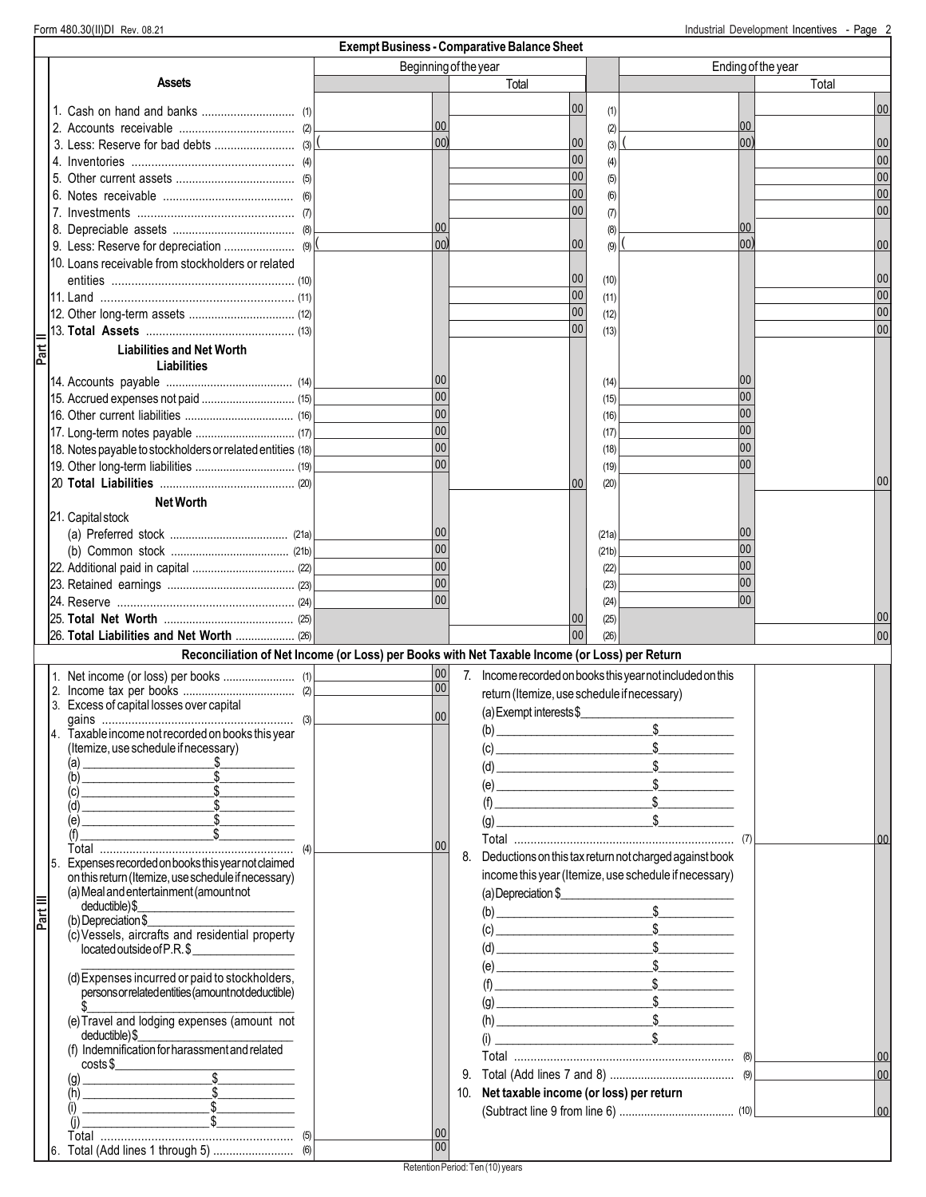|          |                                                                                                       |                 |                | <b>Exempt Business - Comparative Balance Sheet</b>         |              |                                                                                                                                                                                                                                                                                                                                                              |                |                    |
|----------|-------------------------------------------------------------------------------------------------------|-----------------|----------------|------------------------------------------------------------|--------------|--------------------------------------------------------------------------------------------------------------------------------------------------------------------------------------------------------------------------------------------------------------------------------------------------------------------------------------------------------------|----------------|--------------------|
|          |                                                                                                       |                 |                | Beginning of the year                                      |              |                                                                                                                                                                                                                                                                                                                                                              |                | Ending of the year |
|          | Assets                                                                                                |                 |                | Total                                                      |              |                                                                                                                                                                                                                                                                                                                                                              |                | Total              |
|          |                                                                                                       |                 |                | 00                                                         | (1)          |                                                                                                                                                                                                                                                                                                                                                              |                | 00                 |
|          |                                                                                                       | 00              |                |                                                            | (2)          |                                                                                                                                                                                                                                                                                                                                                              | 00             |                    |
|          |                                                                                                       |                 | 00)            | 00                                                         | (3)          |                                                                                                                                                                                                                                                                                                                                                              | 00)            | 00                 |
|          |                                                                                                       |                 |                | 00                                                         | (4)          |                                                                                                                                                                                                                                                                                                                                                              |                | 00                 |
|          |                                                                                                       |                 |                | 00                                                         | (5)          |                                                                                                                                                                                                                                                                                                                                                              |                | 00                 |
|          |                                                                                                       |                 |                | 00                                                         | (6)          |                                                                                                                                                                                                                                                                                                                                                              |                | 00                 |
|          |                                                                                                       |                 |                | 0 <sub>0</sub>                                             | (7)          |                                                                                                                                                                                                                                                                                                                                                              |                | 00                 |
|          |                                                                                                       |                 | 00             |                                                            | (8)          |                                                                                                                                                                                                                                                                                                                                                              | 00             |                    |
|          |                                                                                                       |                 | 00)            | 00                                                         | (9)          |                                                                                                                                                                                                                                                                                                                                                              | 0 <sub>0</sub> | 00                 |
|          | 10. Loans receivable from stockholders or related                                                     |                 |                |                                                            |              |                                                                                                                                                                                                                                                                                                                                                              |                |                    |
|          |                                                                                                       |                 |                | 00<br>00                                                   | (10)         |                                                                                                                                                                                                                                                                                                                                                              |                | 00<br>00           |
|          |                                                                                                       |                 |                | 00                                                         | (11)<br>(12) |                                                                                                                                                                                                                                                                                                                                                              |                | 00                 |
|          |                                                                                                       |                 |                | 0 <sub>0</sub>                                             | (13)         |                                                                                                                                                                                                                                                                                                                                                              |                | 00                 |
|          | <b>Liabilities and Net Worth</b>                                                                      |                 |                |                                                            |              |                                                                                                                                                                                                                                                                                                                                                              |                |                    |
|          | <b>Liabilities</b>                                                                                    |                 |                |                                                            |              |                                                                                                                                                                                                                                                                                                                                                              |                |                    |
|          |                                                                                                       | 00              |                |                                                            | (14)         |                                                                                                                                                                                                                                                                                                                                                              | 00             |                    |
|          | 15. Accrued expenses not paid  (15)                                                                   | 00              |                |                                                            | (15)         |                                                                                                                                                                                                                                                                                                                                                              | 00             |                    |
|          |                                                                                                       | 0 <sub>0</sub>  |                |                                                            | (16)         |                                                                                                                                                                                                                                                                                                                                                              | 00             |                    |
|          | 17. Long-term notes payable  (17)                                                                     | 0 <sub>0</sub>  |                |                                                            | (17)         |                                                                                                                                                                                                                                                                                                                                                              | 00             |                    |
|          | 18. Notes payable to stockholders or related entities (18)                                            | 00              |                |                                                            | (18)         |                                                                                                                                                                                                                                                                                                                                                              | 00             |                    |
|          |                                                                                                       |                 | 0 <sub>0</sub> |                                                            | (19)         |                                                                                                                                                                                                                                                                                                                                                              | 00             |                    |
|          |                                                                                                       |                 |                | 00                                                         | (20)         |                                                                                                                                                                                                                                                                                                                                                              |                | 00                 |
|          | <b>Net Worth</b>                                                                                      |                 |                |                                                            |              |                                                                                                                                                                                                                                                                                                                                                              |                |                    |
|          | 21. Capital stock                                                                                     |                 |                |                                                            |              |                                                                                                                                                                                                                                                                                                                                                              |                |                    |
|          |                                                                                                       | 00              | 00             |                                                            | (21a)        |                                                                                                                                                                                                                                                                                                                                                              | 00<br>00       |                    |
|          |                                                                                                       | 0 <sub>0</sub>  |                |                                                            | (21b)        |                                                                                                                                                                                                                                                                                                                                                              | 00             |                    |
|          |                                                                                                       | 00              |                |                                                            | (22)<br>(23) |                                                                                                                                                                                                                                                                                                                                                              | 0 <sub>0</sub> |                    |
|          |                                                                                                       |                 | 00             |                                                            | (24)         |                                                                                                                                                                                                                                                                                                                                                              | 100            |                    |
|          |                                                                                                       |                 |                | $00\,$                                                     | (25)         |                                                                                                                                                                                                                                                                                                                                                              |                | 00                 |
|          | 26. Total Liabilities and Net Worth  (26)                                                             |                 |                | 00                                                         | (26)         |                                                                                                                                                                                                                                                                                                                                                              |                | 00                 |
|          | Reconciliation of Net Income (or Loss) per Books with Net Taxable Income (or Loss) per Return         |                 |                |                                                            |              |                                                                                                                                                                                                                                                                                                                                                              |                |                    |
|          |                                                                                                       | 00              |                | 7. Income recorded on books this year not included on this |              |                                                                                                                                                                                                                                                                                                                                                              |                |                    |
|          |                                                                                                       |                 | 00             | return (Itemize, use schedule if necessary)                |              |                                                                                                                                                                                                                                                                                                                                                              |                |                    |
|          | 3. Excess of capital losses over capital                                                              |                 | 00             | (a) Exempt interests $$$                                   |              |                                                                                                                                                                                                                                                                                                                                                              |                |                    |
|          | (3)<br>Taxable income not recorded on books this year                                                 |                 |                | (b)<br><u> 1990 - Johann Barbara, martxa alemani</u> a     |              |                                                                                                                                                                                                                                                                                                                                                              |                |                    |
|          | (Itemize, use schedule if necessary)                                                                  |                 |                |                                                            |              | $\sim$                                                                                                                                                                                                                                                                                                                                                       |                |                    |
|          | (a)                                                                                                   |                 |                |                                                            |              | $\frac{1}{2}$                                                                                                                                                                                                                                                                                                                                                |                |                    |
|          | (b)                                                                                                   |                 |                |                                                            |              | $(e)$ \$                                                                                                                                                                                                                                                                                                                                                     |                |                    |
|          | (c)<br>$\int$<br>(d)                                                                                  |                 |                |                                                            |              | $(f)$ \$                                                                                                                                                                                                                                                                                                                                                     |                |                    |
|          | (e)                                                                                                   |                 |                | (g)                                                        |              | $\frac{1}{2}$                                                                                                                                                                                                                                                                                                                                                |                |                    |
|          | (f)                                                                                                   | 00              |                |                                                            |              |                                                                                                                                                                                                                                                                                                                                                              |                | 00                 |
|          | Expenses recorded on books this year not claimed                                                      |                 |                | 8.                                                         |              | Deductions on this tax return not charged against book                                                                                                                                                                                                                                                                                                       |                |                    |
|          | on this return (Itemize, use schedule if necessary)                                                   |                 |                |                                                            |              | income this year (Itemize, use schedule if necessary)                                                                                                                                                                                                                                                                                                        |                |                    |
|          | (a) Meal and entertainment (amount not                                                                |                 |                |                                                            |              | (a) Depreciation \$                                                                                                                                                                                                                                                                                                                                          |                |                    |
| Part III | deductible)\$                                                                                         |                 |                |                                                            |              | $\begin{array}{c}\n\text{(b)} \quad \text{S}\n\end{array}$                                                                                                                                                                                                                                                                                                   |                |                    |
|          | (b) Depreciation \$<br>(c) Vessels, aircrafts and residential property                                |                 |                |                                                            |              |                                                                                                                                                                                                                                                                                                                                                              |                |                    |
|          | located outside of P.R.\$<br><u> 1990 - Johann Barnett, f</u>                                         |                 |                |                                                            |              | $( d) \qquad \qquad \begin{minipage}{.4cm} \begin{minipage}{.4cm} \begin{tabular}{@{}c@{}} \hline 1 & 0 & 0 \\ 0 & 0 & 0 \\ 0 & 0 & 0 \\ 0 & 0 & 0 \\ 0 & 0 & 0 \\ 0 & 0 & 0 \\ 0 & 0 & 0 \\ 0 & 0 & 0 \\ 0 & 0 & 0 \\ 0 & 0 & 0 \\ 0 & 0 & 0 \\ 0 & 0 & 0 \\ 0 & 0 & 0 \\ 0 & 0 & 0 \\ 0 & 0 & 0 \\ 0 & 0 & 0 & 0 \\ 0 & 0 & 0 & 0 \\ 0 & 0 & 0 & 0 \\ 0 &$ |                |                    |
|          |                                                                                                       |                 |                |                                                            |              | $(e)$ $$$                                                                                                                                                                                                                                                                                                                                                    |                |                    |
|          | (d) Expenses incurred or paid to stockholders,<br>persons or related entities (amount not deductible) |                 |                |                                                            |              | $(f)$ $$$                                                                                                                                                                                                                                                                                                                                                    |                |                    |
|          |                                                                                                       |                 |                |                                                            |              | $\qquad \qquad \textcircled{g}$                                                                                                                                                                                                                                                                                                                              |                |                    |
|          | (e) Travel and lodging expenses (amount not                                                           |                 |                |                                                            |              | $(h)$ $$$                                                                                                                                                                                                                                                                                                                                                    |                |                    |
|          | deductible)\$                                                                                         |                 |                |                                                            |              | $(i)$ $$$                                                                                                                                                                                                                                                                                                                                                    |                |                    |
|          | (f) Indemnification for harassment and related<br>costs                                               |                 |                |                                                            |              |                                                                                                                                                                                                                                                                                                                                                              |                | 00                 |
|          | $\overbrace{\phantom{xxxxx}}$<br>(g)                                                                  |                 |                | 9.                                                         |              |                                                                                                                                                                                                                                                                                                                                                              |                | 00                 |
|          | (h)                                                                                                   |                 |                | 10. Net taxable income (or loss) per return                |              |                                                                                                                                                                                                                                                                                                                                                              |                |                    |
|          | $\frac{1}{2}$<br>(i)                                                                                  |                 |                |                                                            |              |                                                                                                                                                                                                                                                                                                                                                              |                | 00                 |
|          | $\sim$<br>(i)                                                                                         |                 | 00             |                                                            |              |                                                                                                                                                                                                                                                                                                                                                              |                |                    |
|          |                                                                                                       | $\overline{00}$ |                |                                                            |              |                                                                                                                                                                                                                                                                                                                                                              |                |                    |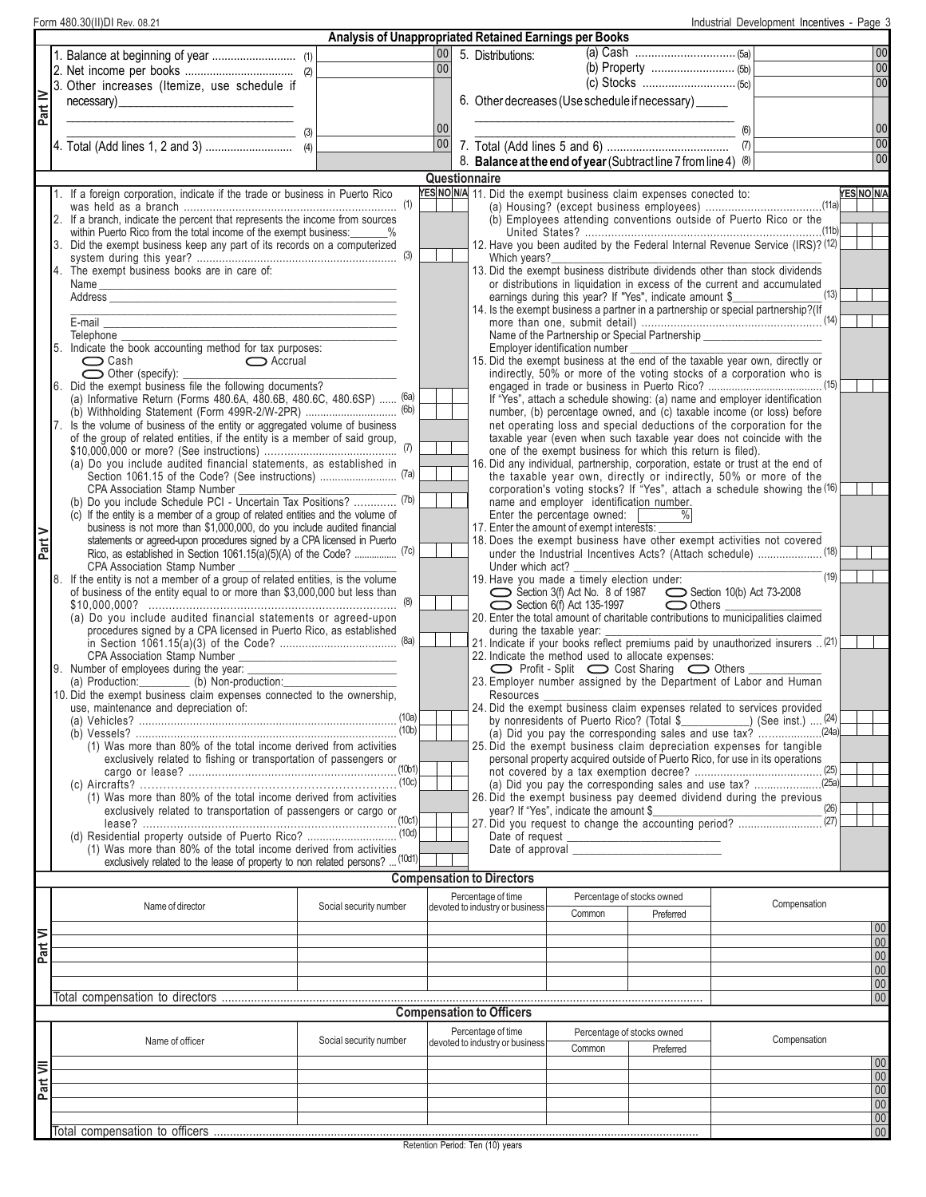|          | Form 480.30(II)DI Rev. 08.21                                                                                                                       |                                                        |                 |                                                       |                                           |                                                                                                                                                |     | Industrial Development Incentives - Page 3 |                   |                 |
|----------|----------------------------------------------------------------------------------------------------------------------------------------------------|--------------------------------------------------------|-----------------|-------------------------------------------------------|-------------------------------------------|------------------------------------------------------------------------------------------------------------------------------------------------|-----|--------------------------------------------|-------------------|-----------------|
|          |                                                                                                                                                    | Analysis of Unappropriated Retained Earnings per Books |                 |                                                       |                                           |                                                                                                                                                |     |                                            |                   |                 |
|          |                                                                                                                                                    |                                                        |                 | 00 5. Distributions:                                  |                                           |                                                                                                                                                |     |                                            |                   | 00              |
|          |                                                                                                                                                    |                                                        | 00 <sup>1</sup> |                                                       |                                           |                                                                                                                                                |     |                                            |                   | 00              |
|          | 3. Other increases (Itemize, use schedule if                                                                                                       |                                                        |                 |                                                       |                                           |                                                                                                                                                |     |                                            |                   | 00              |
|          | necessary)<br>the control of the control of the control of                                                                                         |                                                        |                 |                                                       |                                           | 6. Other decreases (Use schedule if necessary) _____                                                                                           |     |                                            |                   |                 |
| Part IV  |                                                                                                                                                    |                                                        |                 |                                                       |                                           |                                                                                                                                                |     |                                            |                   |                 |
|          |                                                                                                                                                    |                                                        | 00              |                                                       |                                           |                                                                                                                                                | (6) |                                            |                   | 00              |
|          |                                                                                                                                                    |                                                        | 00              |                                                       |                                           |                                                                                                                                                | (7) |                                            |                   | 00              |
|          |                                                                                                                                                    |                                                        |                 |                                                       |                                           | 8. Balance at the end of year (Subtract line 7 from line 4) (8)                                                                                |     |                                            |                   | 00              |
|          |                                                                                                                                                    |                                                        | Questionnaire   |                                                       |                                           |                                                                                                                                                |     |                                            |                   |                 |
|          | 1. If a foreign corporation, indicate if the trade or business in Puerto Rico                                                                      |                                                        |                 |                                                       |                                           | YES NO N/A 11. Did the exempt business claim expenses conected to:                                                                             |     |                                            | <b>YES NO N/A</b> |                 |
|          |                                                                                                                                                    |                                                        |                 |                                                       |                                           |                                                                                                                                                |     |                                            |                   |                 |
|          | 2. If a branch, indicate the percent that represents the income from sources                                                                       |                                                        |                 |                                                       |                                           | (b) Employees attending conventions outside of Puerto Rico or the                                                                              |     |                                            |                   |                 |
|          | within Puerto Rico from the total income of the exempt business: 4%                                                                                |                                                        |                 |                                                       |                                           |                                                                                                                                                |     |                                            |                   |                 |
|          | 3. Did the exempt business keep any part of its records on a computerized                                                                          |                                                        |                 |                                                       |                                           | 12. Have you been audited by the Federal Internal Revenue Service (IRS)? (12)                                                                  |     |                                            |                   |                 |
|          | 4. The exempt business books are in care of:                                                                                                       |                                                        |                 | Which years?                                          |                                           | 13. Did the exempt business distribute dividends other than stock dividends                                                                    |     |                                            |                   |                 |
|          | Name<br><u> 1989 - Johann John Harry Harry Harry Harry Harry Harry Harry Harry Harry Harry Harry Harry Harry Harry Harry</u>                       |                                                        |                 |                                                       |                                           | or distributions in liquidation in excess of the current and accumulated                                                                       |     |                                            |                   |                 |
|          |                                                                                                                                                    |                                                        |                 |                                                       |                                           | earnings during this year? If "Yes", indicate amount \$_                                                                                       |     | (13)                                       |                   |                 |
|          |                                                                                                                                                    |                                                        |                 |                                                       |                                           | 14. Is the exempt business a partner in a partnership or special partnership?(If                                                               |     |                                            |                   |                 |
|          | E-mail                                                                                                                                             |                                                        |                 |                                                       |                                           |                                                                                                                                                |     |                                            |                   |                 |
|          | Telephone                                                                                                                                          |                                                        |                 |                                                       |                                           | Name of the Partnership or Special Partnership _________________________________                                                               |     |                                            |                   |                 |
|          | 5. Indicate the book accounting method for tax purposes:<br>$\bigcirc$ Cash<br>Accrual                                                             |                                                        |                 |                                                       | Employer identification number            | 15. Did the exempt business at the end of the taxable year own, directly or                                                                    |     |                                            |                   |                 |
|          | $\bigcirc$ Other (specify):                                                                                                                        |                                                        |                 |                                                       |                                           | indirectly, 50% or more of the voting stocks of a corporation who is                                                                           |     |                                            |                   |                 |
|          | 6. Did the exempt business file the following documents?                                                                                           |                                                        |                 |                                                       |                                           |                                                                                                                                                |     |                                            |                   |                 |
|          | (a) Informative Return (Forms 480.6A, 480.6B, 480.6C, 480.6SP)  (6a)                                                                               |                                                        |                 |                                                       |                                           | If "Yes", attach a schedule showing: (a) name and employer identification                                                                      |     |                                            |                   |                 |
|          |                                                                                                                                                    |                                                        |                 |                                                       |                                           | number, (b) percentage owned, and (c) taxable income (or loss) before                                                                          |     |                                            |                   |                 |
|          | 7. Is the volume of business of the entity or aggregated volume of business                                                                        |                                                        |                 |                                                       |                                           | net operating loss and special deductions of the corporation for the                                                                           |     |                                            |                   |                 |
|          | of the group of related entities, if the entity is a member of said group,                                                                         |                                                        |                 |                                                       |                                           | taxable year (even when such taxable year does not coincide with the                                                                           |     |                                            |                   |                 |
|          | (a) Do you include audited financial statements, as established in                                                                                 |                                                        |                 |                                                       |                                           | one of the exempt business for which this return is filed).<br>16. Did any individual, partnership, corporation, estate or trust at the end of |     |                                            |                   |                 |
|          |                                                                                                                                                    |                                                        |                 |                                                       |                                           | the taxable year own, directly or indirectly, 50% or more of the                                                                               |     |                                            |                   |                 |
|          | CPA Association Stamp Number                                                                                                                       |                                                        |                 |                                                       |                                           | corporation's voting stocks? If "Yes", attach a schedule showing the (16)                                                                      |     |                                            |                   |                 |
|          | (b) Do you include Schedule PCI - Uncertain Tax Positions?  (7b)                                                                                   |                                                        |                 |                                                       | name and employer identification number.  |                                                                                                                                                |     |                                            |                   |                 |
|          | (c) If the entity is a member of a group of related entities and the volume of                                                                     |                                                        |                 |                                                       | Enter the percentage owned:               |                                                                                                                                                |     |                                            |                   |                 |
| Part V   | business is not more than \$1,000,000, do you include audited financial<br>statements or agreed-upon procedures signed by a CPA licensed in Puerto |                                                        |                 |                                                       | 17. Enter the amount of exempt interests: | 18. Does the exempt business have other exempt activities not covered                                                                          |     |                                            |                   |                 |
|          | Rico, as established in Section 1061.15(a)(5)(A) of the Code?  (7c)                                                                                |                                                        |                 |                                                       |                                           | under the Industrial Incentives Acts? (Attach schedule)  (18)                                                                                  |     |                                            |                   |                 |
|          | CPA Association Stamp Number                                                                                                                       |                                                        |                 | Under which act?                                      |                                           |                                                                                                                                                |     |                                            |                   |                 |
|          | 8. If the entity is not a member of a group of related entities, is the volume                                                                     |                                                        |                 |                                                       |                                           | 19. Have you made a timely election under:                                                                                                     |     | (19)                                       |                   |                 |
|          | of business of the entity equal to or more than \$3,000,000 but less than                                                                          |                                                        |                 |                                                       |                                           | Section 3(f) Act No. 8 of 1987<br>Section 10(b) Act 73-2008                                                                                    |     |                                            |                   |                 |
|          |                                                                                                                                                    |                                                        |                 |                                                       | $\sum$ Section 6(f) Act 135-1997          | $\bigcirc$ Others $\overline{\phantom{a}}$                                                                                                     |     |                                            |                   |                 |
|          | (a) Do you include audited financial statements or agreed-upon<br>procedures signed by a CPA licensed in Puerto Rico, as established               |                                                        |                 |                                                       | during the taxable year:                  | 20. Enter the total amount of charitable contributions to municipalities claimed                                                               |     |                                            |                   |                 |
|          |                                                                                                                                                    |                                                        |                 |                                                       |                                           | 21. Indicate if your books reflect premiums paid by unauthorized insurers  (21)                                                                |     |                                            |                   |                 |
|          | CPA Association Stamp Number                                                                                                                       |                                                        |                 |                                                       |                                           | 22. Indicate the method used to allocate expenses:                                                                                             |     |                                            |                   |                 |
|          | 9. Number of employees during the year:                                                                                                            |                                                        |                 |                                                       |                                           |                                                                                                                                                |     |                                            |                   |                 |
|          | (a) Production:____________ (b) Non-production:____                                                                                                |                                                        |                 |                                                       |                                           | 23. Employer number assigned by the Department of Labor and Human                                                                              |     |                                            |                   |                 |
|          | 10. Did the exempt business claim expenses connected to the ownership,<br>use, maintenance and depreciation of:                                    |                                                        |                 | Resources                                             |                                           | 24. Did the exempt business claim expenses related to services provided                                                                        |     |                                            |                   |                 |
|          |                                                                                                                                                    |                                                        |                 |                                                       |                                           | by nonresidents of Puerto Rico? (Total \$ ) (See inst.)  (24)                                                                                  |     |                                            |                   |                 |
|          |                                                                                                                                                    |                                                        |                 |                                                       |                                           |                                                                                                                                                |     |                                            |                   |                 |
|          | (1) Was more than 80% of the total income derived from activities                                                                                  |                                                        |                 |                                                       |                                           | 25. Did the exempt business claim depreciation expenses for tangible                                                                           |     |                                            |                   |                 |
|          |                                                                                                                                                    |                                                        |                 |                                                       |                                           | personal property acquired outside of Puerto Rico, for use in its operations                                                                   |     |                                            |                   |                 |
|          |                                                                                                                                                    |                                                        |                 |                                                       |                                           | (a) Did you pay the corresponding sales and use tax? 25a)                                                                                      |     |                                            |                   |                 |
|          | (1) Was more than 80% of the total income derived from activities                                                                                  |                                                        |                 |                                                       |                                           | 26. Did the exempt business pay deemed dividend during the previous                                                                            |     |                                            |                   |                 |
|          |                                                                                                                                                    |                                                        |                 |                                                       |                                           |                                                                                                                                                |     |                                            |                   |                 |
|          |                                                                                                                                                    |                                                        |                 |                                                       |                                           |                                                                                                                                                |     |                                            |                   |                 |
|          | (d) Residential property outside of Puerto Rico?  (10d)                                                                                            |                                                        |                 |                                                       |                                           |                                                                                                                                                |     |                                            |                   |                 |
|          | (1) Was more than 80% of the total income derived from activities<br>exclusively related to the lease of property to non related persons?  (10d1)  |                                                        |                 |                                                       |                                           |                                                                                                                                                |     |                                            |                   |                 |
|          |                                                                                                                                                    |                                                        |                 |                                                       |                                           |                                                                                                                                                |     |                                            |                   |                 |
|          |                                                                                                                                                    |                                                        |                 | <b>Compensation to Directors</b>                      |                                           |                                                                                                                                                |     |                                            |                   |                 |
|          | Name of director                                                                                                                                   | Social security number                                 |                 | Percentage of time<br>devoted to industry or business |                                           | Percentage of stocks owned                                                                                                                     |     | Compensation                               |                   |                 |
|          |                                                                                                                                                    |                                                        |                 |                                                       | Common                                    | Preferred                                                                                                                                      |     |                                            |                   |                 |
|          |                                                                                                                                                    |                                                        |                 |                                                       |                                           |                                                                                                                                                |     |                                            |                   | 00              |
| Part VI  |                                                                                                                                                    |                                                        |                 |                                                       |                                           |                                                                                                                                                |     |                                            |                   | 00              |
|          |                                                                                                                                                    |                                                        |                 |                                                       |                                           |                                                                                                                                                |     |                                            |                   | 00              |
|          |                                                                                                                                                    |                                                        |                 |                                                       |                                           |                                                                                                                                                |     |                                            |                   | 00              |
|          |                                                                                                                                                    |                                                        |                 |                                                       |                                           |                                                                                                                                                |     |                                            |                   | 00 <br> 00      |
|          |                                                                                                                                                    |                                                        |                 | <b>Compensation to Officers</b>                       |                                           |                                                                                                                                                |     |                                            |                   |                 |
|          |                                                                                                                                                    |                                                        |                 |                                                       |                                           |                                                                                                                                                |     |                                            |                   |                 |
|          | Name of officer                                                                                                                                    | Social security number                                 |                 | Percentage of time<br>devoted to industry or business |                                           | Percentage of stocks owned                                                                                                                     |     | Compensation                               |                   |                 |
|          |                                                                                                                                                    |                                                        |                 |                                                       | Common                                    | Preferred                                                                                                                                      |     |                                            |                   | 00              |
| Part VII |                                                                                                                                                    |                                                        |                 |                                                       |                                           |                                                                                                                                                |     |                                            |                   | 00              |
|          |                                                                                                                                                    |                                                        |                 |                                                       |                                           |                                                                                                                                                |     |                                            |                   | 00              |
|          |                                                                                                                                                    |                                                        |                 |                                                       |                                           |                                                                                                                                                |     |                                            |                   | 00 <sub>1</sub> |
|          |                                                                                                                                                    |                                                        |                 |                                                       |                                           |                                                                                                                                                |     |                                            |                   | 00              |
|          |                                                                                                                                                    |                                                        |                 |                                                       |                                           |                                                                                                                                                |     |                                            |                   | 00 <sub>1</sub> |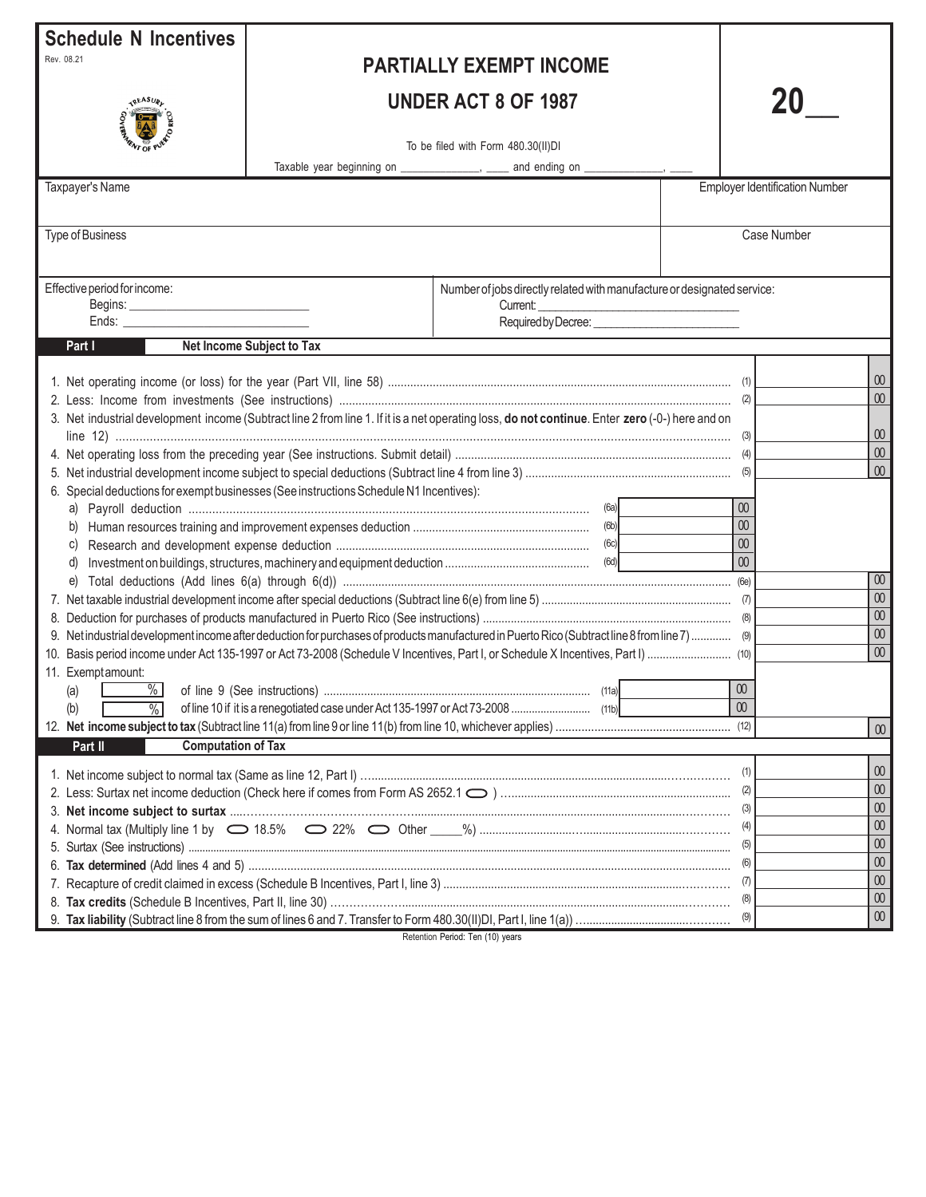| <b>Schedule N Incentives</b><br>Rev. 08.21<br>IREASUR<br>Taxpayer's Name                                                                                                                       |                           | <b>PARTIALLY EXEMPT INCOME</b><br><b>UNDER ACT 8 OF 1987</b><br>To be filed with Form 480.30(II)DI<br>Taxable year beginning on _______________, _____ and ending on ______________, _ |                                                                                                         | <b>Employer Identification Number</b>                                                                                                           |
|------------------------------------------------------------------------------------------------------------------------------------------------------------------------------------------------|---------------------------|----------------------------------------------------------------------------------------------------------------------------------------------------------------------------------------|---------------------------------------------------------------------------------------------------------|-------------------------------------------------------------------------------------------------------------------------------------------------|
| <b>Type of Business</b>                                                                                                                                                                        |                           |                                                                                                                                                                                        |                                                                                                         | Case Number                                                                                                                                     |
| Effective period for income:<br>Part I                                                                                                                                                         | Net Income Subject to Tax | Number of jobs directly related with manufacture or designated service:<br>Current:                                                                                                    |                                                                                                         |                                                                                                                                                 |
| 6. Special deductions for exempt businesses (See instructions Schedule N1 Incentives):<br>C)<br>d)<br>11. Exemptamount:<br>(a)<br>$\frac{9}{6}$<br>(b)<br><b>Computation of Tax</b><br>Part II |                           | 3. Net industrial development income (Subtract line 2 from line 1. If it is a net operating loss, do not continue. Enter zero (-0-) here and on<br>(11a)                               | $\boldsymbol{00}$<br>$\boldsymbol{00}$<br>$\boldsymbol{00}$<br>$\infty$<br>$\sqrt{0}$<br>$00\,$<br>(12) | $\infty$<br>$\infty$<br>$\omega$<br>$00\,$<br>$00\,$<br>$\overline{00}$<br>$\omega$<br>$\omega$<br>$\overline{00}$<br>$\overline{00}$<br>$00\,$ |
|                                                                                                                                                                                                |                           |                                                                                                                                                                                        | (1)<br>(2)<br>(3)<br>(4)<br>(5)<br>(6)<br>(7)<br>(8)<br>(9)                                             | $\infty$<br>$\infty$<br>$\omega$<br>$\omega$<br>$\omega$<br>$\infty$<br>$\infty$<br>$\infty$<br>$\infty$                                        |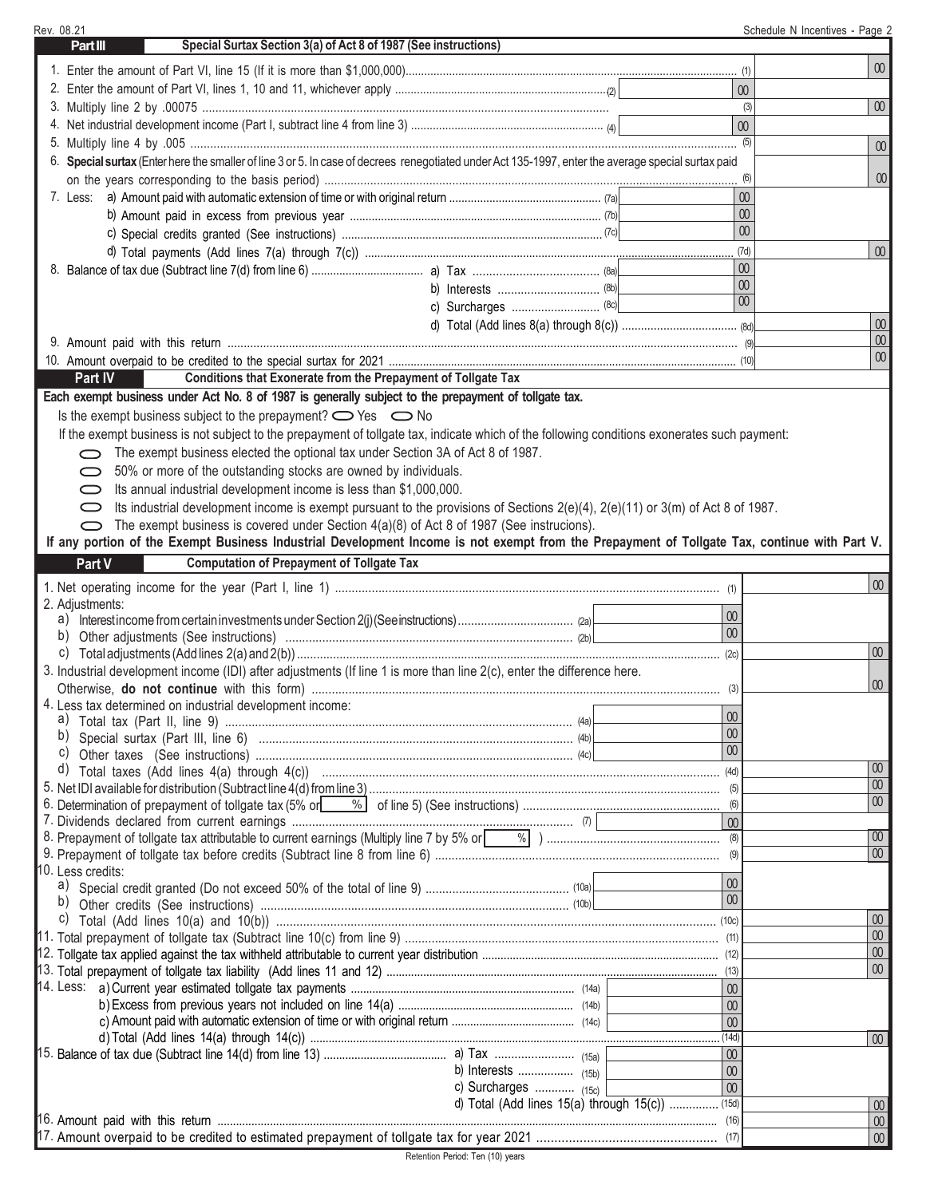| Rev. 08.21                                                                     |                                                                                                                                                                                                                                          |                                                 | Schedule N Incentives - Page 2 |
|--------------------------------------------------------------------------------|------------------------------------------------------------------------------------------------------------------------------------------------------------------------------------------------------------------------------------------|-------------------------------------------------|--------------------------------|
| <b>Part III</b>                                                                | Special Surtax Section 3(a) of Act 8 of 1987 (See instructions)                                                                                                                                                                          |                                                 |                                |
|                                                                                |                                                                                                                                                                                                                                          |                                                 | $00\,$                         |
|                                                                                |                                                                                                                                                                                                                                          |                                                 | $00\,$                         |
|                                                                                |                                                                                                                                                                                                                                          |                                                 | $00\,$<br>(3)                  |
|                                                                                |                                                                                                                                                                                                                                          |                                                 | $\infty$                       |
|                                                                                | 6. Special surtax (Enter here the smaller of line 3 or 5. In case of decrees renegotiated under Act 135-1997, enter the average special surtax paid                                                                                      |                                                 | 00                             |
|                                                                                |                                                                                                                                                                                                                                          |                                                 | 00                             |
| $7.$ Less:                                                                     |                                                                                                                                                                                                                                          |                                                 | $\boldsymbol{00}$              |
|                                                                                |                                                                                                                                                                                                                                          |                                                 | $\infty$                       |
|                                                                                |                                                                                                                                                                                                                                          |                                                 | $\infty$                       |
|                                                                                |                                                                                                                                                                                                                                          |                                                 | $\omega$<br>(7d)               |
|                                                                                |                                                                                                                                                                                                                                          |                                                 | 00                             |
|                                                                                |                                                                                                                                                                                                                                          |                                                 | $\infty$                       |
|                                                                                |                                                                                                                                                                                                                                          |                                                 | $\overline{00}$                |
|                                                                                |                                                                                                                                                                                                                                          |                                                 | $\infty$                       |
|                                                                                |                                                                                                                                                                                                                                          |                                                 | $\infty$                       |
|                                                                                |                                                                                                                                                                                                                                          |                                                 | $\omega$                       |
| Part IV                                                                        | Conditions that Exonerate from the Prepayment of Tollgate Tax                                                                                                                                                                            |                                                 |                                |
|                                                                                | Each exempt business under Act No. 8 of 1987 is generally subject to the prepayment of tollgate tax.                                                                                                                                     |                                                 |                                |
| Is the exempt business subject to the prepayment? $\bigcirc$ Yes $\bigcirc$ No |                                                                                                                                                                                                                                          |                                                 |                                |
|                                                                                | If the exempt business is not subject to the prepayment of tollgate tax, indicate which of the following conditions exonerates such payment:                                                                                             |                                                 |                                |
|                                                                                | The exempt business elected the optional tax under Section 3A of Act 8 of 1987.                                                                                                                                                          |                                                 |                                |
| 50% or more of the outstanding stocks are owned by individuals.<br>$\bigcirc$  |                                                                                                                                                                                                                                          |                                                 |                                |
| Its annual industrial development income is less than \$1,000,000.             |                                                                                                                                                                                                                                          |                                                 |                                |
| $\bigcirc$                                                                     | Its industrial development income is exempt pursuant to the provisions of Sections 2(e)(4), 2(e)(11) or 3(m) of Act 8 of 1987.                                                                                                           |                                                 |                                |
|                                                                                | The exempt business is covered under Section 4(a)(8) of Act 8 of 1987 (See instrucions).<br>If any portion of the Exempt Business Industrial Development Income is not exempt from the Prepayment of Tollgate Tax, continue with Part V. |                                                 |                                |
|                                                                                | <b>Computation of Prepayment of Tollgate Tax</b>                                                                                                                                                                                         |                                                 |                                |
| Part V                                                                         |                                                                                                                                                                                                                                          |                                                 |                                |
|                                                                                |                                                                                                                                                                                                                                          |                                                 | $\overline{00}$                |
| 2. Adjustments:<br>a)                                                          |                                                                                                                                                                                                                                          | 00                                              |                                |
| b)                                                                             |                                                                                                                                                                                                                                          | $\omega$                                        |                                |
|                                                                                |                                                                                                                                                                                                                                          | (2c)                                            | $\overline{00}$                |
|                                                                                | 3. Industrial development income (IDI) after adjustments (If line 1 is more than line 2(c), enter the difference here.                                                                                                                   |                                                 |                                |
|                                                                                |                                                                                                                                                                                                                                          |                                                 | 00 <sup>°</sup>                |
| 4. Less tax determined on industrial development income:                       |                                                                                                                                                                                                                                          |                                                 |                                |
| a)                                                                             |                                                                                                                                                                                                                                          | 00<br>$\omega$                                  |                                |
| b)<br>C)                                                                       |                                                                                                                                                                                                                                          | $\omega$                                        |                                |
|                                                                                |                                                                                                                                                                                                                                          |                                                 | 00 <sub>o</sub>                |
|                                                                                |                                                                                                                                                                                                                                          |                                                 | 00                             |
|                                                                                |                                                                                                                                                                                                                                          |                                                 | 00                             |
|                                                                                |                                                                                                                                                                                                                                          | $\overline{0}$                                  |                                |
|                                                                                |                                                                                                                                                                                                                                          |                                                 | $\overline{00}$                |
|                                                                                |                                                                                                                                                                                                                                          |                                                 | 00                             |
| 10. Less credits:                                                              |                                                                                                                                                                                                                                          | 00                                              |                                |
| b)                                                                             |                                                                                                                                                                                                                                          | $\infty$                                        |                                |
|                                                                                |                                                                                                                                                                                                                                          |                                                 | 00 <sup>°</sup>                |
|                                                                                |                                                                                                                                                                                                                                          |                                                 | $\infty$                       |
|                                                                                |                                                                                                                                                                                                                                          |                                                 | 00 <sup>°</sup>                |
|                                                                                |                                                                                                                                                                                                                                          |                                                 | 00 <sup>1</sup>                |
|                                                                                |                                                                                                                                                                                                                                          | $\infty$                                        |                                |
|                                                                                |                                                                                                                                                                                                                                          | $\omega$                                        |                                |
|                                                                                |                                                                                                                                                                                                                                          | $\overline{00}$                                 |                                |
|                                                                                |                                                                                                                                                                                                                                          | (14d)<br>00                                     | 00 <sup>°</sup>                |
|                                                                                |                                                                                                                                                                                                                                          | $\infty$                                        |                                |
|                                                                                | c) Surcharges  (15c)                                                                                                                                                                                                                     | $\omega$                                        |                                |
|                                                                                |                                                                                                                                                                                                                                          | d) Total (Add lines 15(a) through 15(c))  (15d) | 00                             |
|                                                                                |                                                                                                                                                                                                                                          |                                                 | 00 <sup>1</sup>                |
|                                                                                |                                                                                                                                                                                                                                          |                                                 | $00\,$                         |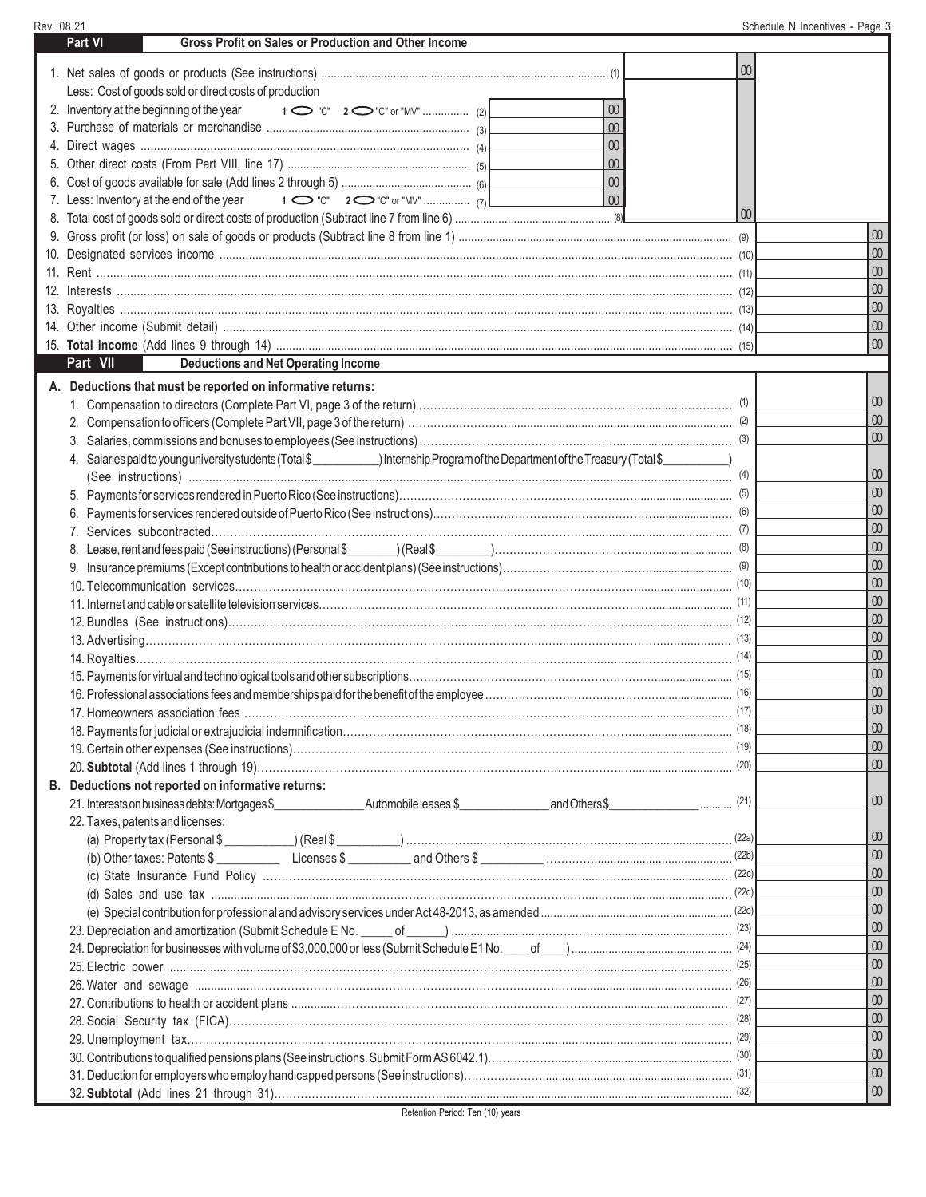| Rev. 08.21                                                                                                                                        |                 | Schedule N Incentives - Page 3 |
|---------------------------------------------------------------------------------------------------------------------------------------------------|-----------------|--------------------------------|
| Gross Profit on Sales or Production and Other Income<br><b>Part VI</b>                                                                            |                 |                                |
|                                                                                                                                                   |                 |                                |
|                                                                                                                                                   | $00\,$          |                                |
| Less: Cost of goods sold or direct costs of production                                                                                            |                 |                                |
| $00\,$<br>2. Inventory at the beginning of the year                                                                                               |                 |                                |
| $\infty$                                                                                                                                          |                 |                                |
| 00                                                                                                                                                |                 |                                |
| $\omega$                                                                                                                                          |                 |                                |
| $\omega$                                                                                                                                          |                 |                                |
| $\overline{00}$<br>7. Less: Inventory at the end of the year                                                                                      |                 |                                |
|                                                                                                                                                   | 00 <sup>°</sup> |                                |
|                                                                                                                                                   |                 | $00\,$                         |
|                                                                                                                                                   |                 | $00\,$                         |
|                                                                                                                                                   |                 | $\infty$                       |
|                                                                                                                                                   |                 | $\infty$                       |
|                                                                                                                                                   |                 | $\infty$                       |
|                                                                                                                                                   |                 | $\infty$                       |
|                                                                                                                                                   |                 | $\omega$                       |
| Part VII<br><b>Deductions and Net Operating Income</b>                                                                                            |                 |                                |
| A. Deductions that must be reported on informative returns:                                                                                       |                 |                                |
|                                                                                                                                                   |                 | 00 <sup>°</sup>                |
|                                                                                                                                                   |                 | 00 <sup>°</sup>                |
|                                                                                                                                                   |                 | 00 <sup>°</sup>                |
| 4. Salaries paid to young university students (Total \$_____________) Internship Program of the Department of the Treasury (Total \$____________) |                 |                                |
|                                                                                                                                                   |                 | 00 <sup>°</sup>                |
|                                                                                                                                                   |                 | $\omega$                       |
|                                                                                                                                                   |                 | $\omega$                       |
|                                                                                                                                                   |                 | $\omega$                       |
|                                                                                                                                                   |                 | $\omega$                       |
|                                                                                                                                                   |                 | $\omega$                       |
|                                                                                                                                                   |                 | $\omega$                       |
|                                                                                                                                                   |                 | $\omega$                       |
|                                                                                                                                                   |                 | $\omega$                       |
|                                                                                                                                                   |                 | $\omega$                       |
|                                                                                                                                                   |                 | $\omega$                       |
|                                                                                                                                                   |                 | $\omega$                       |
|                                                                                                                                                   | $\ldots$ (16)   | $00\,$                         |
|                                                                                                                                                   |                 | $\infty$                       |
|                                                                                                                                                   |                 | $\infty$                       |
|                                                                                                                                                   |                 | $\omega$                       |
|                                                                                                                                                   |                 | 00 <sup>°</sup>                |
| B. Deductions not reported on informative returns:                                                                                                |                 |                                |
|                                                                                                                                                   |                 | 00 <sup>°</sup>                |
| 22. Taxes, patents and licenses:                                                                                                                  |                 |                                |
|                                                                                                                                                   |                 | 00 <sup>°</sup>                |
| (b) Other taxes: Patents \$                                                                                                                       |                 | $\infty$                       |
|                                                                                                                                                   |                 | 00 <sup>°</sup>                |
|                                                                                                                                                   |                 | $\omega$                       |
|                                                                                                                                                   |                 | $\omega$                       |
|                                                                                                                                                   |                 | $\omega$                       |
|                                                                                                                                                   |                 | $\omega$                       |
|                                                                                                                                                   |                 | $\omega$                       |
|                                                                                                                                                   |                 | $\omega$                       |
|                                                                                                                                                   |                 | $\omega$                       |
|                                                                                                                                                   |                 | $\omega$                       |
|                                                                                                                                                   |                 | $\omega$                       |
|                                                                                                                                                   |                 | $\omega$                       |
|                                                                                                                                                   |                 | 00 <sup>°</sup>                |
|                                                                                                                                                   |                 | 00 <sup>°</sup>                |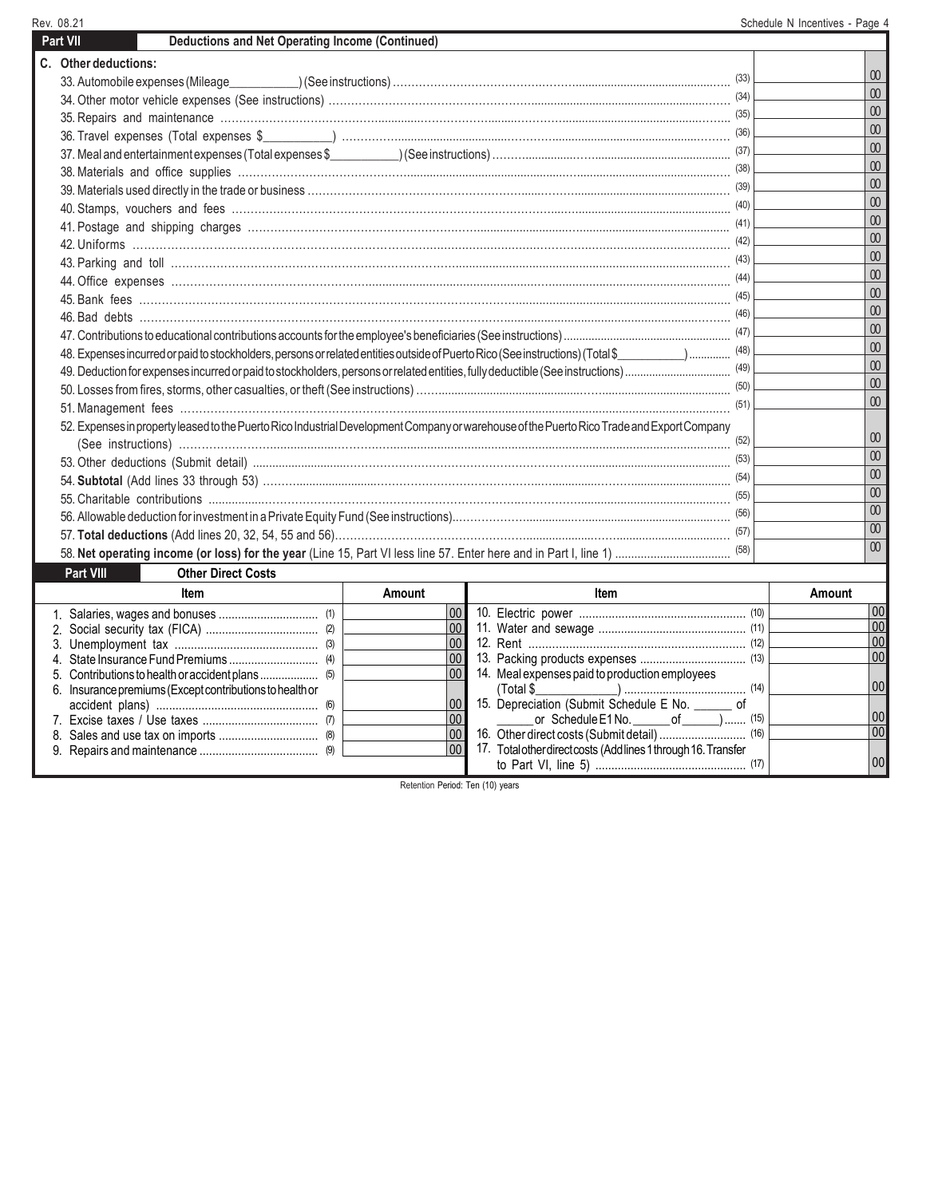**C. Other deductions:** 33. Automobile expenses (Mileage\_\_\_\_\_\_\_\_\_\_\_) (See instructions) ………………………………….………...........................................….. (33) 34. Other motor vehicle expenses (See instructions) ………………………………………………......................................................……. (34) 35. Repairs and maintenance …………………………………….............……………….........…………..........................................……... (35) 36. Travel expenses (Total expenses \$\_\_\_\_\_\_\_\_\_\_\_) ……………..................................………….............................................……… (36) 37. Meal and entertainment expenses (Total expenses \$\_\_\_\_\_\_\_\_\_\_\_) (See instructions) ………...............……........................................... (37) 38. Materials and office supplies ……………………………………….................................................…...........................................…. (38) 39. Materials used directly in the trade or business …………………………………………………......……….............................................… (39) 40. Stamps, vouchers and fees ………….………………………………………………………………....…................................................ (40) 41. Postage and shipping charges ……………………………………………….……............................….............................................. (41) 42. Uniforms …………………………………………………………………..................................….…............................................. (42) 43. Parking and toll …………………………………………………………………...............................................................................… (43) 44. Office expenses ……………………………………………...................................................…...................................................... (44) 45. Bank fees ………………………………………………………………………………………................................................................ (45) 46. Bad debts ……………………………………………………………………………………..........................................................……... (46) 47. Contributions to educational contributions accounts for the employee's beneficiaries (See instructions) ...................................................... (47) 48. Expenses incurred or paid to stockholders, persons or related entities outside of Puerto Rico (See instructions) (Total \$\_\_\_\_\_\_\_\_\_\_\_\_\_\_\_\_\_\_\_\_\_\_\_\_. (48) 49. Deduction for expenses incurred or paid to stockholders, persons or related entities, fully deductible (See instructions) ................................... (49) 50. Losses from fires, storms, other casualties, or theft (See instructions) ……............................................……........................................ (50) 51. Management fees …………………………………………………….............................................................................................… (51) 52. Expenses in property leased to the Puerto Rico Industrial Development Company or warehouse of the Puerto Rico Trade and Export Company (See instructions) ……………………....................………..…..................................................................................................... (52) 53. Other deductions (Submit detail) .............................……………………………………………………….............................................. (53) 54. **Subtotal** (Add lines 33 through 53) ……….........................……………………………………..…..............………............................... (54) 55. Charitable contributions .................…………………………………………………………..……………..........................................…. (55) 56. Allowable deduction for investment in a Private Equity Fund (See instructions)..………………...............…........................................….. (56) 57. **Total deductions** (Add lines 20, 32, 54, 55 and 56)…………………………………………….....................……................................… 58. **Net operating income (or loss) for the year** (Line 15, Part VI less line 57. Enter here and in Part I, line 1) .................................... 00 00 00 00 00 00 00 00 00 00 00 00 00 00 00 00 00 00 00 00 00 00 00 00 00 00 (57) (58) **Part VII** Deductions and Net Operating Income (Continued) Rev. 08.21 Schedule N Incentives - Page 4 **Item Item Amount Part VIII Other Direct Costs Amount**

| Item                                                     | Amount               | ltem                                                           | Amount |
|----------------------------------------------------------|----------------------|----------------------------------------------------------------|--------|
|                                                          | 00                   |                                                                | 00     |
|                                                          | $100$ $\blacksquare$ |                                                                | 00     |
|                                                          | 100 I                |                                                                | 00     |
|                                                          | $100$ $\blacksquare$ |                                                                | 00     |
|                                                          | 00                   | 14. Meal expenses paid to production employees                 |        |
| 6. Insurance premiums (Except contributions to health or |                      |                                                                | 00     |
|                                                          | $100 \, \mathsf{I}$  | 15. Depreciation (Submit Schedule E No. ______ of              |        |
|                                                          |                      | or Schedule $E1$ No. $\qquad \qquad$ of $\qquad \qquad$ ) (15) | 00     |
|                                                          | 00                   |                                                                | 00     |
|                                                          | 00                   | 17. Total other direct costs (Add lines 1 through 16. Transfer |        |
|                                                          |                      |                                                                | 00     |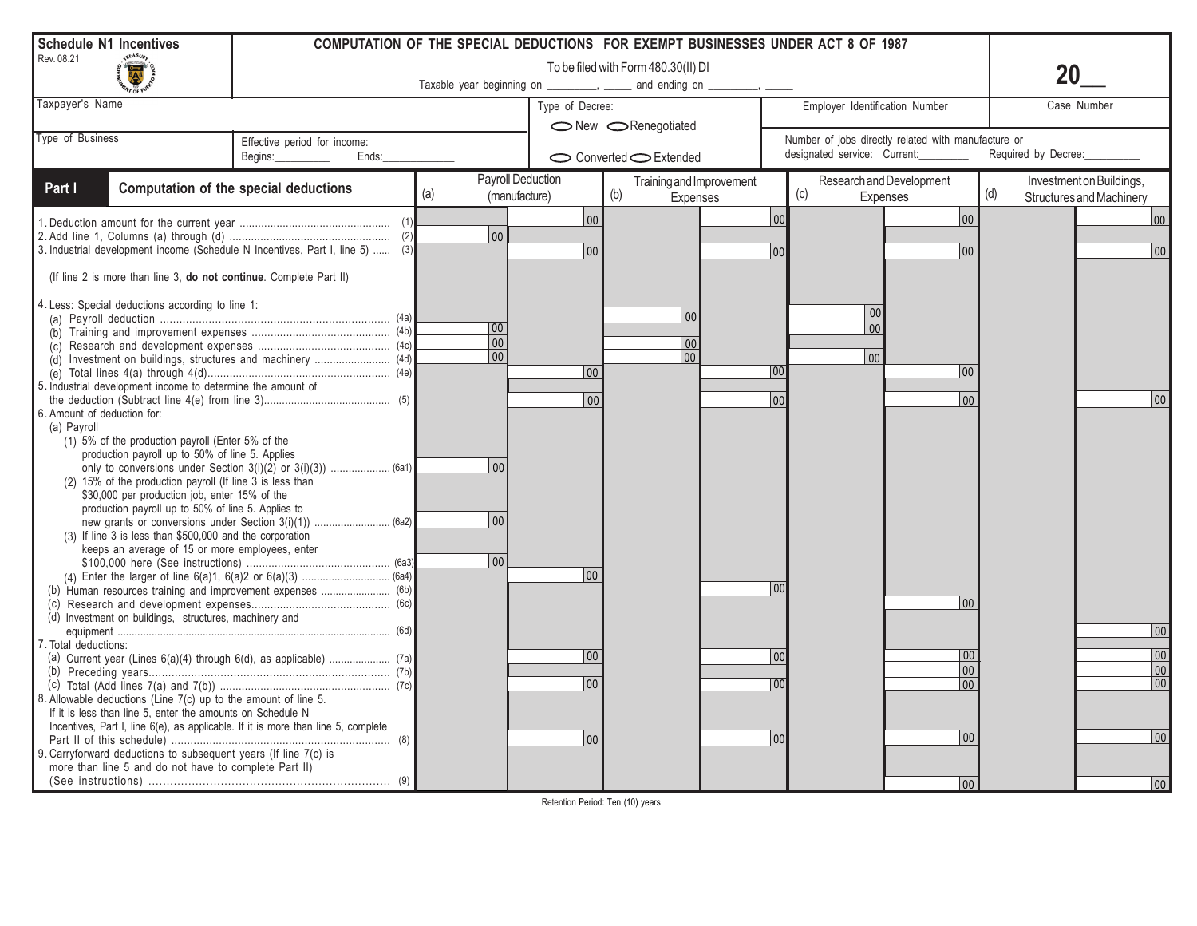| <b>Schedule N1 Incentives</b> |                                                                |                                                                                   |                                           |                 | COMPUTATION OF THE SPECIAL DEDUCTIONS FOR EXEMPT BUSINESSES UNDER ACT 8 OF 1987 |                                                     |                                                                    |
|-------------------------------|----------------------------------------------------------------|-----------------------------------------------------------------------------------|-------------------------------------------|-----------------|---------------------------------------------------------------------------------|-----------------------------------------------------|--------------------------------------------------------------------|
| Rev. 08.21                    |                                                                | To be filed with Form 480.30(II) DI                                               |                                           |                 |                                                                                 |                                                     |                                                                    |
|                               |                                                                |                                                                                   | Taxable year beginning on                 |                 | and ending on                                                                   |                                                     |                                                                    |
| Taxpayer's Name               |                                                                |                                                                                   |                                           | Type of Decree: |                                                                                 | Employer Identification Number                      | Case Number                                                        |
|                               |                                                                |                                                                                   |                                           |                 | ◯ New <benegotiated< td=""><td></td><td></td></benegotiated<>                   |                                                     |                                                                    |
| Type of Business              |                                                                | Effective period for income:                                                      |                                           |                 |                                                                                 | Number of jobs directly related with manufacture or |                                                                    |
|                               |                                                                | Begins:<br>Ends:                                                                  |                                           |                 | Converted C Extended                                                            | designated service: Current:                        | Required by Decree:                                                |
| Part I                        |                                                                | Computation of the special deductions                                             | Payroll Deduction<br>(a)<br>(manufacture) |                 | Training and Improvement<br>(b)<br><b>Expenses</b>                              | Research and Development<br>(c)<br><b>Expenses</b>  | Investment on Buildings,<br>(d)<br><b>Structures and Machinery</b> |
|                               |                                                                |                                                                                   |                                           | 00              |                                                                                 | 00<br>  00                                          | 00                                                                 |
|                               |                                                                |                                                                                   | 00                                        |                 |                                                                                 |                                                     |                                                                    |
|                               |                                                                | 3. Industrial development income (Schedule N Incentives, Part I, line 5)  (3)     |                                           | 00              |                                                                                 | 00<br>$00 \,$                                       | 00                                                                 |
|                               |                                                                | (If line 2 is more than line 3, do not continue. Complete Part II)                |                                           |                 |                                                                                 |                                                     |                                                                    |
|                               | 4. Less: Special deductions according to line 1:               |                                                                                   |                                           |                 |                                                                                 |                                                     |                                                                    |
|                               |                                                                |                                                                                   |                                           |                 | 00                                                                              | 00                                                  |                                                                    |
|                               |                                                                |                                                                                   | 00                                        |                 |                                                                                 | $00\,$                                              |                                                                    |
|                               |                                                                |                                                                                   | 00 <br> 00                                |                 | 00                                                                              |                                                     |                                                                    |
|                               |                                                                | (d) Investment on buildings, structures and machinery  (4d)                       |                                           | 00              | 00                                                                              | $\overline{00}$<br>100<br>$ 00\rangle$              |                                                                    |
|                               | 5. Industrial development income to determine the amount of    |                                                                                   |                                           |                 |                                                                                 |                                                     |                                                                    |
|                               |                                                                |                                                                                   |                                           | 0 <sub>0</sub>  |                                                                                 | 00                                                  | 00                                                                 |
| 6. Amount of deduction for:   |                                                                |                                                                                   |                                           |                 |                                                                                 |                                                     |                                                                    |
| (a) Payroll                   |                                                                |                                                                                   |                                           |                 |                                                                                 |                                                     |                                                                    |
|                               | (1) 5% of the production payroll (Enter 5% of the              |                                                                                   |                                           |                 |                                                                                 |                                                     |                                                                    |
|                               | production payroll up to 50% of line 5. Applies                |                                                                                   |                                           |                 |                                                                                 |                                                     |                                                                    |
|                               | (2) 15% of the production payroll (If line 3 is less than      |                                                                                   | 00                                        |                 |                                                                                 |                                                     |                                                                    |
|                               | \$30,000 per production job, enter 15% of the                  |                                                                                   |                                           |                 |                                                                                 |                                                     |                                                                    |
|                               | production payroll up to 50% of line 5. Applies to             |                                                                                   |                                           |                 |                                                                                 |                                                     |                                                                    |
|                               |                                                                |                                                                                   | $ 00\rangle$                              |                 |                                                                                 |                                                     |                                                                    |
|                               | (3) If line 3 is less than \$500,000 and the corporation       |                                                                                   |                                           |                 |                                                                                 |                                                     |                                                                    |
|                               | keeps an average of 15 or more employees, enter                |                                                                                   | 00                                        |                 |                                                                                 |                                                     |                                                                    |
|                               |                                                                |                                                                                   |                                           | 00              |                                                                                 |                                                     |                                                                    |
|                               |                                                                | (b) Human resources training and improvement expenses  (6b)                       |                                           |                 |                                                                                 | 00                                                  |                                                                    |
|                               |                                                                |                                                                                   |                                           |                 |                                                                                 | 00                                                  |                                                                    |
|                               | (d) Investment on buildings, structures, machinery and         |                                                                                   |                                           |                 |                                                                                 |                                                     |                                                                    |
|                               |                                                                |                                                                                   |                                           |                 |                                                                                 |                                                     | 00                                                                 |
| 7. Total deductions:          |                                                                |                                                                                   |                                           |                 |                                                                                 | 00                                                  | 00                                                                 |
|                               |                                                                |                                                                                   |                                           | 00              |                                                                                 | 0 <sub>0</sub><br>00                                | 00                                                                 |
|                               |                                                                |                                                                                   |                                           | 00              |                                                                                 | 00<br>00                                            | $\overline{00}$                                                    |
|                               | 8. Allowable deductions (Line 7(c) up to the amount of line 5. |                                                                                   |                                           |                 |                                                                                 |                                                     |                                                                    |
|                               | If it is less than line 5, enter the amounts on Schedule N     |                                                                                   |                                           |                 |                                                                                 |                                                     |                                                                    |
|                               |                                                                | Incentives, Part I, line 6(e), as applicable. If it is more than line 5, complete |                                           |                 |                                                                                 |                                                     |                                                                    |
|                               |                                                                |                                                                                   |                                           | 00              |                                                                                 | 00<br>0 <sub>0</sub>                                | $ 00\rangle$                                                       |
|                               |                                                                | 9. Carryforward deductions to subsequent years (If line 7(c) is                   |                                           |                 |                                                                                 |                                                     |                                                                    |
|                               | more than line 5 and do not have to complete Part II)          |                                                                                   |                                           |                 |                                                                                 |                                                     |                                                                    |
|                               |                                                                |                                                                                   |                                           |                 |                                                                                 | 00                                                  | 00                                                                 |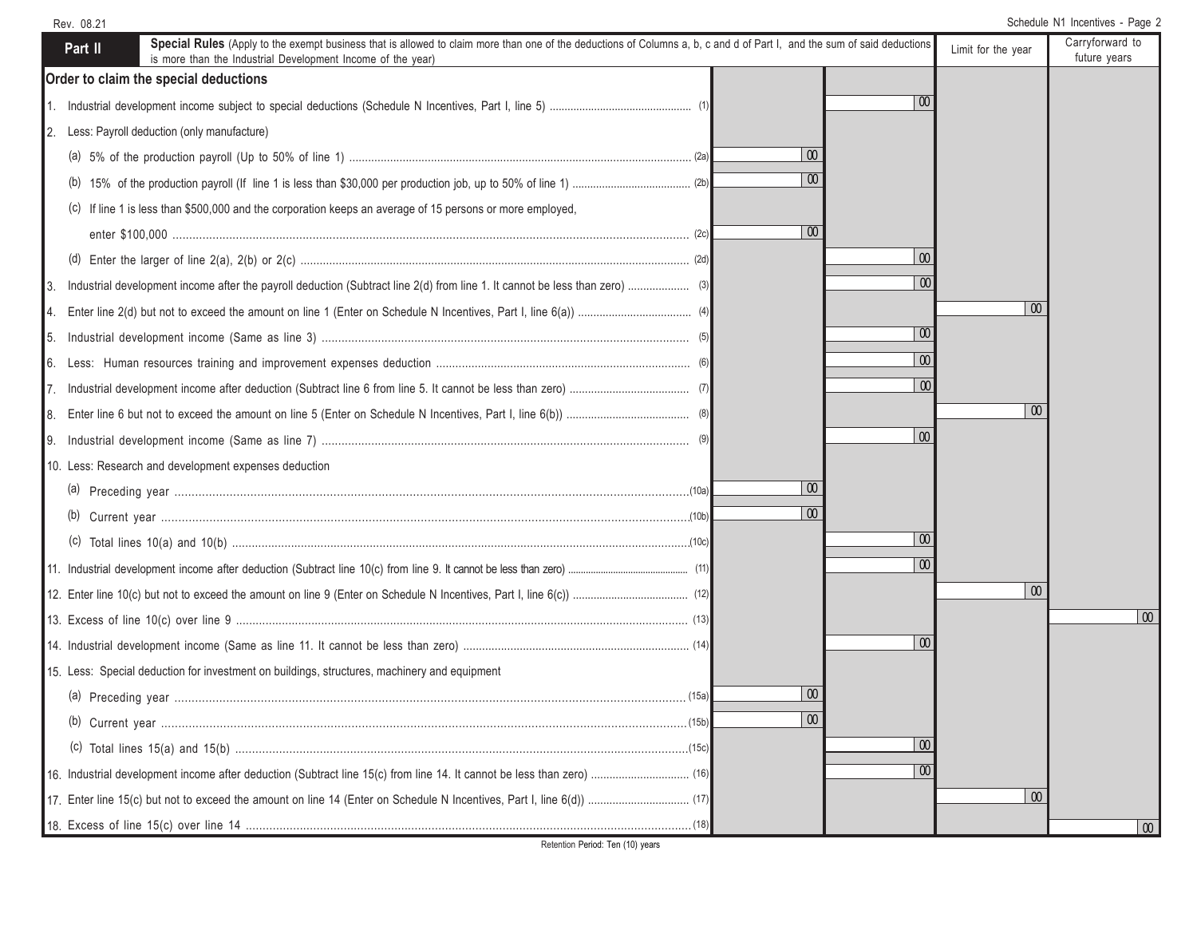| Rev. 08.21                                                                                                                                                                                                                                        |                 |                    | Schedule N1 Incentives - Page 2 |
|---------------------------------------------------------------------------------------------------------------------------------------------------------------------------------------------------------------------------------------------------|-----------------|--------------------|---------------------------------|
| Special Rules (Apply to the exempt business that is allowed to claim more than one of the deductions of Columns a, b, c and d of Part I, and the sum of said deductions<br>Part II<br>is more than the Industrial Development Income of the year) |                 | Limit for the year | Carryforward to<br>future years |
| Order to claim the special deductions                                                                                                                                                                                                             |                 |                    |                                 |
|                                                                                                                                                                                                                                                   | $\infty$        |                    |                                 |
| Less: Payroll deduction (only manufacture)<br>2.                                                                                                                                                                                                  |                 |                    |                                 |
|                                                                                                                                                                                                                                                   | 00              |                    |                                 |
|                                                                                                                                                                                                                                                   | 00              |                    |                                 |
| (c) If line 1 is less than \$500,000 and the corporation keeps an average of 15 persons or more employed,                                                                                                                                         |                 |                    |                                 |
|                                                                                                                                                                                                                                                   | $\overline{00}$ |                    |                                 |
|                                                                                                                                                                                                                                                   | $\overline{00}$ |                    |                                 |
|                                                                                                                                                                                                                                                   | $\infty$        |                    |                                 |
|                                                                                                                                                                                                                                                   |                 | $\infty$           |                                 |
|                                                                                                                                                                                                                                                   | $\omega$        |                    |                                 |
|                                                                                                                                                                                                                                                   | $\overline{00}$ |                    |                                 |
|                                                                                                                                                                                                                                                   | $\overline{00}$ |                    |                                 |
| 18.                                                                                                                                                                                                                                               |                 | $\infty$           |                                 |
| I9.                                                                                                                                                                                                                                               | $\overline{0}$  |                    |                                 |
| 10. Less: Research and development expenses deduction                                                                                                                                                                                             |                 |                    |                                 |
|                                                                                                                                                                                                                                                   | $\infty$        |                    |                                 |
|                                                                                                                                                                                                                                                   | $\overline{00}$ |                    |                                 |
|                                                                                                                                                                                                                                                   | $\overline{00}$ |                    |                                 |
|                                                                                                                                                                                                                                                   | $\infty$        |                    |                                 |
|                                                                                                                                                                                                                                                   |                 | $\boldsymbol{00}$  |                                 |
|                                                                                                                                                                                                                                                   |                 |                    | $\overline{0}$                  |
|                                                                                                                                                                                                                                                   | $\infty$        |                    |                                 |
| 15. Less: Special deduction for investment on buildings, structures, machinery and equipment                                                                                                                                                      |                 |                    |                                 |
|                                                                                                                                                                                                                                                   | 00              |                    |                                 |
|                                                                                                                                                                                                                                                   | $\overline{00}$ |                    |                                 |
|                                                                                                                                                                                                                                                   | $\overline{00}$ |                    |                                 |
|                                                                                                                                                                                                                                                   | $\overline{00}$ |                    |                                 |
|                                                                                                                                                                                                                                                   |                 | $\infty$           |                                 |
|                                                                                                                                                                                                                                                   |                 |                    | $\overline{00}$                 |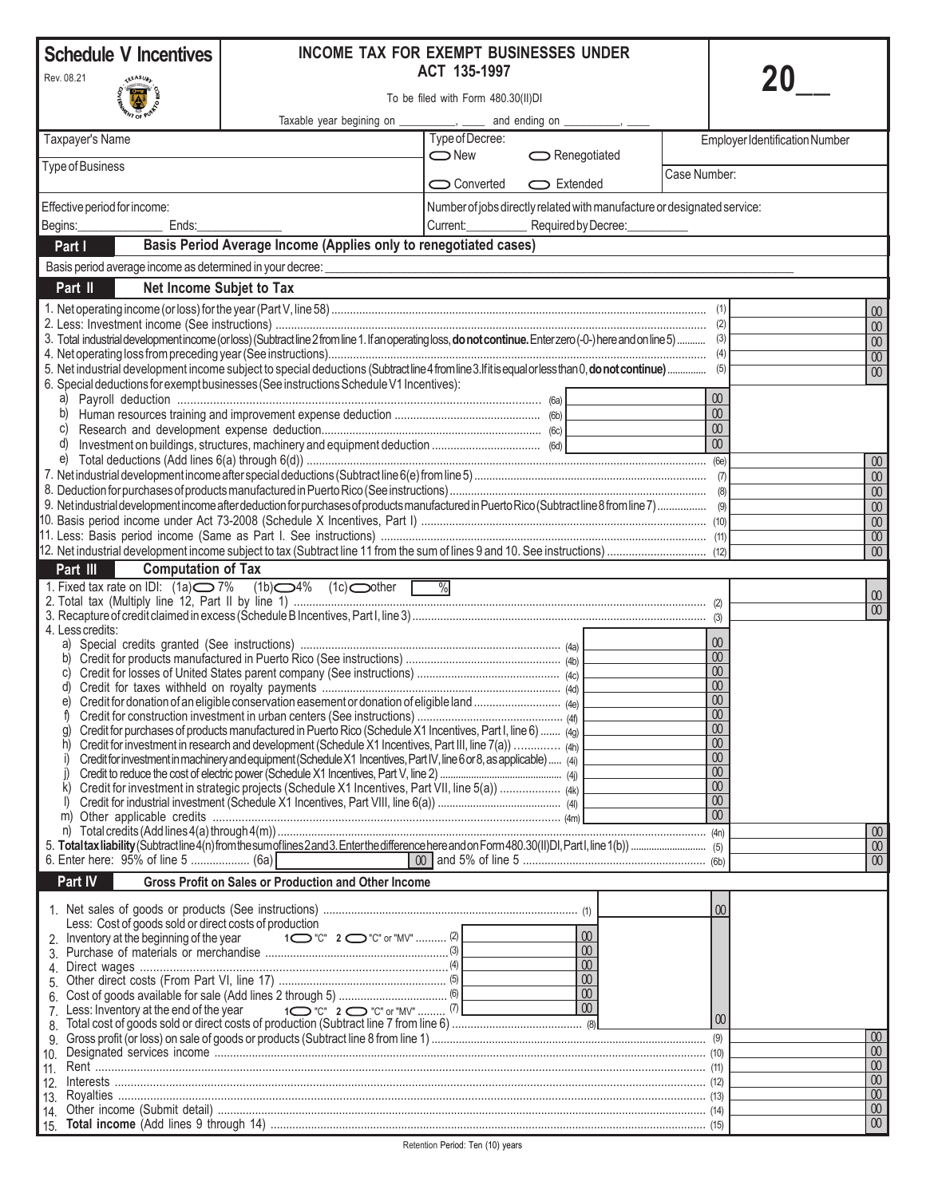| <b>Schedule V Incentives</b>                     |                                           | <b>INCOME TAX FOR EXEMPT BUSINESSES UNDER</b>                                                                                                                   | ACT 135-1997    |                                                                         |                                 |                                       |
|--------------------------------------------------|-------------------------------------------|-----------------------------------------------------------------------------------------------------------------------------------------------------------------|-----------------|-------------------------------------------------------------------------|---------------------------------|---------------------------------------|
| Rev. 08.21<br>To be filed with Form 480.30(II)DI |                                           |                                                                                                                                                                 |                 |                                                                         |                                 |                                       |
|                                                  |                                           | Taxable year begining on ___________, _                                                                                                                         |                 | and ending on __                                                        |                                 |                                       |
| Taxpayer's Name                                  |                                           |                                                                                                                                                                 | Type of Decree: |                                                                         |                                 | <b>Employer Identification Number</b> |
| Type of Business                                 |                                           |                                                                                                                                                                 | $\bigcirc$ New  | Renegotiated                                                            |                                 |                                       |
|                                                  |                                           |                                                                                                                                                                 | Converted       | Extended                                                                | Case Number:                    |                                       |
| Effective period for income:                     |                                           |                                                                                                                                                                 |                 | Number of jobs directly related with manufacture or designated service: |                                 |                                       |
| Begins:                                          | Ends:                                     |                                                                                                                                                                 | Current:        | Required by Decree:                                                     |                                 |                                       |
| Part I                                           |                                           | Basis Period Average Income (Applies only to renegotiated cases)<br>Basis period average income as determined in your decree:                                   |                 |                                                                         |                                 |                                       |
| Part II                                          | Net Income Subjet to Tax                  |                                                                                                                                                                 |                 |                                                                         |                                 |                                       |
|                                                  |                                           |                                                                                                                                                                 |                 |                                                                         |                                 | 00                                    |
|                                                  |                                           |                                                                                                                                                                 |                 |                                                                         |                                 | $00\,$                                |
|                                                  |                                           | 3. Total industrial development income (or loss) (Subtract line 2 from line 1. If an operating loss, do not continue. Enter zero (-0-) here and on line 5)  (3) |                 |                                                                         |                                 | $\omega$                              |
|                                                  |                                           | 5. Net industrial development income subject to special deductions (Subtractline 4 from line 3. If it is equal or less than 0, do not continue)  (5)            |                 |                                                                         |                                 | $\overline{00}$<br>00                 |
|                                                  |                                           | 6. Special deductions for exempt businesses (See instructions Schedule V1 Incentives):                                                                          |                 |                                                                         |                                 |                                       |
| a)<br>b)                                         |                                           |                                                                                                                                                                 |                 |                                                                         | $\boldsymbol{00}$<br>00         |                                       |
| C)                                               |                                           |                                                                                                                                                                 |                 |                                                                         | 00                              |                                       |
| d)                                               |                                           |                                                                                                                                                                 |                 |                                                                         | $\overline{00}$                 |                                       |
| e)                                               |                                           |                                                                                                                                                                 |                 |                                                                         |                                 | $\boldsymbol{00}$<br>$00\,$           |
|                                                  |                                           |                                                                                                                                                                 |                 |                                                                         |                                 | $\omega$                              |
|                                                  |                                           | 9). Netindustrial development income after deduction for purchases of products manufactured in Puerto Rico (Subtractline 8 from line 7)  (9)                    |                 |                                                                         |                                 | $\overline{00}$                       |
|                                                  |                                           |                                                                                                                                                                 |                 |                                                                         |                                 | 00<br>$\overline{00}$                 |
|                                                  |                                           |                                                                                                                                                                 |                 |                                                                         |                                 | $\omega$                              |
| Part III                                         | <b>Computation of Tax</b>                 |                                                                                                                                                                 |                 |                                                                         |                                 |                                       |
|                                                  |                                           | 1. Fixed tax rate on IDI: $(1a)$ $\bigcirc$ 7% $(1b)$ $\bigcirc$ 4% $(1c)$ other                                                                                |                 |                                                                         |                                 | $00\,$                                |
|                                                  |                                           |                                                                                                                                                                 |                 |                                                                         |                                 | $\overline{00}$                       |
| 4. Less credits:                                 |                                           |                                                                                                                                                                 |                 |                                                                         | 00                              |                                       |
| b)                                               |                                           |                                                                                                                                                                 |                 |                                                                         | 00                              |                                       |
| C)                                               |                                           |                                                                                                                                                                 |                 |                                                                         | 00 <sup>°</sup><br>00           |                                       |
| d)<br>e)                                         |                                           |                                                                                                                                                                 |                 |                                                                         | 00                              |                                       |
|                                                  |                                           |                                                                                                                                                                 |                 |                                                                         | $\boxed{00}$<br>$\overline{00}$ |                                       |
| g)<br>h)                                         |                                           | Credit for purchases of products manufactured in Puerto Rico (Schedule X1 Incentives, Part I, line 6)  (49)                                                     |                 |                                                                         | $\omega$                        |                                       |
| i)                                               |                                           | Credit for investment in machinery and equipment (Schedule X1 Incentives, Part IV, line 6 or 8, as applicable)  (4i)                                            |                 |                                                                         | 00                              |                                       |
| k)                                               |                                           | Credit for investment in strategic projects (Schedule X1 Incentives, Part VII, line 5(a))  (4)                                                                  |                 |                                                                         | $\omega$<br>$\omega$            |                                       |
| $\mathbb{I}$                                     |                                           |                                                                                                                                                                 |                 |                                                                         | $\omega$                        |                                       |
| m)                                               |                                           |                                                                                                                                                                 |                 |                                                                         | 00                              | $\infty$                              |
|                                                  |                                           |                                                                                                                                                                 |                 |                                                                         |                                 | $00\,$                                |
|                                                  | 6. Enter here: 95% of line 5  (6a)        |                                                                                                                                                                 |                 |                                                                         |                                 | $\omega$                              |
| Part IV                                          |                                           | <b>Gross Profit on Sales or Production and Other Income</b>                                                                                                     |                 |                                                                         |                                 |                                       |
|                                                  |                                           |                                                                                                                                                                 |                 |                                                                         | 00                              |                                       |
|                                                  | 2. Inventory at the beginning of the year | Less: Cost of goods sold or direct costs of production                                                                                                          |                 | 00                                                                      |                                 |                                       |
|                                                  |                                           |                                                                                                                                                                 |                 | $\overline{00}$<br>00                                                   |                                 |                                       |
| 4.                                               |                                           |                                                                                                                                                                 |                 | $\omega$                                                                |                                 |                                       |
|                                                  |                                           |                                                                                                                                                                 |                 | $\omega$                                                                |                                 |                                       |
|                                                  |                                           |                                                                                                                                                                 |                 | $\overline{00}$                                                         | 00                              |                                       |
| 9.                                               |                                           |                                                                                                                                                                 |                 |                                                                         |                                 | $\boxed{00}$                          |
| 10.<br>$\vert$ 11.                               |                                           |                                                                                                                                                                 |                 |                                                                         |                                 | $\infty$<br>00                        |
| 12.                                              |                                           | $Interests  \  \, 12) \label{p:1}$                                                                                                                              |                 |                                                                         |                                 | $\boldsymbol{00}$                     |
|                                                  |                                           |                                                                                                                                                                 |                 |                                                                         |                                 | $\overline{00}$<br>$\boldsymbol{00}$  |
|                                                  |                                           |                                                                                                                                                                 |                 |                                                                         |                                 | 00 <sup>°</sup>                       |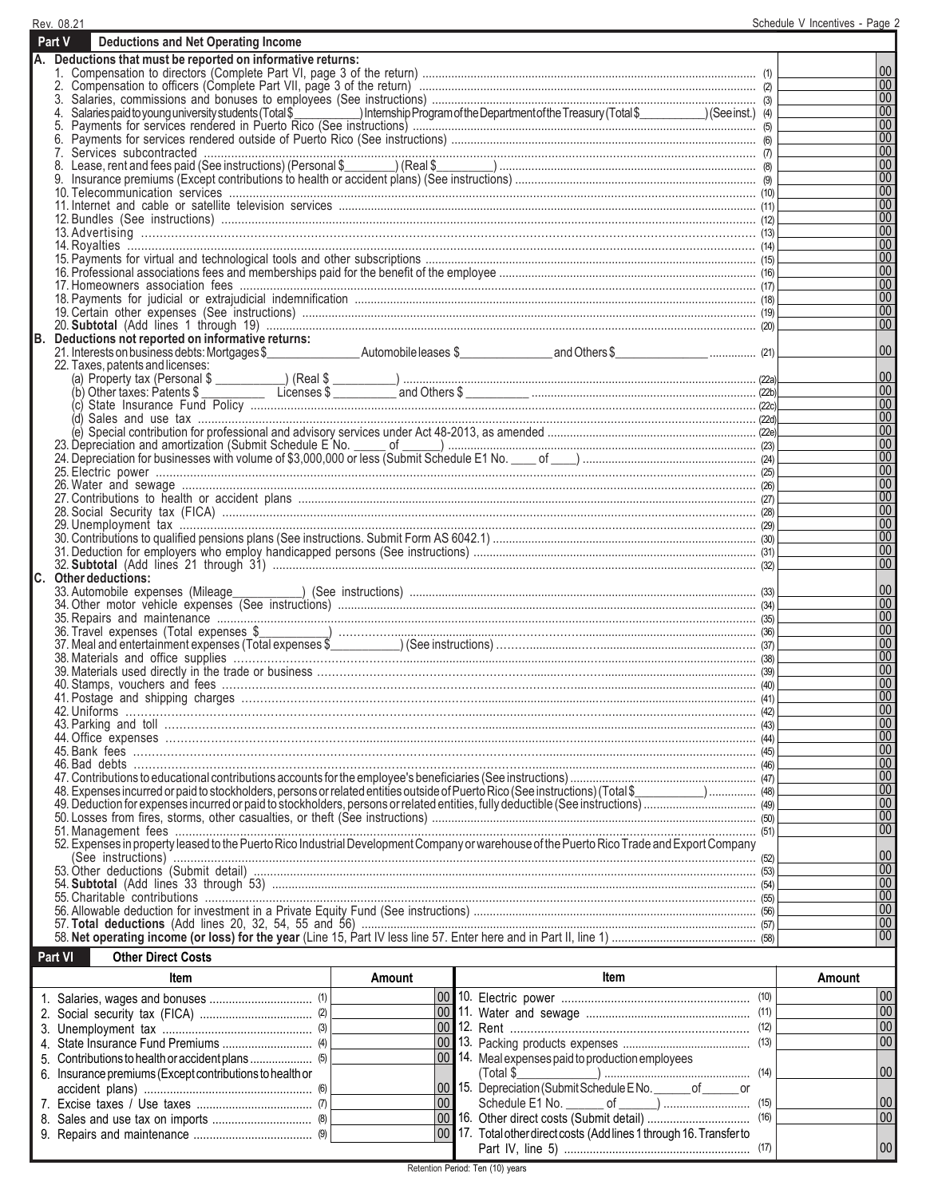|    | Rev. 08.21                                                                                                                      | Schedule V Incentives - Page 2 |
|----|---------------------------------------------------------------------------------------------------------------------------------|--------------------------------|
|    | Part V<br><b>Deductions and Net Operating Income</b>                                                                            |                                |
|    | A. Deductions that must be reported on informative returns:                                                                     |                                |
|    |                                                                                                                                 | $ 00\rangle$                   |
|    |                                                                                                                                 | 00                             |
|    |                                                                                                                                 | 00                             |
|    | 4.                                                                                                                              | 00                             |
|    | 5.                                                                                                                              | 00                             |
|    | 6.                                                                                                                              | 00 <br> 00                     |
|    |                                                                                                                                 | 00                             |
|    |                                                                                                                                 | 00                             |
|    |                                                                                                                                 | $ 00\rangle$                   |
|    |                                                                                                                                 | 00                             |
|    |                                                                                                                                 | 00                             |
|    |                                                                                                                                 | 00                             |
|    |                                                                                                                                 | 00                             |
|    |                                                                                                                                 | 00                             |
|    |                                                                                                                                 | 00                             |
|    |                                                                                                                                 | 00 <br> 00                     |
|    |                                                                                                                                 | 00                             |
|    |                                                                                                                                 | 100                            |
| B. | Deductions not reported on informative returns:                                                                                 |                                |
|    |                                                                                                                                 | $ 00\rangle$                   |
|    | 22. Taxes, patents and licenses:                                                                                                |                                |
|    |                                                                                                                                 | 00                             |
|    |                                                                                                                                 | 00                             |
|    | (c)                                                                                                                             | 00                             |
|    |                                                                                                                                 | $ 00\rangle$<br> 00            |
|    |                                                                                                                                 | $ 00\rangle$                   |
|    |                                                                                                                                 | $ 00\rangle$                   |
|    |                                                                                                                                 | 00                             |
|    |                                                                                                                                 | $ 00\rangle$                   |
|    |                                                                                                                                 | 00                             |
|    |                                                                                                                                 | 00                             |
|    |                                                                                                                                 | 00                             |
|    |                                                                                                                                 | 00                             |
|    |                                                                                                                                 | 00 <br>$ 00\rangle$            |
|    | C. Other deductions:                                                                                                            |                                |
|    |                                                                                                                                 | $00\,$                         |
|    |                                                                                                                                 | 00                             |
|    |                                                                                                                                 | $ 00\rangle$                   |
|    |                                                                                                                                 | 00                             |
|    |                                                                                                                                 | 00                             |
|    |                                                                                                                                 | $ 00\rangle$                   |
|    |                                                                                                                                 | 00                             |
|    |                                                                                                                                 | $ 00\rangle$                   |
|    |                                                                                                                                 | 00<br>00 <sup>°</sup>          |
|    |                                                                                                                                 | 00                             |
|    |                                                                                                                                 | 00                             |
|    |                                                                                                                                 | 00                             |
|    |                                                                                                                                 | 00                             |
|    |                                                                                                                                 | 00                             |
|    | 48). Expenses incurred or paid to stockholders, persons or related entities outside of Puerto Rico (See instructions) (Total \$ | 00                             |
|    |                                                                                                                                 | 00                             |
|    |                                                                                                                                 | $ 00\rangle$<br>$00\,$         |
|    |                                                                                                                                 |                                |
|    |                                                                                                                                 | 00                             |
|    |                                                                                                                                 | $ 00\rangle$                   |
|    |                                                                                                                                 | $ 00\rangle$                   |
|    |                                                                                                                                 | $ 00\rangle$                   |
|    |                                                                                                                                 | $ 00\rangle$                   |
|    |                                                                                                                                 | 00                             |
|    |                                                                                                                                 | $ 00\rangle$                   |
|    | Part VI<br><b>Other Direct Costs</b>                                                                                            |                                |
|    |                                                                                                                                 |                                |

| ltem                                                     | Amount          | ltem                                                                 | Amount          |
|----------------------------------------------------------|-----------------|----------------------------------------------------------------------|-----------------|
|                                                          |                 |                                                                      |                 |
|                                                          |                 |                                                                      |                 |
|                                                          |                 |                                                                      | $\overline{00}$ |
|                                                          |                 |                                                                      | 00              |
|                                                          |                 | 00 14. Meal expenses paid to production employees                    |                 |
| 6. Insurance premiums (Except contributions to health or |                 |                                                                      |                 |
|                                                          |                 | 00 15. Depreciation (Submit Schedule ENo. ______ of ______ or        |                 |
|                                                          | 00 <sup>1</sup> |                                                                      |                 |
|                                                          |                 |                                                                      | $\overline{00}$ |
|                                                          |                 | 00 17. Total other direct costs (Add lines 1 through 16. Transfer to |                 |
|                                                          |                 |                                                                      |                 |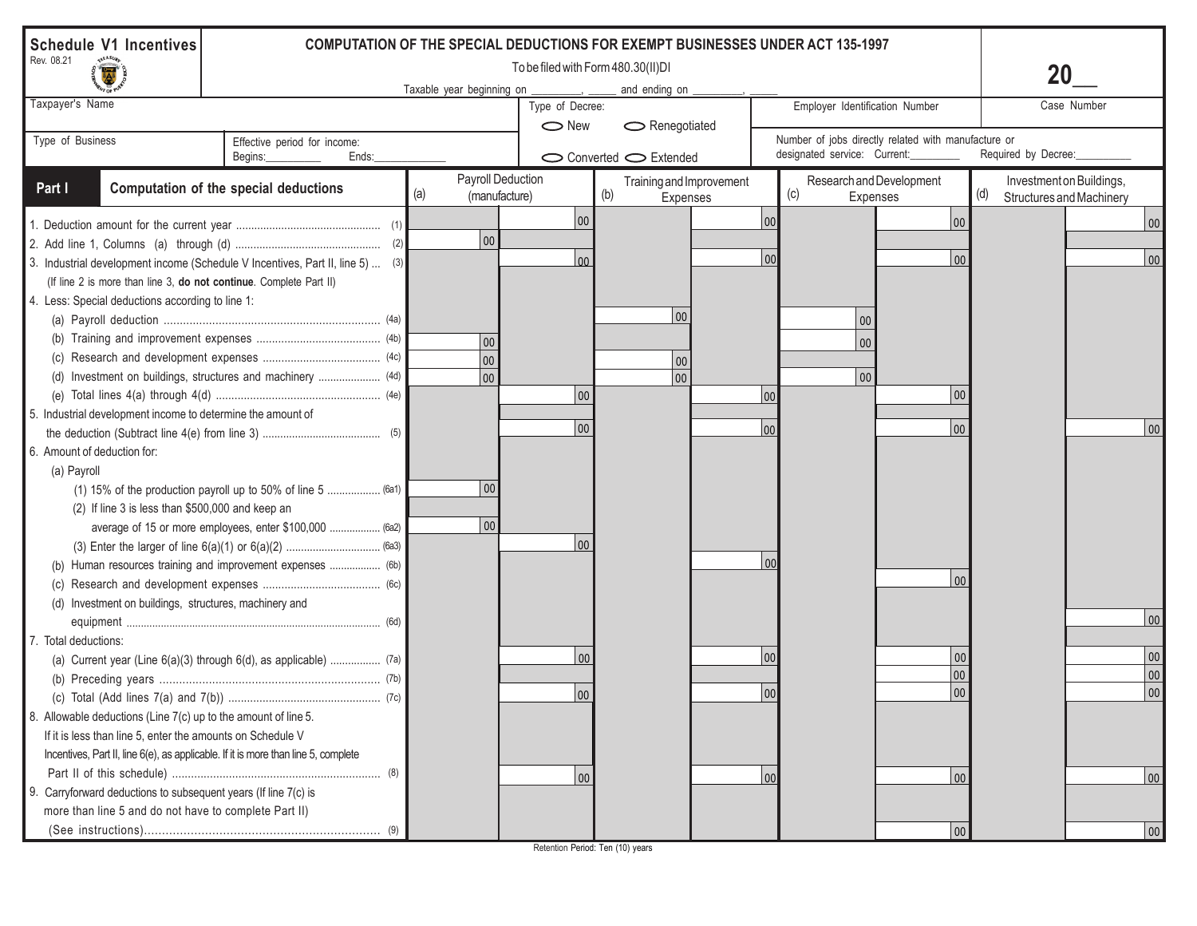| <b>Schedule V1 Incentives</b><br><b>COMPUTATION OF THE SPECIAL DEDUCTIONS FOR EXEMPT BUSINESSES UNDER ACT 135-1997</b> |                                                                   |     |                                    |                                    |                      |                                      |     |                                                                                     |                |                                                             |             |
|------------------------------------------------------------------------------------------------------------------------|-------------------------------------------------------------------|-----|------------------------------------|------------------------------------|----------------------|--------------------------------------|-----|-------------------------------------------------------------------------------------|----------------|-------------------------------------------------------------|-------------|
| Rev. 08.21                                                                                                             |                                                                   |     | Taxable year beginning on          | To be filed with Form 480.30(II)DI | and ending on        |                                      |     |                                                                                     |                | 20                                                          |             |
| Taxpayer's Name                                                                                                        |                                                                   |     |                                    | Type of Decree:<br>$\bigcirc$ New  | $\sim$ Renegotiated  |                                      |     | Employer Identification Number                                                      |                |                                                             | Case Number |
| Type of Business                                                                                                       | Effective period for income:<br>Begins:<br>Ends:                  |     |                                    |                                    | Converted C Extended |                                      |     | Number of jobs directly related with manufacture or<br>designated service: Current: |                | Required by Decree:                                         |             |
| Part I                                                                                                                 | Computation of the special deductions                             | (a) | Payroll Deduction<br>(manufacture) |                                    | (b)                  | Training and Improvement<br>Expenses |     | Research and Development<br>(c)<br>Expenses                                         |                | Investment on Buildings,<br>(d)<br>Structures and Machinery |             |
|                                                                                                                        |                                                                   |     |                                    | 00                                 |                      |                                      | 00  |                                                                                     | 00             |                                                             | 00          |
|                                                                                                                        |                                                                   |     | 00                                 |                                    |                      |                                      |     |                                                                                     |                |                                                             |             |
| 3. Industrial development income (Schedule V Incentives, Part II, line 5)  (3)                                         |                                                                   |     |                                    | 00                                 |                      |                                      | 00  |                                                                                     | 00             |                                                             | 00          |
| (If line 2 is more than line 3, do not continue. Complete Part II)                                                     |                                                                   |     |                                    |                                    |                      |                                      |     |                                                                                     |                |                                                             |             |
| 4. Less: Special deductions according to line 1:                                                                       |                                                                   |     |                                    |                                    |                      |                                      |     |                                                                                     |                |                                                             |             |
|                                                                                                                        |                                                                   |     |                                    |                                    |                      | 00                                   |     | $00\,$                                                                              |                |                                                             |             |
|                                                                                                                        |                                                                   |     | 00                                 |                                    |                      |                                      |     | $00\,$                                                                              |                |                                                             |             |
|                                                                                                                        |                                                                   |     | 00                                 |                                    |                      | 00                                   |     |                                                                                     |                |                                                             |             |
|                                                                                                                        | (d) Investment on buildings, structures and machinery  (4d)       |     | 00                                 |                                    |                      | 00                                   |     | $ 00\rangle$                                                                        |                |                                                             |             |
|                                                                                                                        |                                                                   |     |                                    | 00                                 |                      |                                      | 100 |                                                                                     | $ 00\rangle$   |                                                             |             |
| 5. Industrial development income to determine the amount of                                                            |                                                                   |     |                                    |                                    |                      |                                      |     |                                                                                     |                |                                                             |             |
|                                                                                                                        |                                                                   |     |                                    | 00                                 |                      |                                      | 100 |                                                                                     | 00             |                                                             | 00          |
| 6. Amount of deduction for:                                                                                            |                                                                   |     |                                    |                                    |                      |                                      |     |                                                                                     |                |                                                             |             |
| (a) Payroll                                                                                                            |                                                                   |     |                                    |                                    |                      |                                      |     |                                                                                     |                |                                                             |             |
|                                                                                                                        | (1) 15% of the production payroll up to 50% of line 5  (6a1)      |     | 00                                 |                                    |                      |                                      |     |                                                                                     |                |                                                             |             |
| (2) If line 3 is less than \$500,000 and keep an                                                                       |                                                                   |     |                                    |                                    |                      |                                      |     |                                                                                     |                |                                                             |             |
|                                                                                                                        | average of 15 or more employees, enter \$100,000  (6a2)           |     | 00                                 |                                    |                      |                                      |     |                                                                                     |                |                                                             |             |
|                                                                                                                        |                                                                   |     |                                    | 00                                 |                      |                                      |     |                                                                                     |                |                                                             |             |
|                                                                                                                        | (b) Human resources training and improvement expenses  (6b)       |     |                                    |                                    |                      |                                      | 00  |                                                                                     |                |                                                             |             |
|                                                                                                                        |                                                                   |     |                                    |                                    |                      |                                      |     |                                                                                     | 0 <sub>0</sub> |                                                             |             |
| (d) Investment on buildings, structures, machinery and                                                                 |                                                                   |     |                                    |                                    |                      |                                      |     |                                                                                     |                |                                                             |             |
|                                                                                                                        |                                                                   |     |                                    |                                    |                      |                                      |     |                                                                                     |                |                                                             | 00          |
| 7. Total deductions:                                                                                                   |                                                                   |     |                                    |                                    |                      |                                      |     |                                                                                     |                |                                                             |             |
|                                                                                                                        | (a) Current year (Line 6(a)(3) through 6(d), as applicable)  (7a) |     |                                    | 00                                 |                      |                                      | 00  |                                                                                     | $00\,$         |                                                             | 00          |
|                                                                                                                        |                                                                   |     |                                    |                                    |                      |                                      |     |                                                                                     | 00             |                                                             | 00          |
|                                                                                                                        |                                                                   |     |                                    | 00                                 |                      |                                      | 00  |                                                                                     | 00             |                                                             | 00          |
| 8. Allowable deductions (Line 7(c) up to the amount of line 5.                                                         |                                                                   |     |                                    |                                    |                      |                                      |     |                                                                                     |                |                                                             |             |
| If it is less than line 5, enter the amounts on Schedule V                                                             |                                                                   |     |                                    |                                    |                      |                                      |     |                                                                                     |                |                                                             |             |
| Incentives, Part II, line 6(e), as applicable. If it is more than line 5, complete                                     |                                                                   |     |                                    |                                    |                      |                                      |     |                                                                                     |                |                                                             |             |
|                                                                                                                        |                                                                   |     |                                    | 00                                 |                      |                                      | 00  |                                                                                     | 00             |                                                             | 00          |
| 9. Carryforward deductions to subsequent years (If line 7(c) is                                                        |                                                                   |     |                                    |                                    |                      |                                      |     |                                                                                     |                |                                                             |             |
| more than line 5 and do not have to complete Part II)                                                                  |                                                                   |     |                                    |                                    |                      |                                      |     |                                                                                     |                |                                                             |             |
|                                                                                                                        |                                                                   |     |                                    |                                    |                      |                                      |     |                                                                                     | 00             |                                                             | 00          |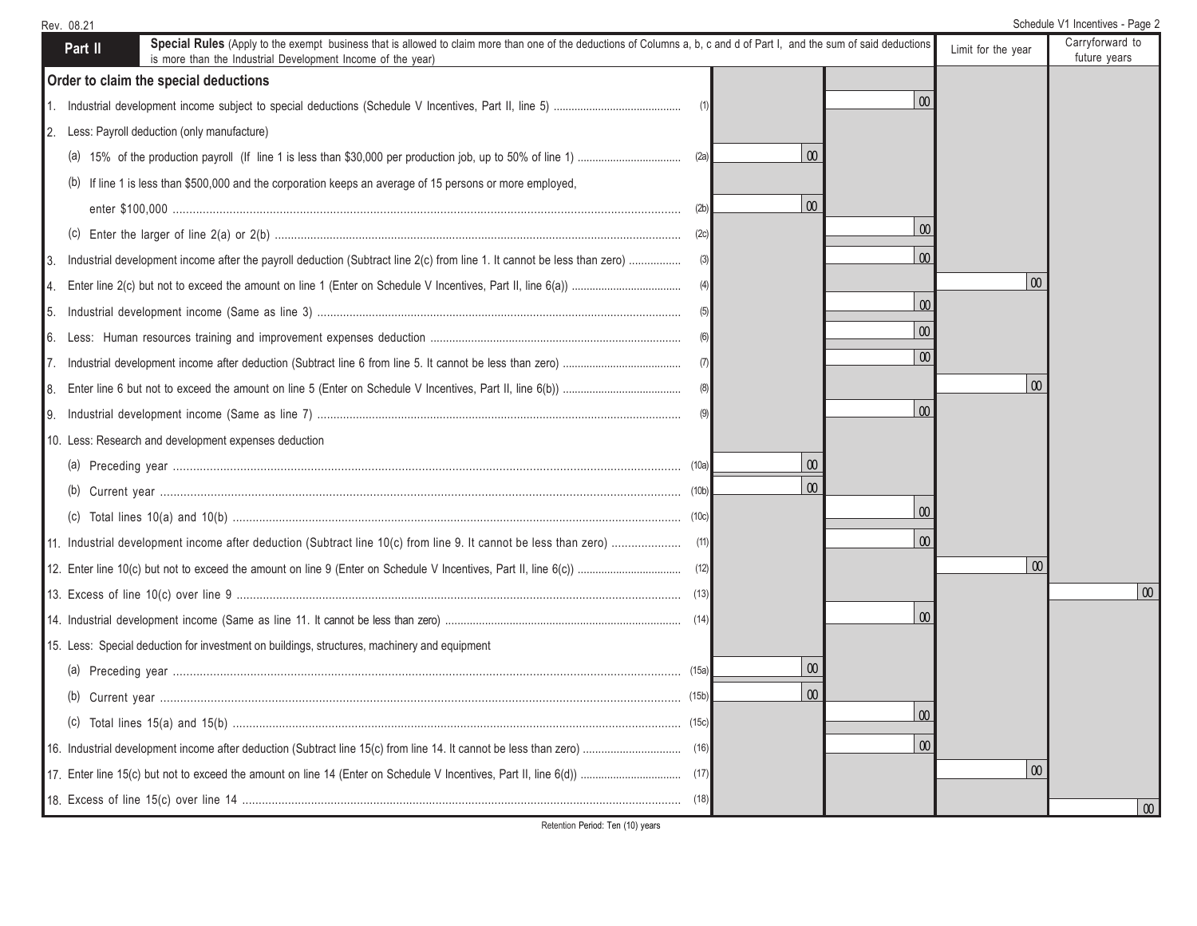| Rev. 08.21                                                                                                                                                                                                                                        |          |          |                    | Schedule V1 Incentives - Page 2 |
|---------------------------------------------------------------------------------------------------------------------------------------------------------------------------------------------------------------------------------------------------|----------|----------|--------------------|---------------------------------|
| Special Rules (Apply to the exempt business that is allowed to claim more than one of the deductions of Columns a, b, c and d of Part I, and the sum of said deductions<br>Part II<br>is more than the Industrial Development Income of the year) |          |          | Limit for the year | Carryforward to<br>future years |
| Order to claim the special deductions                                                                                                                                                                                                             |          |          |                    |                                 |
|                                                                                                                                                                                                                                                   |          | $\infty$ |                    |                                 |
| 2. Less: Payroll deduction (only manufacture)                                                                                                                                                                                                     |          |          |                    |                                 |
|                                                                                                                                                                                                                                                   | $\infty$ |          |                    |                                 |
| (b) If line 1 is less than \$500,000 and the corporation keeps an average of 15 persons or more employed,                                                                                                                                         |          |          |                    |                                 |
|                                                                                                                                                                                                                                                   | $\omega$ |          |                    |                                 |
|                                                                                                                                                                                                                                                   |          | $\omega$ |                    |                                 |
| 3. Industrial development income after the payroll deduction (Subtract line 2(c) from line 1. It cannot be less than zero)                                                                                                                        | (3)      | 00       |                    |                                 |
|                                                                                                                                                                                                                                                   |          |          | $\infty$           |                                 |
|                                                                                                                                                                                                                                                   |          | 00       |                    |                                 |
|                                                                                                                                                                                                                                                   | (6)      | $\infty$ |                    |                                 |
|                                                                                                                                                                                                                                                   |          | 00       |                    |                                 |
|                                                                                                                                                                                                                                                   |          |          | $\infty$           |                                 |
|                                                                                                                                                                                                                                                   |          | $\Omega$ |                    |                                 |
| 10. Less: Research and development expenses deduction                                                                                                                                                                                             |          |          |                    |                                 |
|                                                                                                                                                                                                                                                   | $\infty$ |          |                    |                                 |
|                                                                                                                                                                                                                                                   | $\infty$ |          |                    |                                 |
|                                                                                                                                                                                                                                                   |          | $\infty$ |                    |                                 |
|                                                                                                                                                                                                                                                   |          | $\infty$ |                    |                                 |
|                                                                                                                                                                                                                                                   |          |          | $\boldsymbol{00}$  |                                 |
|                                                                                                                                                                                                                                                   |          |          |                    | $\mid 00 \mid$                  |
|                                                                                                                                                                                                                                                   |          | 00       |                    |                                 |
| 15. Less: Special deduction for investment on buildings, structures, machinery and equipment                                                                                                                                                      |          |          |                    |                                 |
|                                                                                                                                                                                                                                                   | $\infty$ |          |                    |                                 |
|                                                                                                                                                                                                                                                   | $\infty$ |          |                    |                                 |
|                                                                                                                                                                                                                                                   |          | $\infty$ |                    |                                 |
|                                                                                                                                                                                                                                                   |          | $\infty$ |                    |                                 |
|                                                                                                                                                                                                                                                   |          |          | $\infty$           |                                 |
|                                                                                                                                                                                                                                                   |          |          |                    | $\vert 00 \vert$                |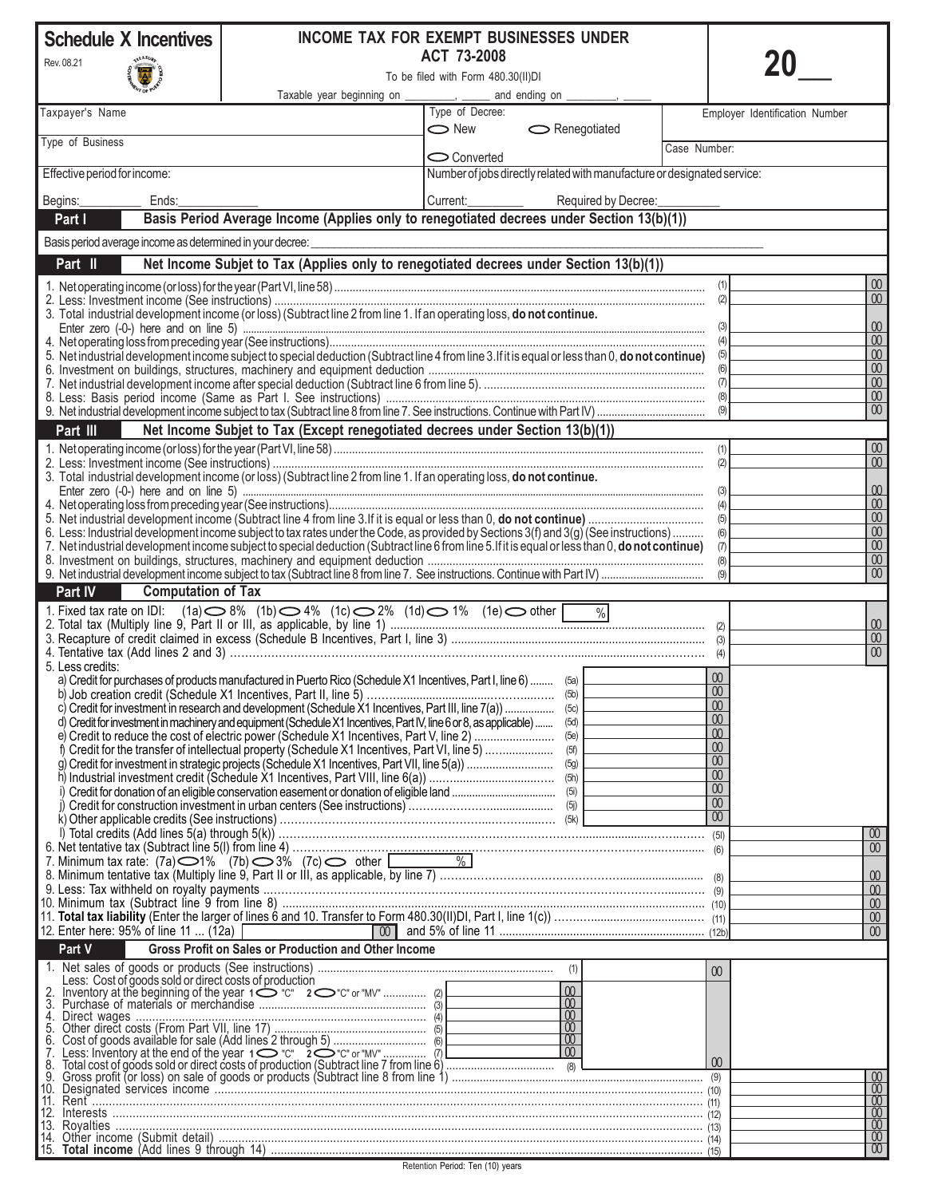| <b>Schedule X Incentives</b>                              |                                                                                                                                                 | INCOME TAX FOR EXEMPT BUSINESSES UNDER                                  |                                                                                     |              |                                           |
|-----------------------------------------------------------|-------------------------------------------------------------------------------------------------------------------------------------------------|-------------------------------------------------------------------------|-------------------------------------------------------------------------------------|--------------|-------------------------------------------|
| Rev. 08.21                                                |                                                                                                                                                 | ACT 73-2008                                                             |                                                                                     |              |                                           |
|                                                           |                                                                                                                                                 | To be filed with Form 480.30(II)DI                                      |                                                                                     |              |                                           |
| Taxpayer's Name                                           | Taxable year beginning on _________, ____                                                                                                       | and ending on ___________, _<br>Type of Decree:                         |                                                                                     |              | Employer Identification Number            |
|                                                           |                                                                                                                                                 | $\bigcirc$ New                                                          | $\sim$ Renegotiated                                                                 |              |                                           |
| Type of Business                                          |                                                                                                                                                 | $\bigcirc$ Converted                                                    |                                                                                     | Case Number: |                                           |
| Effective period for income:                              |                                                                                                                                                 | Number of jobs directly related with manufacture or designated service: |                                                                                     |              |                                           |
| Begins:<br>Ends:                                          |                                                                                                                                                 | Current:                                                                | Required by Decree:                                                                 |              |                                           |
| Part I                                                    | Basis Period Average Income (Applies only to renegotiated decrees under Section 13(b)(1))                                                       |                                                                         |                                                                                     |              |                                           |
| Basis period average income as determined in your decree: |                                                                                                                                                 |                                                                         |                                                                                     |              |                                           |
| Part II                                                   | Net Income Subjet to Tax (Applies only to renegotiated decrees under Section 13(b)(1))                                                          |                                                                         |                                                                                     |              |                                           |
|                                                           |                                                                                                                                                 |                                                                         |                                                                                     |              | 00<br>(1)                                 |
|                                                           | 3. Total industrial development income (or loss) (Subtract line 2 from line 1. If an operating loss, do not continue.                           |                                                                         |                                                                                     |              | $\infty$<br>(2)                           |
|                                                           |                                                                                                                                                 |                                                                         |                                                                                     |              | 00<br>(3)                                 |
|                                                           |                                                                                                                                                 |                                                                         |                                                                                     |              | 00<br>(4)                                 |
|                                                           | 5. Net industrial development income subject to special deduction (Subtract line 4 from line 3. If it is equal or less than 0, do not continue) |                                                                         |                                                                                     |              | 00<br>(5)<br>$\infty$<br>(6)              |
|                                                           |                                                                                                                                                 |                                                                         |                                                                                     |              | $\infty$<br>(7)                           |
|                                                           |                                                                                                                                                 |                                                                         |                                                                                     |              | $\omega$<br>(8)                           |
|                                                           |                                                                                                                                                 |                                                                         |                                                                                     |              | 00 <sup>°</sup><br>(9)                    |
| Part III                                                  | Net Income Subjet to Tax (Except renegotiated decrees under Section 13(b)(1))                                                                   |                                                                         |                                                                                     |              |                                           |
|                                                           |                                                                                                                                                 |                                                                         |                                                                                     |              | $00\,$<br>(1)<br>$00\,$<br>(2)            |
|                                                           | 3. Total industrial development income (or loss) (Subtract line 2 from line 1. If an operating loss, do not continue.                           |                                                                         |                                                                                     |              |                                           |
|                                                           |                                                                                                                                                 |                                                                         |                                                                                     |              | 00<br>(3)                                 |
|                                                           |                                                                                                                                                 |                                                                         |                                                                                     |              | 00<br>(4)<br>00<br>(5)                    |
|                                                           | 6. Less: Industrial development income subject to tax rates under the Code, as provided by Sections 3(f) and 3(g) (See instructions)            |                                                                         |                                                                                     |              | 00<br>(6)                                 |
|                                                           | 7. Net industrial development income subject to special deduction (Subtract line 6 from line 5. If it is equal or less than 0, do not continue) |                                                                         |                                                                                     |              | 00<br>(7)                                 |
|                                                           |                                                                                                                                                 |                                                                         |                                                                                     |              | $\overline{00}$<br>(8)<br>00 <sup>°</sup> |
| <b>Computation of Tax</b><br>Part IV                      |                                                                                                                                                 |                                                                         |                                                                                     |              | (9)                                       |
|                                                           |                                                                                                                                                 |                                                                         |                                                                                     |              |                                           |
|                                                           |                                                                                                                                                 |                                                                         |                                                                                     |              | 00                                        |
|                                                           |                                                                                                                                                 |                                                                         |                                                                                     |              | $\infty$                                  |
| 5. Less credits:                                          |                                                                                                                                                 |                                                                         |                                                                                     |              | $00\,$                                    |
|                                                           | a) Credit for purchases of products manufactured in Puerto Rico (Schedule X1 Incentives, Part I, line 6)  (5a) L                                |                                                                         |                                                                                     |              | 00 <sup>°</sup>                           |
|                                                           |                                                                                                                                                 |                                                                         |                                                                                     |              | $00-1$                                    |
|                                                           | d) Credit for investment in machinery and equipment (Schedule X1 Incentives, Part IV, line 6 or 8, as applicable)  (5d)                         |                                                                         |                                                                                     |              | $\overline{00}$<br>00 <sup>°</sup>        |
|                                                           |                                                                                                                                                 |                                                                         |                                                                                     |              | 00                                        |
|                                                           |                                                                                                                                                 |                                                                         |                                                                                     |              | 00                                        |
|                                                           |                                                                                                                                                 |                                                                         |                                                                                     |              | $\boldsymbol{00}$<br>$\overline{00}$      |
|                                                           |                                                                                                                                                 |                                                                         |                                                                                     |              | $\boldsymbol{00}$                         |
|                                                           |                                                                                                                                                 |                                                                         |                                                                                     |              | 00                                        |
|                                                           |                                                                                                                                                 |                                                                         |                                                                                     |              | $\overline{00}$                           |
|                                                           |                                                                                                                                                 |                                                                         |                                                                                     |              | 00 <sup>°</sup><br>00 <sup>°</sup>        |
|                                                           | 7. Minimum tax rate: $(7a)$ (1%) (7b) 3% $(7c)$ other $\boxed{2\ \text{mm} \ \text{m}}$ (7c)                                                    |                                                                         |                                                                                     |              |                                           |
|                                                           |                                                                                                                                                 |                                                                         |                                                                                     |              | 00                                        |
|                                                           |                                                                                                                                                 |                                                                         |                                                                                     |              | 00<br>00                                  |
|                                                           |                                                                                                                                                 |                                                                         |                                                                                     |              | 00 <sup>°</sup>                           |
| 12. Enter here: 95% of line 11  (12a) [                   |                                                                                                                                                 |                                                                         |                                                                                     |              | 00 <sup>°</sup>                           |
| Part V                                                    | <b>Gross Profit on Sales or Production and Other Income</b>                                                                                     |                                                                         |                                                                                     |              |                                           |
| Less: Cost of goods sold or direct costs of production    |                                                                                                                                                 |                                                                         |                                                                                     |              | $\omega$                                  |
|                                                           |                                                                                                                                                 |                                                                         | $\infty$                                                                            |              |                                           |
| 4.                                                        |                                                                                                                                                 |                                                                         | $\begin{array}{c} 00 \\ 00 \end{array}$                                             |              |                                           |
| 5.                                                        | Direct wages<br>Other direct costs (From Part VII, line 17)                                                                                     |                                                                         |                                                                                     |              |                                           |
|                                                           |                                                                                                                                                 |                                                                         | $\begin{array}{ c c }\n\hline\n\hline\n00 \\ \hline\n00 \\ \hline\n00\n\end{array}$ |              |                                           |
|                                                           |                                                                                                                                                 |                                                                         |                                                                                     |              |                                           |
|                                                           |                                                                                                                                                 |                                                                         |                                                                                     |              | $\frac{00}{00}$                           |
|                                                           |                                                                                                                                                 |                                                                         |                                                                                     |              | $\overline{00}$                           |
| 13.                                                       |                                                                                                                                                 |                                                                         |                                                                                     |              | $\overline{00}$<br>00 <sup>°</sup>        |
|                                                           |                                                                                                                                                 |                                                                         |                                                                                     |              | 00 <sup>1</sup>                           |
|                                                           |                                                                                                                                                 |                                                                         |                                                                                     |              | $\overline{00}$                           |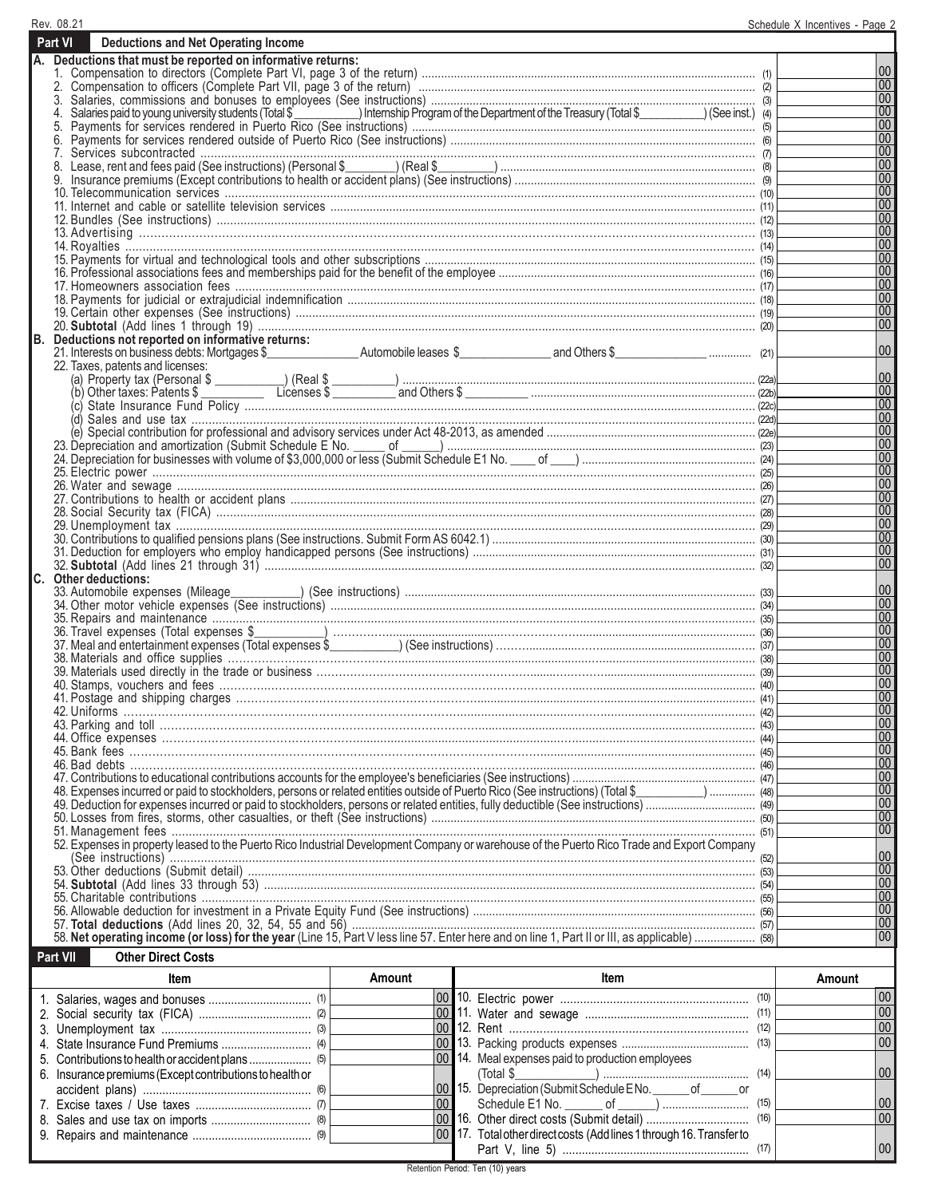| Rev. 08.21                                                                                                                                 | Schedule X Incentives - Page 2 |
|--------------------------------------------------------------------------------------------------------------------------------------------|--------------------------------|
| Part VI<br><b>Deductions and Net Operating Income</b>                                                                                      |                                |
| A. Deductions that must be reported on informative returns:                                                                                |                                |
|                                                                                                                                            | 00                             |
|                                                                                                                                            | 00 <br>00                      |
| 4.                                                                                                                                         | 00                             |
| 5.                                                                                                                                         | 00                             |
| 6.                                                                                                                                         | 00                             |
|                                                                                                                                            | 00                             |
|                                                                                                                                            | 00                             |
|                                                                                                                                            | 00                             |
|                                                                                                                                            | 00 <br> 00                     |
|                                                                                                                                            | $\overline{00}$                |
|                                                                                                                                            | 00                             |
|                                                                                                                                            | 00                             |
|                                                                                                                                            | $\overline{00}$                |
|                                                                                                                                            | 00                             |
|                                                                                                                                            | 00                             |
|                                                                                                                                            | 00                             |
|                                                                                                                                            | 00                             |
|                                                                                                                                            | 00                             |
| B. Deductions not reported on informative returns:                                                                                         | 00                             |
| 22. Taxes, patents and licenses:                                                                                                           |                                |
|                                                                                                                                            | 00                             |
|                                                                                                                                            | $ 00\rangle$                   |
|                                                                                                                                            | 00                             |
|                                                                                                                                            | 00                             |
|                                                                                                                                            | 00                             |
|                                                                                                                                            | 00                             |
|                                                                                                                                            | 00                             |
|                                                                                                                                            | 00                             |
|                                                                                                                                            | 00<br>$\overline{00}$          |
|                                                                                                                                            | 00                             |
|                                                                                                                                            | $\overline{00}$                |
|                                                                                                                                            | 00                             |
|                                                                                                                                            | 00                             |
|                                                                                                                                            | 00                             |
| C. Other deductions:                                                                                                                       |                                |
|                                                                                                                                            | $ 00\rangle$                   |
|                                                                                                                                            | 00                             |
|                                                                                                                                            | 00 <br>00                      |
|                                                                                                                                            | 00                             |
|                                                                                                                                            | 00                             |
|                                                                                                                                            | 00                             |
|                                                                                                                                            | 00                             |
|                                                                                                                                            | 00                             |
|                                                                                                                                            | 00                             |
|                                                                                                                                            | 00                             |
|                                                                                                                                            | 00                             |
|                                                                                                                                            | 00                             |
|                                                                                                                                            | 00                             |
|                                                                                                                                            | 00<br>$\overline{00}$          |
| 48). Expenses incurred or paid to stockholders, persons or related entities outside of Puerto Rico (See instructions) (Total \$            | 00                             |
|                                                                                                                                            | 00                             |
|                                                                                                                                            | $ 00\rangle$                   |
| 52. Expenses in property leased to the Puerto Rico Industrial Development Company or warehouse of the Puerto Rico Trade and Export Company |                                |
|                                                                                                                                            | 00                             |
|                                                                                                                                            | 00                             |
|                                                                                                                                            | 00                             |
|                                                                                                                                            | 00                             |
|                                                                                                                                            | $ 00\rangle$                   |
|                                                                                                                                            | 00<br>$ 00\rangle$             |
|                                                                                                                                            |                                |
| Part VII<br><b>Other Direct Costs</b>                                                                                                      |                                |
|                                                                                                                                            |                                |

| ltem                                                                        | Amount | ltem                                                                 | Amount |
|-----------------------------------------------------------------------------|--------|----------------------------------------------------------------------|--------|
|                                                                             |        |                                                                      | 00     |
|                                                                             |        |                                                                      | 00     |
|                                                                             |        |                                                                      | 00     |
|                                                                             |        |                                                                      | 00     |
| 5. Contributions to health or accident plans $\ldots$ $\ldots$ $\ldots$ (5) |        | 00 14. Meal expenses paid to production employees                    |        |
| 6. Insurance premiums (Except contributions to health or                    |        | (Total \$                                                            | 00     |
|                                                                             |        | 00 15. Depreciation (Submit Schedule ENo. _______ of _______ or      |        |
|                                                                             | 00     |                                                                      | 00     |
|                                                                             |        |                                                                      | 00     |
|                                                                             |        | 00 17. Total other direct costs (Add lines 1 through 16. Transfer to |        |
|                                                                             |        |                                                                      | 00     |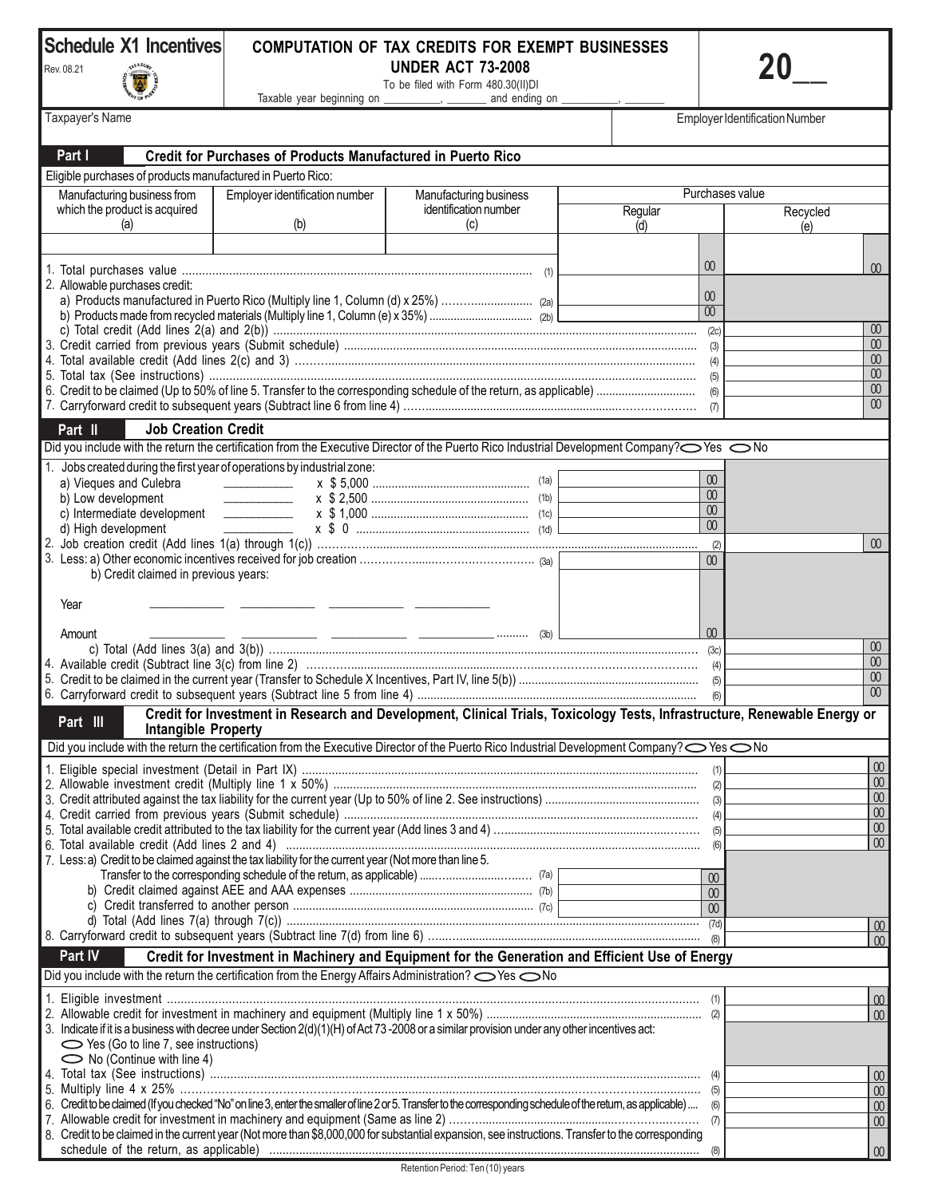## **Schedule X1 Incentives**

**AREASUR** Ñ



## **COMPUTATION OF TAX CREDITS FOR EXEMPT BUSINESSES UNDER ACT 73-2008 20\_\_**

To be filed with Form 480.30(II)DI Taxable year beginning on \_\_\_\_\_\_\_\_\_, \_\_\_\_\_\_\_ and ending on \_\_\_\_\_\_\_\_, \_\_\_\_\_\_\_\_

Employer Identification Number

Taxpayer's Name

| Part I                                                      | <b>Credit for Purchases of Products Manufactured in Puerto Rico</b>                                                                                                |                        |                           |                         |
|-------------------------------------------------------------|--------------------------------------------------------------------------------------------------------------------------------------------------------------------|------------------------|---------------------------|-------------------------|
| Eligible purchases of products manufactured in Puerto Rico: |                                                                                                                                                                    |                        |                           |                         |
| Manufacturing business from                                 | Employer identification number                                                                                                                                     | Manufacturing business | Purchases value           |                         |
| which the product is acquired                               |                                                                                                                                                                    | identification number  | Regular                   | Recycled                |
| (a)                                                         | (b)                                                                                                                                                                | (c)                    | (d)                       | (e)                     |
|                                                             |                                                                                                                                                                    |                        |                           |                         |
|                                                             |                                                                                                                                                                    |                        | 00 <sup>°</sup>           | 00 <sup>1</sup>         |
| 2. Allowable purchases credit:                              |                                                                                                                                                                    |                        | 00                        |                         |
|                                                             |                                                                                                                                                                    |                        | $\overline{00}$           |                         |
|                                                             |                                                                                                                                                                    |                        |                           | $\omega$                |
|                                                             |                                                                                                                                                                    |                        |                           | $\omega$                |
|                                                             |                                                                                                                                                                    |                        |                           | $00\,$                  |
|                                                             |                                                                                                                                                                    |                        |                           | 00<br>00                |
|                                                             |                                                                                                                                                                    |                        |                           | 00                      |
| <b>Job Creation Credit</b><br>Part II                       |                                                                                                                                                                    |                        |                           |                         |
|                                                             | Did you include with the return the certification from the Executive Director of the Puerto Rico Industrial Development Company? Ses ONo                           |                        |                           |                         |
| $1_{\cdot}$                                                 | Jobs created during the first year of operations by industrial zone:                                                                                               |                        |                           |                         |
| a) Vieques and Culebra                                      | <u> 1986 - Jan Stein Stein Stein Stein Stein Stein Stein Stein Stein Stein Stein Stein Stein Stein Stein Stein S</u>                                               |                        | $\omega$                  |                         |
| b) Low development                                          |                                                                                                                                                                    |                        | $00\,$<br>$\omega$        |                         |
|                                                             |                                                                                                                                                                    |                        | 00 <sup>1</sup>           |                         |
| d) High development<br>2.                                   |                                                                                                                                                                    |                        | (2)                       | $\omega$                |
|                                                             |                                                                                                                                                                    |                        | $\omega$                  |                         |
| b) Credit claimed in previous years:                        |                                                                                                                                                                    |                        |                           |                         |
| Year                                                        |                                                                                                                                                                    |                        |                           |                         |
|                                                             |                                                                                                                                                                    |                        |                           |                         |
| Amount                                                      |                                                                                                                                                                    |                        | 00 <sup>°</sup>           |                         |
|                                                             |                                                                                                                                                                    |                        |                           | $\boldsymbol{00}$<br>00 |
| 5.                                                          |                                                                                                                                                                    |                        |                           | 00                      |
|                                                             |                                                                                                                                                                    |                        | (6)                       | 00                      |
|                                                             | Credit for Investment in Research and Development, Clinical Trials, Toxicology Tests, Infrastructure, Renewable Energy or                                          |                        |                           |                         |
| Part III<br><b>Intangible Property</b>                      |                                                                                                                                                                    |                        |                           |                         |
|                                                             | Did you include with the return the certification from the Executive Director of the Puerto Rico Industrial Development Company? <a>&gt; No</a>                    |                        |                           |                         |
|                                                             |                                                                                                                                                                    |                        |                           | 00                      |
|                                                             |                                                                                                                                                                    |                        |                           | 00<br>00                |
|                                                             |                                                                                                                                                                    |                        |                           | $\boxed{00}$            |
|                                                             |                                                                                                                                                                    |                        |                           | $\boxed{00}$            |
|                                                             |                                                                                                                                                                    |                        |                           | $\overline{00}$         |
|                                                             | 7. Less: a) Credit to be claimed against the tax liability for the current year (Not more than line 5.                                                             |                        |                           |                         |
|                                                             |                                                                                                                                                                    |                        | 00 <sup>°</sup><br>$00\,$ |                         |
|                                                             |                                                                                                                                                                    |                        | 00 <sup>°</sup>           |                         |
|                                                             |                                                                                                                                                                    |                        | (7d)                      | 00                      |
|                                                             |                                                                                                                                                                    |                        | (8)                       | $\omega$                |
| Part IV                                                     | Credit for Investment in Machinery and Equipment for the Generation and Efficient Use of Energy                                                                    |                        |                           |                         |
|                                                             | Did you include with the return the certification from the Energy Affairs Administration?  Ses No                                                                  |                        |                           |                         |
|                                                             |                                                                                                                                                                    |                        |                           | 00                      |
|                                                             | 3. Indicate if it is a business with decree under Section 2(d)(1)(H) of Act 73-2008 or a similar provision under any other incentives act:                         |                        |                           | 00                      |
| $\sim$ Yes (Go to line 7, see instructions)                 |                                                                                                                                                                    |                        |                           |                         |
| $\sim$ No (Continue with line 4)                            |                                                                                                                                                                    |                        |                           |                         |
|                                                             |                                                                                                                                                                    |                        | (4)                       | 00                      |
| 5.                                                          | 6. Credit to be claimed (If you checked "No" on line 3, enter the smaller of line 2 or 5. Transfer to the corresponding schedule of the retum, as applicable)  (6) |                        | (5)                       | 00                      |
|                                                             |                                                                                                                                                                    |                        |                           | 00<br>00                |
|                                                             | 8. Credit to be claimed in the current year (Not more than \$8,000,000 for substantial expansion, see instructions. Transfer to the corresponding                  |                        |                           |                         |
|                                                             |                                                                                                                                                                    |                        |                           | 00                      |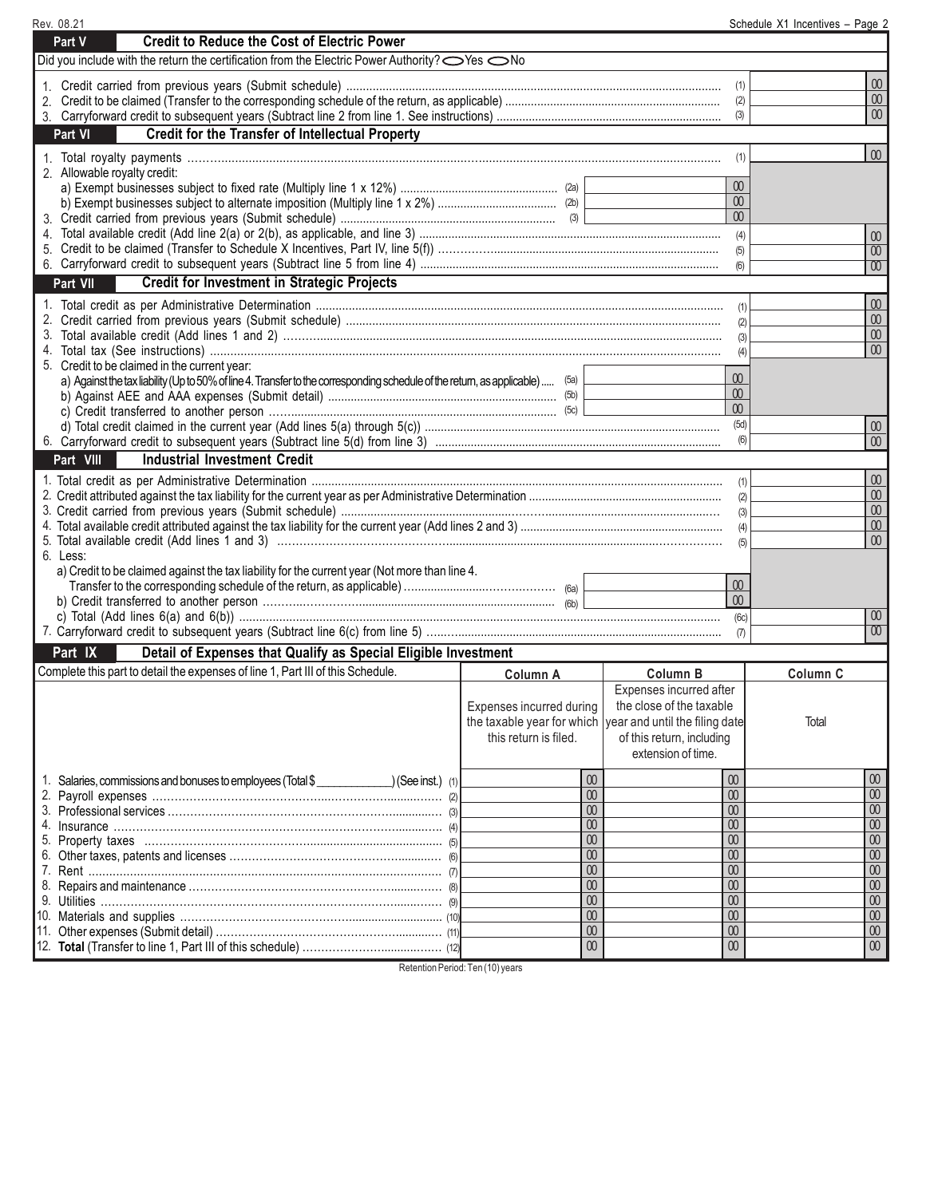| Rev. 08.21                                                                                                                            |                                                           |                           |                 | Schedule X1 Incentives - Page 2 |                                      |
|---------------------------------------------------------------------------------------------------------------------------------------|-----------------------------------------------------------|---------------------------|-----------------|---------------------------------|--------------------------------------|
| <b>Credit to Reduce the Cost of Electric Power</b><br>Part V                                                                          |                                                           |                           |                 |                                 |                                      |
| Did you include with the return the certification from the Electric Power Authority?  SYes  No                                        |                                                           |                           |                 |                                 |                                      |
|                                                                                                                                       |                                                           |                           |                 |                                 | $\overline{00}$                      |
|                                                                                                                                       |                                                           |                           | (1)             |                                 | $00\,$                               |
|                                                                                                                                       |                                                           |                           | (2)<br>(3)      |                                 | $00\,$                               |
| <b>Credit for the Transfer of Intellectual Property</b><br>Part VI                                                                    |                                                           |                           |                 |                                 |                                      |
|                                                                                                                                       |                                                           |                           |                 |                                 |                                      |
|                                                                                                                                       |                                                           |                           | (1)             |                                 | $\infty$                             |
| 2. Allowable royalty credit:                                                                                                          |                                                           |                           |                 |                                 |                                      |
|                                                                                                                                       |                                                           |                           | 00<br>$00\,$    |                                 |                                      |
|                                                                                                                                       |                                                           |                           | 00              |                                 |                                      |
|                                                                                                                                       |                                                           |                           | (4)             |                                 |                                      |
|                                                                                                                                       |                                                           |                           | (5)             |                                 | $\omega$<br>00                       |
|                                                                                                                                       |                                                           |                           | (6)             |                                 | 00                                   |
| <b>Credit for Investment in Strategic Projects</b><br>Part VII                                                                        |                                                           |                           |                 |                                 |                                      |
|                                                                                                                                       |                                                           |                           |                 |                                 |                                      |
|                                                                                                                                       |                                                           |                           |                 |                                 | 00<br>$\infty$                       |
|                                                                                                                                       |                                                           |                           | (2)             |                                 | $\omega$                             |
|                                                                                                                                       |                                                           |                           | (3)<br>(4)      |                                 | 00 <sup>°</sup>                      |
| 5. Credit to be claimed in the current year:                                                                                          |                                                           |                           |                 |                                 |                                      |
| a) Against the tax liability (Up to 50% of line 4. Transfer to the corresponding schedule of the return, as applicable)  (5a) $\vert$ |                                                           |                           | 00 <sup>°</sup> |                                 |                                      |
|                                                                                                                                       |                                                           |                           | $\omega$        |                                 |                                      |
|                                                                                                                                       |                                                           |                           | $\omega$        |                                 |                                      |
|                                                                                                                                       |                                                           |                           | (5d)            |                                 | $\omega$                             |
|                                                                                                                                       |                                                           |                           | (6)             |                                 | $\infty$                             |
| Part VIII<br><b>Industrial Investment Credit</b>                                                                                      |                                                           |                           |                 |                                 |                                      |
|                                                                                                                                       |                                                           |                           | (1)             |                                 | 00                                   |
|                                                                                                                                       |                                                           |                           | (2)             |                                 | $00\,$                               |
|                                                                                                                                       |                                                           |                           | (3)             |                                 | $\boldsymbol{00}$                    |
|                                                                                                                                       |                                                           |                           | (4)             |                                 | 00<br>00 <sup>°</sup>                |
| 6. Less:                                                                                                                              |                                                           |                           | (5)             |                                 |                                      |
| a) Credit to be claimed against the tax liability for the current year (Not more than line 4.                                         |                                                           |                           |                 |                                 |                                      |
|                                                                                                                                       |                                                           |                           | $\infty$        |                                 |                                      |
|                                                                                                                                       |                                                           |                           | $00\,$          |                                 |                                      |
|                                                                                                                                       |                                                           |                           | (6c)            |                                 | 00                                   |
|                                                                                                                                       |                                                           |                           | (7)             |                                 | $\overline{00}$                      |
| Part IX<br>Detail of Expenses that Qualify as Special Eligible Investment                                                             |                                                           |                           |                 |                                 |                                      |
| Complete this part to detail the expenses of line 1, Part III of this Schedule.                                                       | Column A                                                  | Column B                  |                 | Column C                        |                                      |
|                                                                                                                                       |                                                           | Expenses incurred after   |                 |                                 |                                      |
|                                                                                                                                       | Expenses incurred during                                  | the close of the taxable  |                 |                                 |                                      |
|                                                                                                                                       | the taxable year for which year and until the filing date |                           |                 | Total                           |                                      |
|                                                                                                                                       | this return is filed.                                     | of this return, including |                 |                                 |                                      |
|                                                                                                                                       |                                                           | extension of time.        |                 |                                 |                                      |
|                                                                                                                                       | $\infty$                                                  | $\infty$                  |                 |                                 | $00\,$                               |
| 1. Salaries, commissions and bonuses to employees (Total \$                                                                           | $\overline{00}$                                           | 00                        |                 |                                 | $\boldsymbol{00}$                    |
|                                                                                                                                       | $\boldsymbol{00}$                                         | 00                        |                 |                                 | $\overline{00}$                      |
|                                                                                                                                       | $\overline{00}$                                           | $\overline{00}$           |                 |                                 | $\overline{00}$                      |
|                                                                                                                                       | $\boldsymbol{00}$                                         | $00\,$                    |                 |                                 | 00                                   |
|                                                                                                                                       | $\boldsymbol{00}$                                         | $\omega$                  |                 |                                 | $\overline{00}$                      |
|                                                                                                                                       | $\overline{00}$                                           | 00                        |                 |                                 | $\overline{00}$                      |
|                                                                                                                                       | $\boldsymbol{00}$                                         | $\infty$                  |                 |                                 | 00                                   |
|                                                                                                                                       | $\boldsymbol{00}$<br>$\overline{00}$                      | 00<br>00                  |                 |                                 | $\boldsymbol{00}$<br>$\overline{00}$ |
|                                                                                                                                       | $\boldsymbol{00}$                                         | $\boldsymbol{00}$         |                 |                                 | 00                                   |
|                                                                                                                                       | $\boldsymbol{00}$                                         | $\boldsymbol{00}$         |                 |                                 | $\boldsymbol{00}$                    |
|                                                                                                                                       |                                                           |                           |                 |                                 |                                      |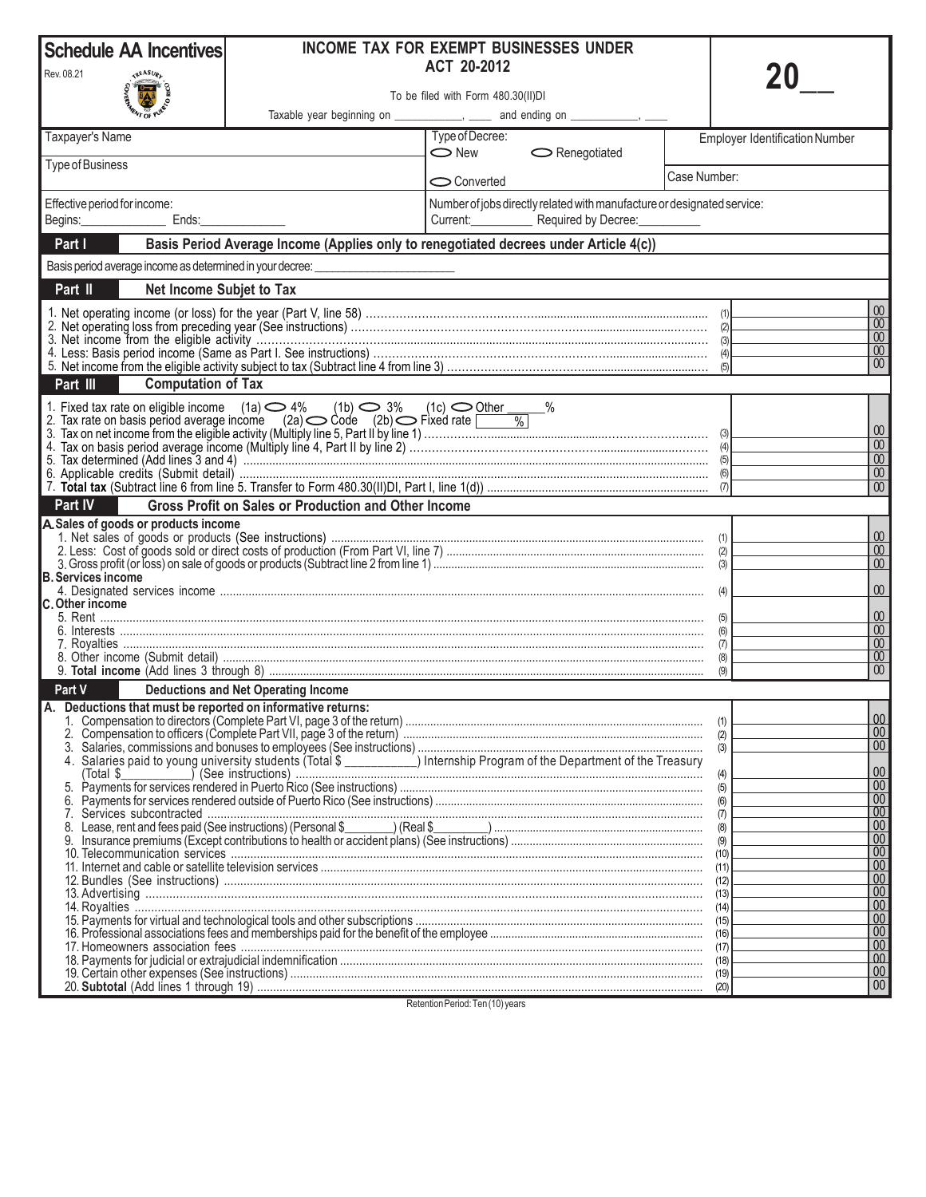| <b>Schedule AA Incentives</b>                                |                                                                                                                                                                                                                             | <b>INCOME TAX FOR EXEMPT BUSINESSES UNDER</b>                                                                            |              |                                        |
|--------------------------------------------------------------|-----------------------------------------------------------------------------------------------------------------------------------------------------------------------------------------------------------------------------|--------------------------------------------------------------------------------------------------------------------------|--------------|----------------------------------------|
| Rev. 08.21<br>REASURL                                        |                                                                                                                                                                                                                             | ACT 20-2012                                                                                                              |              |                                        |
|                                                              |                                                                                                                                                                                                                             | To be filed with Form 480.30(II)DI                                                                                       |              |                                        |
| Taxpayer's Name                                              |                                                                                                                                                                                                                             | Taxable year beginning on _____________, _____ and ending on ____________, ____<br>Type of Decree:                       |              | <b>Employer Identification Number</b>  |
|                                                              |                                                                                                                                                                                                                             | $\bigcirc$ New<br>$\sim$ Renegotiated                                                                                    |              |                                        |
| Type of Business                                             |                                                                                                                                                                                                                             | Converted                                                                                                                | Case Number: |                                        |
| Effective period for income:                                 |                                                                                                                                                                                                                             | Number of jobs directly related with manufacture or designated service:                                                  |              |                                        |
| Begins:<br>Ends:                                             |                                                                                                                                                                                                                             | Current:<br>Required by Decree:                                                                                          |              |                                        |
| Part I                                                       |                                                                                                                                                                                                                             | Basis Period Average Income (Applies only to renegotiated decrees under Article 4(c))                                    |              |                                        |
| Basis period average income as determined in your decree: __ |                                                                                                                                                                                                                             |                                                                                                                          |              |                                        |
| Part II<br>Net Income Subjet to Tax                          |                                                                                                                                                                                                                             |                                                                                                                          |              |                                        |
|                                                              |                                                                                                                                                                                                                             |                                                                                                                          |              | $00\,$<br>$\overline{00}$              |
|                                                              |                                                                                                                                                                                                                             |                                                                                                                          |              | $00\,$<br>$00\,$                       |
|                                                              |                                                                                                                                                                                                                             |                                                                                                                          |              | 00 <sup>°</sup><br>(5)                 |
| Part III<br><b>Computation of Tax</b>                        |                                                                                                                                                                                                                             |                                                                                                                          |              |                                        |
|                                                              | 1. Fixed tax rate on eligible income (1a) $\bigcirc$ 4% (1b) $\bigcirc$ 3% (1c) $\bigcirc$ Other $\qquad$ %<br>2. Tax rate on basis period average income (2a) $\bigcirc$ Code (2b) $\bigcirc$ Fixed rate $\boxed{\qquad$ % |                                                                                                                          |              |                                        |
|                                                              |                                                                                                                                                                                                                             |                                                                                                                          |              | $\boldsymbol{00}$                      |
|                                                              |                                                                                                                                                                                                                             |                                                                                                                          |              | $\boldsymbol{00}$<br>$\overline{00}$   |
|                                                              |                                                                                                                                                                                                                             |                                                                                                                          |              | $\boldsymbol{00}$                      |
|                                                              |                                                                                                                                                                                                                             |                                                                                                                          |              | 00<br>(7)                              |
| Part IV                                                      | <b>Gross Profit on Sales or Production and Other Income</b>                                                                                                                                                                 |                                                                                                                          |              |                                        |
| A. Sales of goods or products income                         |                                                                                                                                                                                                                             |                                                                                                                          |              | 00                                     |
|                                                              |                                                                                                                                                                                                                             |                                                                                                                          |              | 00<br>00                               |
| <b>B. Services income</b>                                    |                                                                                                                                                                                                                             |                                                                                                                          |              |                                        |
| <b>C. Other income</b>                                       |                                                                                                                                                                                                                             |                                                                                                                          |              | 00                                     |
|                                                              |                                                                                                                                                                                                                             |                                                                                                                          |              | $\omega$                               |
|                                                              |                                                                                                                                                                                                                             |                                                                                                                          |              | $\omega$<br>(6)<br>$\omega$            |
|                                                              |                                                                                                                                                                                                                             |                                                                                                                          |              | $\overline{00}$<br>00 <sup>°</sup>     |
| Part V                                                       | <b>Deductions and Net Operating Income</b>                                                                                                                                                                                  |                                                                                                                          |              | (9)                                    |
| A. Deductions that must be reported on informative returns:  |                                                                                                                                                                                                                             |                                                                                                                          |              |                                        |
|                                                              |                                                                                                                                                                                                                             |                                                                                                                          |              | $\overline{00}$<br>(1)<br>$ 00\rangle$ |
|                                                              |                                                                                                                                                                                                                             |                                                                                                                          |              | (2)<br>00 <sup>1</sup><br>(3)          |
|                                                              |                                                                                                                                                                                                                             | 4. Salaries paid to young university students (Total \$ __________) Internship Program of the Department of the Treasury |              | $00\,$<br>(4)                          |
|                                                              |                                                                                                                                                                                                                             |                                                                                                                          |              | $00\,$<br>(5)                          |
| 6.<br>7.                                                     |                                                                                                                                                                                                                             |                                                                                                                          |              | $\overline{00}$<br>(6)<br>00<br>(7)    |
|                                                              |                                                                                                                                                                                                                             |                                                                                                                          |              | 00<br>(8)                              |
|                                                              |                                                                                                                                                                                                                             |                                                                                                                          |              | 00<br>(9)<br>00<br>(10)                |
|                                                              |                                                                                                                                                                                                                             |                                                                                                                          |              | 00<br>(11)<br>00                       |
|                                                              |                                                                                                                                                                                                                             |                                                                                                                          |              | (12)<br>00                             |
|                                                              |                                                                                                                                                                                                                             |                                                                                                                          |              | 00<br>00                               |
|                                                              |                                                                                                                                                                                                                             |                                                                                                                          |              | 00                                     |
|                                                              |                                                                                                                                                                                                                             |                                                                                                                          |              | 00<br>00                               |
|                                                              |                                                                                                                                                                                                                             |                                                                                                                          |              | 00                                     |
|                                                              |                                                                                                                                                                                                                             |                                                                                                                          |              | 00 <sup>°</sup><br>(20)                |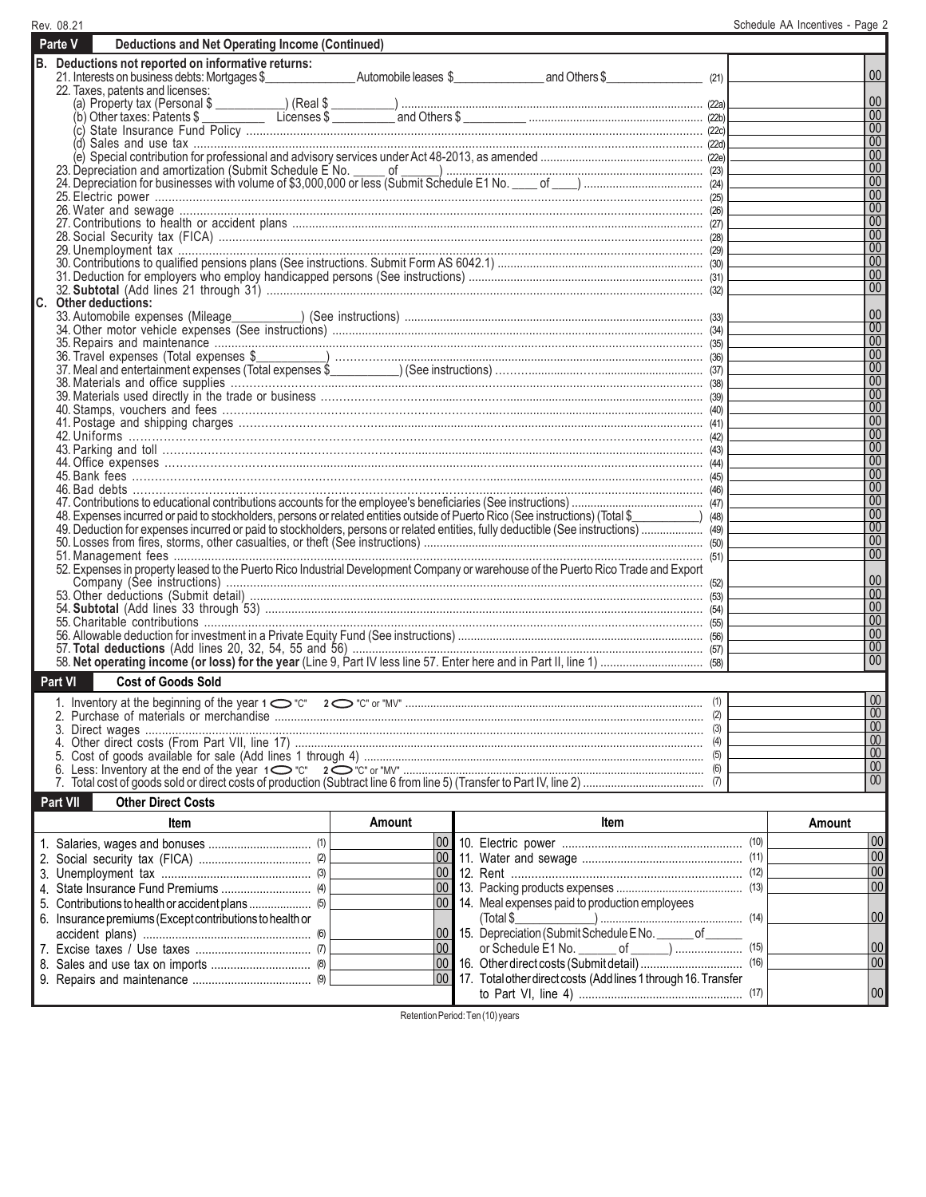| Rev. 08.21                                                                                                                                                     |        |                          | Schedule AA Incentives - Page 2 |                        |
|----------------------------------------------------------------------------------------------------------------------------------------------------------------|--------|--------------------------|---------------------------------|------------------------|
| Parte V<br><b>Deductions and Net Operating Income (Continued)</b>                                                                                              |        |                          |                                 |                        |
| B. Deductions not reported on informative returns:                                                                                                             |        |                          |                                 | $00\,$                 |
| 22. Taxes, patents and licenses:                                                                                                                               |        | (21)                     |                                 |                        |
|                                                                                                                                                                |        |                          |                                 | 00                     |
|                                                                                                                                                                |        |                          |                                 | $\overline{00}$        |
|                                                                                                                                                                |        |                          |                                 | 00                     |
| (d)                                                                                                                                                            |        |                          |                                 | $\overline{00}$        |
|                                                                                                                                                                |        |                          |                                 | 00<br>00               |
| 23. Depreciation and amortization (Submit Schedule E No. 2001) 24. Depreciation for businesses with volume of \$3,000,000 or less (Submit Schedule E No. 2012) |        |                          |                                 | 00                     |
|                                                                                                                                                                |        |                          |                                 | 00                     |
|                                                                                                                                                                |        |                          |                                 | 00                     |
|                                                                                                                                                                |        |                          |                                 | 00                     |
|                                                                                                                                                                |        |                          |                                 | 00                     |
|                                                                                                                                                                |        |                          |                                 | 00                     |
|                                                                                                                                                                |        |                          |                                 | 00<br>00               |
|                                                                                                                                                                |        |                          |                                 | 00                     |
| C. Other deductions:                                                                                                                                           |        |                          |                                 |                        |
|                                                                                                                                                                |        |                          |                                 | 00                     |
|                                                                                                                                                                |        |                          |                                 | 00                     |
|                                                                                                                                                                |        |                          |                                 | $\overline{00}$        |
|                                                                                                                                                                |        |                          |                                 | $\overline{00}$        |
|                                                                                                                                                                |        |                          |                                 | 00                     |
|                                                                                                                                                                |        |                          |                                 | 00 <br>$\overline{00}$ |
|                                                                                                                                                                |        |                          |                                 | 00                     |
|                                                                                                                                                                |        |                          |                                 | 00                     |
|                                                                                                                                                                |        |                          |                                 | 00                     |
|                                                                                                                                                                |        |                          |                                 | 00                     |
|                                                                                                                                                                |        |                          |                                 | 00                     |
|                                                                                                                                                                |        |                          |                                 | $\overline{00}$        |
|                                                                                                                                                                |        |                          |                                 | 00 <br>$\overline{00}$ |
| 48) 48 Expenses incurred or paid to stockholders, persons or related entities outside of Puerto Rico (See instructions) (Total \$                              |        |                          |                                 | 00                     |
|                                                                                                                                                                |        |                          |                                 | $\overline{00}$        |
|                                                                                                                                                                |        |                          |                                 | 00                     |
|                                                                                                                                                                |        |                          |                                 | 00                     |
|                                                                                                                                                                |        |                          |                                 |                        |
|                                                                                                                                                                |        |                          |                                 | 00                     |
|                                                                                                                                                                |        |                          |                                 | 00<br>$\overline{00}$  |
|                                                                                                                                                                |        |                          |                                 | $\overline{00}$        |
|                                                                                                                                                                |        |                          |                                 | 00                     |
|                                                                                                                                                                |        |                          |                                 | $\overline{00}$        |
|                                                                                                                                                                |        |                          |                                 | $00\,$                 |
| Part VI<br><b>Cost of Goods Sold</b>                                                                                                                           |        |                          |                                 |                        |
|                                                                                                                                                                |        |                          |                                 | $\overline{00}$        |
|                                                                                                                                                                |        |                          |                                 | $\overline{00}$        |
|                                                                                                                                                                |        |                          |                                 | $\overline{00}$        |
|                                                                                                                                                                |        |                          |                                 | $\overline{00}$        |
|                                                                                                                                                                |        |                          |                                 | $\overline{00}$        |
|                                                                                                                                                                |        |                          |                                 | 00<br>$\omega$         |
| <b>Other Direct Costs</b>                                                                                                                                      |        |                          |                                 |                        |
| Part VII                                                                                                                                                       |        |                          |                                 |                        |
| Item                                                                                                                                                           | Amount | Item                     |                                 | Amount                 |
| 2 Social security tax (FICA)                                                                                                                                   |        | 100 11. Water and sewage | (11)                            | 00 <br> 00             |
| (2)                                                                                                                                                            |        |                          |                                 |                        |

00 00  $\overline{00}$ 00 00 00 00 00 (11) (12) (13) 13. Packing products expenses ......................................... (14) (15) (16) (17) to Part VI, line 4) ................................................... Social security tax (FICA) ................................... Unemployment tax .............................................. 4. State Insurance Fund Premiums ............................... (4) Contributions to health or accident plans .................... (5) 5. 6. Insurance premiums (Except contributions to health or accident plans) .................................................... (6) Excise taxes / Use taxes .................................... (7) Sales and use tax on imports ............................... (8) 8. Repairs and maintenance ..................................... (9) 9. (2) (3) 00 00 00 00  $|_{00}$  $\overline{00}$ 00 00 11. 12. 14. Meal expenses paid to production employees 15. 16. 17. Total other direct costs (Add lines 1 through 16. Transfer 2. 3. 7. Water and sewage .................................................. Rent .................................................................... (Total \$\_\_\_\_\_\_\_\_\_\_\_\_\_) ............................................... Depreciation (Submit Schedule E No. Communication or Schedule E1 No. \_\_\_\_\_\_ of \_\_\_\_\_\_) ..................... Other direct costs (Submit detail) .................................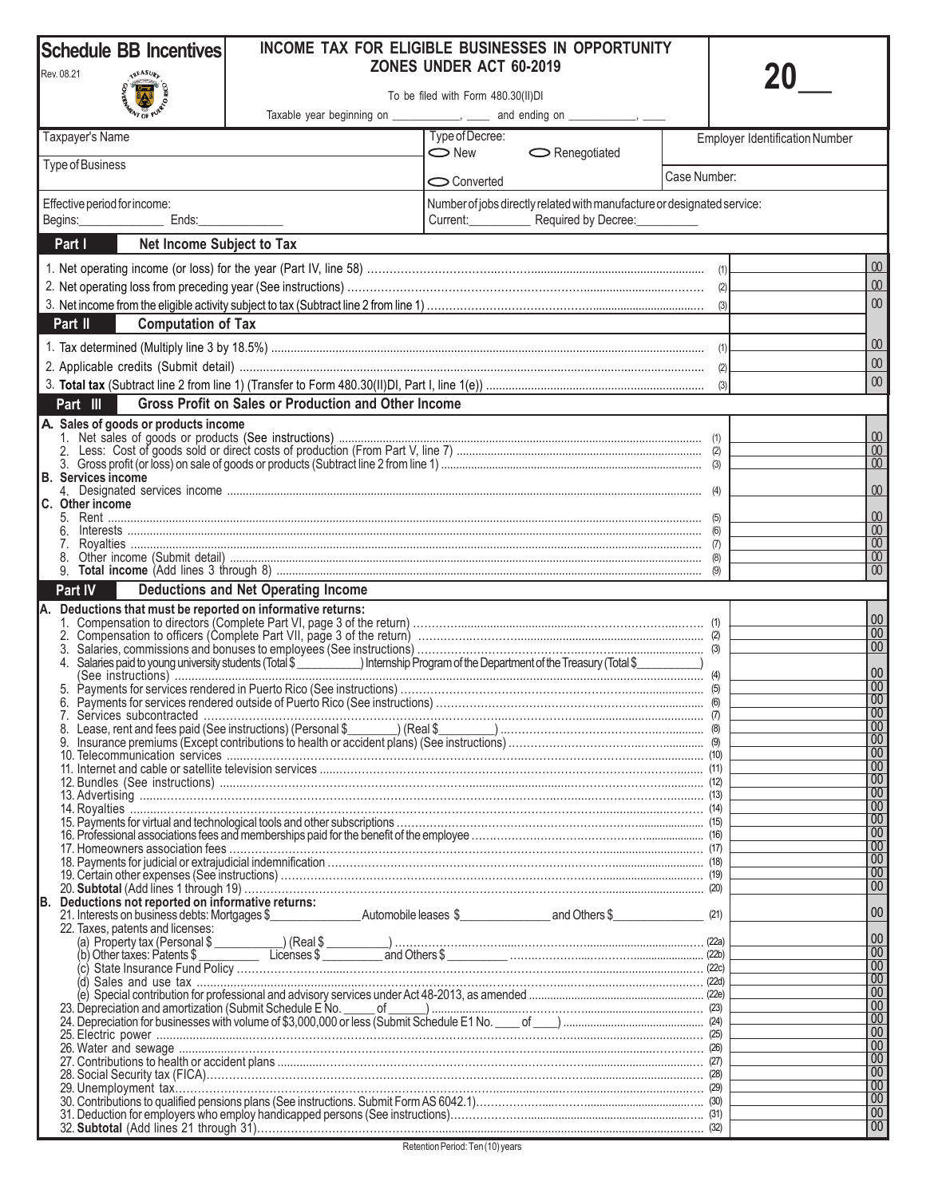| Rev. 08.21<br><b>REASURL</b><br><b>BARRY OF PURE</b><br>To be filed with Form 480.30(II)DI<br>Taxable year beginning on _____________, _____ and ending on ____________, ___<br>Type of Decree:<br>Taxpayer's Name<br><b>Employer Identification Number</b><br>$\bigcirc$ New<br>$\bigcirc$ Renegotiated<br><b>Type of Business</b><br>Case Number:<br>Converted<br>Number of jobs directly related with manufacture or designated service:<br>Effective period for income:<br>Current: Required by Decree:<br>Ends:<br>Net Income Subject to Tax<br>Part I<br>00<br>00<br>$00\,$<br><b>Computation of Tax</b><br>Part II<br>$00\,$<br>$00\,$<br>$00\,$<br>(3)<br>Gross Profit on Sales or Production and Other Income<br>Part III<br>A. Sales of goods or products income<br>00<br>$\infty$<br>B. Services income<br>$00\,$<br>C. Other income<br>$\infty$<br>$\overline{00}$<br>$\overline{00}$<br>$\overline{00}$<br>$\overline{00}$<br>Part IV<br><b>Deductions and Net Operating Income</b><br>A. Deductions that must be reported on informative returns:<br>$\overline{00}$<br> 00 <br>l 00<br>Salaries paid to young university students (Total \$ _ _ _ _ _ _ _ _ ) Internship Program of the Department of the Treasury (Total \$ _ _ _ _ _ _ _ _ _ )<br>4.<br>l 00<br>$\overline{100}$<br>$\overline{00}$<br>Services subcontracted.<br>$\overline{00}$<br>$\overline{00}$<br> 00 <br> 00 <br>$\overline{00}$<br>$\overline{00}$<br>$\overline{00}$<br> 00 <br>$\overline{00}$<br> 00 <br>$\overline{00}$<br>$\overline{00}$<br>$\overline{00}$<br>Deductions not reported on informative returns:<br> 00 <br>22. Taxes, patents and licenses:<br> 00 <br> 00 <br> 00 <br>$\overline{00}$<br>$\overline{00}$<br> 00 <br>23. Depreciation and amortization (Submit Schedule E No. 1997) (23. Depreciation and amortization (Submit Schedule E No. 1997) (24. Depreciation for businesses with volume of \$3,000,000 or less (Submit Schedule E1 No. 1996<br> 00 <br> 00 <br>$\overline{00}$<br>l 00<br>$\overline{00}$<br>$\overline{100}$<br> 00 <br>l 00<br>  00 | <b>Schedule BB Incentives</b> |  | INCOME TAX FOR ELIGIBLE BUSINESSES IN OPPORTUNITY |  |
|------------------------------------------------------------------------------------------------------------------------------------------------------------------------------------------------------------------------------------------------------------------------------------------------------------------------------------------------------------------------------------------------------------------------------------------------------------------------------------------------------------------------------------------------------------------------------------------------------------------------------------------------------------------------------------------------------------------------------------------------------------------------------------------------------------------------------------------------------------------------------------------------------------------------------------------------------------------------------------------------------------------------------------------------------------------------------------------------------------------------------------------------------------------------------------------------------------------------------------------------------------------------------------------------------------------------------------------------------------------------------------------------------------------------------------------------------------------------------------------------------------------------------------------------------------------------------------------------------------------------------------------------------------------------------------------------------------------------------------------------------------------------------------------------------------------------------------------------------------------------------------------------------------------------------------------------------------------------------------------------------------------------------------------------------------------------------|-------------------------------|--|---------------------------------------------------|--|
|                                                                                                                                                                                                                                                                                                                                                                                                                                                                                                                                                                                                                                                                                                                                                                                                                                                                                                                                                                                                                                                                                                                                                                                                                                                                                                                                                                                                                                                                                                                                                                                                                                                                                                                                                                                                                                                                                                                                                                                                                                                                              | ZONES UNDER ACT 60-2019       |  |                                                   |  |
|                                                                                                                                                                                                                                                                                                                                                                                                                                                                                                                                                                                                                                                                                                                                                                                                                                                                                                                                                                                                                                                                                                                                                                                                                                                                                                                                                                                                                                                                                                                                                                                                                                                                                                                                                                                                                                                                                                                                                                                                                                                                              |                               |  |                                                   |  |
|                                                                                                                                                                                                                                                                                                                                                                                                                                                                                                                                                                                                                                                                                                                                                                                                                                                                                                                                                                                                                                                                                                                                                                                                                                                                                                                                                                                                                                                                                                                                                                                                                                                                                                                                                                                                                                                                                                                                                                                                                                                                              |                               |  |                                                   |  |
|                                                                                                                                                                                                                                                                                                                                                                                                                                                                                                                                                                                                                                                                                                                                                                                                                                                                                                                                                                                                                                                                                                                                                                                                                                                                                                                                                                                                                                                                                                                                                                                                                                                                                                                                                                                                                                                                                                                                                                                                                                                                              |                               |  |                                                   |  |
|                                                                                                                                                                                                                                                                                                                                                                                                                                                                                                                                                                                                                                                                                                                                                                                                                                                                                                                                                                                                                                                                                                                                                                                                                                                                                                                                                                                                                                                                                                                                                                                                                                                                                                                                                                                                                                                                                                                                                                                                                                                                              |                               |  |                                                   |  |
|                                                                                                                                                                                                                                                                                                                                                                                                                                                                                                                                                                                                                                                                                                                                                                                                                                                                                                                                                                                                                                                                                                                                                                                                                                                                                                                                                                                                                                                                                                                                                                                                                                                                                                                                                                                                                                                                                                                                                                                                                                                                              |                               |  |                                                   |  |
|                                                                                                                                                                                                                                                                                                                                                                                                                                                                                                                                                                                                                                                                                                                                                                                                                                                                                                                                                                                                                                                                                                                                                                                                                                                                                                                                                                                                                                                                                                                                                                                                                                                                                                                                                                                                                                                                                                                                                                                                                                                                              |                               |  |                                                   |  |
|                                                                                                                                                                                                                                                                                                                                                                                                                                                                                                                                                                                                                                                                                                                                                                                                                                                                                                                                                                                                                                                                                                                                                                                                                                                                                                                                                                                                                                                                                                                                                                                                                                                                                                                                                                                                                                                                                                                                                                                                                                                                              |                               |  |                                                   |  |
|                                                                                                                                                                                                                                                                                                                                                                                                                                                                                                                                                                                                                                                                                                                                                                                                                                                                                                                                                                                                                                                                                                                                                                                                                                                                                                                                                                                                                                                                                                                                                                                                                                                                                                                                                                                                                                                                                                                                                                                                                                                                              |                               |  |                                                   |  |
| 00<br>$\overline{100}$                                                                                                                                                                                                                                                                                                                                                                                                                                                                                                                                                                                                                                                                                                                                                                                                                                                                                                                                                                                                                                                                                                                                                                                                                                                                                                                                                                                                                                                                                                                                                                                                                                                                                                                                                                                                                                                                                                                                                                                                                                                       |                               |  |                                                   |  |
|                                                                                                                                                                                                                                                                                                                                                                                                                                                                                                                                                                                                                                                                                                                                                                                                                                                                                                                                                                                                                                                                                                                                                                                                                                                                                                                                                                                                                                                                                                                                                                                                                                                                                                                                                                                                                                                                                                                                                                                                                                                                              |                               |  |                                                   |  |
|                                                                                                                                                                                                                                                                                                                                                                                                                                                                                                                                                                                                                                                                                                                                                                                                                                                                                                                                                                                                                                                                                                                                                                                                                                                                                                                                                                                                                                                                                                                                                                                                                                                                                                                                                                                                                                                                                                                                                                                                                                                                              |                               |  |                                                   |  |
|                                                                                                                                                                                                                                                                                                                                                                                                                                                                                                                                                                                                                                                                                                                                                                                                                                                                                                                                                                                                                                                                                                                                                                                                                                                                                                                                                                                                                                                                                                                                                                                                                                                                                                                                                                                                                                                                                                                                                                                                                                                                              |                               |  |                                                   |  |
|                                                                                                                                                                                                                                                                                                                                                                                                                                                                                                                                                                                                                                                                                                                                                                                                                                                                                                                                                                                                                                                                                                                                                                                                                                                                                                                                                                                                                                                                                                                                                                                                                                                                                                                                                                                                                                                                                                                                                                                                                                                                              |                               |  |                                                   |  |
|                                                                                                                                                                                                                                                                                                                                                                                                                                                                                                                                                                                                                                                                                                                                                                                                                                                                                                                                                                                                                                                                                                                                                                                                                                                                                                                                                                                                                                                                                                                                                                                                                                                                                                                                                                                                                                                                                                                                                                                                                                                                              |                               |  |                                                   |  |
|                                                                                                                                                                                                                                                                                                                                                                                                                                                                                                                                                                                                                                                                                                                                                                                                                                                                                                                                                                                                                                                                                                                                                                                                                                                                                                                                                                                                                                                                                                                                                                                                                                                                                                                                                                                                                                                                                                                                                                                                                                                                              |                               |  |                                                   |  |
|                                                                                                                                                                                                                                                                                                                                                                                                                                                                                                                                                                                                                                                                                                                                                                                                                                                                                                                                                                                                                                                                                                                                                                                                                                                                                                                                                                                                                                                                                                                                                                                                                                                                                                                                                                                                                                                                                                                                                                                                                                                                              |                               |  |                                                   |  |
|                                                                                                                                                                                                                                                                                                                                                                                                                                                                                                                                                                                                                                                                                                                                                                                                                                                                                                                                                                                                                                                                                                                                                                                                                                                                                                                                                                                                                                                                                                                                                                                                                                                                                                                                                                                                                                                                                                                                                                                                                                                                              |                               |  |                                                   |  |
|                                                                                                                                                                                                                                                                                                                                                                                                                                                                                                                                                                                                                                                                                                                                                                                                                                                                                                                                                                                                                                                                                                                                                                                                                                                                                                                                                                                                                                                                                                                                                                                                                                                                                                                                                                                                                                                                                                                                                                                                                                                                              |                               |  |                                                   |  |
|                                                                                                                                                                                                                                                                                                                                                                                                                                                                                                                                                                                                                                                                                                                                                                                                                                                                                                                                                                                                                                                                                                                                                                                                                                                                                                                                                                                                                                                                                                                                                                                                                                                                                                                                                                                                                                                                                                                                                                                                                                                                              |                               |  |                                                   |  |
|                                                                                                                                                                                                                                                                                                                                                                                                                                                                                                                                                                                                                                                                                                                                                                                                                                                                                                                                                                                                                                                                                                                                                                                                                                                                                                                                                                                                                                                                                                                                                                                                                                                                                                                                                                                                                                                                                                                                                                                                                                                                              |                               |  |                                                   |  |
|                                                                                                                                                                                                                                                                                                                                                                                                                                                                                                                                                                                                                                                                                                                                                                                                                                                                                                                                                                                                                                                                                                                                                                                                                                                                                                                                                                                                                                                                                                                                                                                                                                                                                                                                                                                                                                                                                                                                                                                                                                                                              |                               |  |                                                   |  |
|                                                                                                                                                                                                                                                                                                                                                                                                                                                                                                                                                                                                                                                                                                                                                                                                                                                                                                                                                                                                                                                                                                                                                                                                                                                                                                                                                                                                                                                                                                                                                                                                                                                                                                                                                                                                                                                                                                                                                                                                                                                                              |                               |  |                                                   |  |
|                                                                                                                                                                                                                                                                                                                                                                                                                                                                                                                                                                                                                                                                                                                                                                                                                                                                                                                                                                                                                                                                                                                                                                                                                                                                                                                                                                                                                                                                                                                                                                                                                                                                                                                                                                                                                                                                                                                                                                                                                                                                              |                               |  |                                                   |  |
|                                                                                                                                                                                                                                                                                                                                                                                                                                                                                                                                                                                                                                                                                                                                                                                                                                                                                                                                                                                                                                                                                                                                                                                                                                                                                                                                                                                                                                                                                                                                                                                                                                                                                                                                                                                                                                                                                                                                                                                                                                                                              |                               |  |                                                   |  |
|                                                                                                                                                                                                                                                                                                                                                                                                                                                                                                                                                                                                                                                                                                                                                                                                                                                                                                                                                                                                                                                                                                                                                                                                                                                                                                                                                                                                                                                                                                                                                                                                                                                                                                                                                                                                                                                                                                                                                                                                                                                                              |                               |  |                                                   |  |
|                                                                                                                                                                                                                                                                                                                                                                                                                                                                                                                                                                                                                                                                                                                                                                                                                                                                                                                                                                                                                                                                                                                                                                                                                                                                                                                                                                                                                                                                                                                                                                                                                                                                                                                                                                                                                                                                                                                                                                                                                                                                              |                               |  |                                                   |  |
|                                                                                                                                                                                                                                                                                                                                                                                                                                                                                                                                                                                                                                                                                                                                                                                                                                                                                                                                                                                                                                                                                                                                                                                                                                                                                                                                                                                                                                                                                                                                                                                                                                                                                                                                                                                                                                                                                                                                                                                                                                                                              |                               |  |                                                   |  |
|                                                                                                                                                                                                                                                                                                                                                                                                                                                                                                                                                                                                                                                                                                                                                                                                                                                                                                                                                                                                                                                                                                                                                                                                                                                                                                                                                                                                                                                                                                                                                                                                                                                                                                                                                                                                                                                                                                                                                                                                                                                                              |                               |  |                                                   |  |
|                                                                                                                                                                                                                                                                                                                                                                                                                                                                                                                                                                                                                                                                                                                                                                                                                                                                                                                                                                                                                                                                                                                                                                                                                                                                                                                                                                                                                                                                                                                                                                                                                                                                                                                                                                                                                                                                                                                                                                                                                                                                              |                               |  |                                                   |  |
|                                                                                                                                                                                                                                                                                                                                                                                                                                                                                                                                                                                                                                                                                                                                                                                                                                                                                                                                                                                                                                                                                                                                                                                                                                                                                                                                                                                                                                                                                                                                                                                                                                                                                                                                                                                                                                                                                                                                                                                                                                                                              |                               |  |                                                   |  |
|                                                                                                                                                                                                                                                                                                                                                                                                                                                                                                                                                                                                                                                                                                                                                                                                                                                                                                                                                                                                                                                                                                                                                                                                                                                                                                                                                                                                                                                                                                                                                                                                                                                                                                                                                                                                                                                                                                                                                                                                                                                                              |                               |  |                                                   |  |
|                                                                                                                                                                                                                                                                                                                                                                                                                                                                                                                                                                                                                                                                                                                                                                                                                                                                                                                                                                                                                                                                                                                                                                                                                                                                                                                                                                                                                                                                                                                                                                                                                                                                                                                                                                                                                                                                                                                                                                                                                                                                              |                               |  |                                                   |  |
|                                                                                                                                                                                                                                                                                                                                                                                                                                                                                                                                                                                                                                                                                                                                                                                                                                                                                                                                                                                                                                                                                                                                                                                                                                                                                                                                                                                                                                                                                                                                                                                                                                                                                                                                                                                                                                                                                                                                                                                                                                                                              |                               |  |                                                   |  |
|                                                                                                                                                                                                                                                                                                                                                                                                                                                                                                                                                                                                                                                                                                                                                                                                                                                                                                                                                                                                                                                                                                                                                                                                                                                                                                                                                                                                                                                                                                                                                                                                                                                                                                                                                                                                                                                                                                                                                                                                                                                                              |                               |  |                                                   |  |
|                                                                                                                                                                                                                                                                                                                                                                                                                                                                                                                                                                                                                                                                                                                                                                                                                                                                                                                                                                                                                                                                                                                                                                                                                                                                                                                                                                                                                                                                                                                                                                                                                                                                                                                                                                                                                                                                                                                                                                                                                                                                              |                               |  |                                                   |  |
|                                                                                                                                                                                                                                                                                                                                                                                                                                                                                                                                                                                                                                                                                                                                                                                                                                                                                                                                                                                                                                                                                                                                                                                                                                                                                                                                                                                                                                                                                                                                                                                                                                                                                                                                                                                                                                                                                                                                                                                                                                                                              |                               |  |                                                   |  |
|                                                                                                                                                                                                                                                                                                                                                                                                                                                                                                                                                                                                                                                                                                                                                                                                                                                                                                                                                                                                                                                                                                                                                                                                                                                                                                                                                                                                                                                                                                                                                                                                                                                                                                                                                                                                                                                                                                                                                                                                                                                                              |                               |  |                                                   |  |
|                                                                                                                                                                                                                                                                                                                                                                                                                                                                                                                                                                                                                                                                                                                                                                                                                                                                                                                                                                                                                                                                                                                                                                                                                                                                                                                                                                                                                                                                                                                                                                                                                                                                                                                                                                                                                                                                                                                                                                                                                                                                              |                               |  |                                                   |  |
|                                                                                                                                                                                                                                                                                                                                                                                                                                                                                                                                                                                                                                                                                                                                                                                                                                                                                                                                                                                                                                                                                                                                                                                                                                                                                                                                                                                                                                                                                                                                                                                                                                                                                                                                                                                                                                                                                                                                                                                                                                                                              |                               |  |                                                   |  |
|                                                                                                                                                                                                                                                                                                                                                                                                                                                                                                                                                                                                                                                                                                                                                                                                                                                                                                                                                                                                                                                                                                                                                                                                                                                                                                                                                                                                                                                                                                                                                                                                                                                                                                                                                                                                                                                                                                                                                                                                                                                                              | B.                            |  |                                                   |  |
|                                                                                                                                                                                                                                                                                                                                                                                                                                                                                                                                                                                                                                                                                                                                                                                                                                                                                                                                                                                                                                                                                                                                                                                                                                                                                                                                                                                                                                                                                                                                                                                                                                                                                                                                                                                                                                                                                                                                                                                                                                                                              |                               |  |                                                   |  |
|                                                                                                                                                                                                                                                                                                                                                                                                                                                                                                                                                                                                                                                                                                                                                                                                                                                                                                                                                                                                                                                                                                                                                                                                                                                                                                                                                                                                                                                                                                                                                                                                                                                                                                                                                                                                                                                                                                                                                                                                                                                                              |                               |  |                                                   |  |
|                                                                                                                                                                                                                                                                                                                                                                                                                                                                                                                                                                                                                                                                                                                                                                                                                                                                                                                                                                                                                                                                                                                                                                                                                                                                                                                                                                                                                                                                                                                                                                                                                                                                                                                                                                                                                                                                                                                                                                                                                                                                              |                               |  |                                                   |  |
|                                                                                                                                                                                                                                                                                                                                                                                                                                                                                                                                                                                                                                                                                                                                                                                                                                                                                                                                                                                                                                                                                                                                                                                                                                                                                                                                                                                                                                                                                                                                                                                                                                                                                                                                                                                                                                                                                                                                                                                                                                                                              |                               |  |                                                   |  |
|                                                                                                                                                                                                                                                                                                                                                                                                                                                                                                                                                                                                                                                                                                                                                                                                                                                                                                                                                                                                                                                                                                                                                                                                                                                                                                                                                                                                                                                                                                                                                                                                                                                                                                                                                                                                                                                                                                                                                                                                                                                                              |                               |  |                                                   |  |
|                                                                                                                                                                                                                                                                                                                                                                                                                                                                                                                                                                                                                                                                                                                                                                                                                                                                                                                                                                                                                                                                                                                                                                                                                                                                                                                                                                                                                                                                                                                                                                                                                                                                                                                                                                                                                                                                                                                                                                                                                                                                              |                               |  |                                                   |  |
|                                                                                                                                                                                                                                                                                                                                                                                                                                                                                                                                                                                                                                                                                                                                                                                                                                                                                                                                                                                                                                                                                                                                                                                                                                                                                                                                                                                                                                                                                                                                                                                                                                                                                                                                                                                                                                                                                                                                                                                                                                                                              |                               |  |                                                   |  |
|                                                                                                                                                                                                                                                                                                                                                                                                                                                                                                                                                                                                                                                                                                                                                                                                                                                                                                                                                                                                                                                                                                                                                                                                                                                                                                                                                                                                                                                                                                                                                                                                                                                                                                                                                                                                                                                                                                                                                                                                                                                                              |                               |  |                                                   |  |
|                                                                                                                                                                                                                                                                                                                                                                                                                                                                                                                                                                                                                                                                                                                                                                                                                                                                                                                                                                                                                                                                                                                                                                                                                                                                                                                                                                                                                                                                                                                                                                                                                                                                                                                                                                                                                                                                                                                                                                                                                                                                              |                               |  |                                                   |  |
|                                                                                                                                                                                                                                                                                                                                                                                                                                                                                                                                                                                                                                                                                                                                                                                                                                                                                                                                                                                                                                                                                                                                                                                                                                                                                                                                                                                                                                                                                                                                                                                                                                                                                                                                                                                                                                                                                                                                                                                                                                                                              |                               |  |                                                   |  |
|                                                                                                                                                                                                                                                                                                                                                                                                                                                                                                                                                                                                                                                                                                                                                                                                                                                                                                                                                                                                                                                                                                                                                                                                                                                                                                                                                                                                                                                                                                                                                                                                                                                                                                                                                                                                                                                                                                                                                                                                                                                                              |                               |  |                                                   |  |